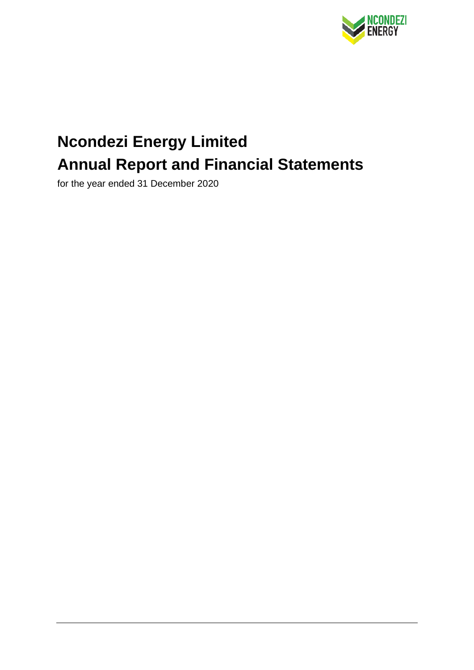

# **Ncondezi Energy Limited Annual Report and Financial Statements**

for the year ended 31 December 2020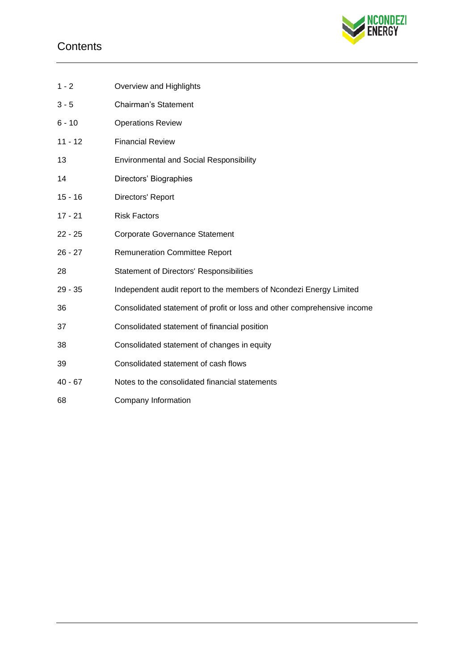# **Contents**



| $1 - 2$   | Overview and Highlights                                                 |
|-----------|-------------------------------------------------------------------------|
| $3 - 5$   | <b>Chairman's Statement</b>                                             |
| $6 - 10$  | <b>Operations Review</b>                                                |
| $11 - 12$ | <b>Financial Review</b>                                                 |
| 13        | <b>Environmental and Social Responsibility</b>                          |
| 14        | Directors' Biographies                                                  |
| $15 - 16$ | Directors' Report                                                       |
| $17 - 21$ | <b>Risk Factors</b>                                                     |
| $22 - 25$ | <b>Corporate Governance Statement</b>                                   |
| $26 - 27$ | <b>Remuneration Committee Report</b>                                    |
| 28        | <b>Statement of Directors' Responsibilities</b>                         |
| $29 - 35$ | Independent audit report to the members of Ncondezi Energy Limited      |
| 36        | Consolidated statement of profit or loss and other comprehensive income |
| 37        | Consolidated statement of financial position                            |
| 38        | Consolidated statement of changes in equity                             |
| 39        | Consolidated statement of cash flows                                    |
| $40 - 67$ | Notes to the consolidated financial statements                          |
| 68        | Company Information                                                     |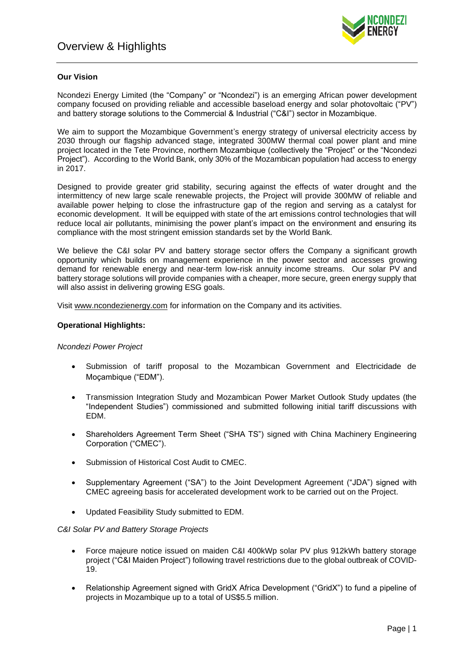

# **Our Vision**

Ncondezi Energy Limited (the "Company" or "Ncondezi") is an emerging African power development company focused on providing reliable and accessible baseload energy and solar photovoltaic ("PV") and battery storage solutions to the Commercial & Industrial ("C&I") sector in Mozambique.

We aim to support the Mozambique Government's energy strategy of universal electricity access by 2030 through our flagship advanced stage, integrated 300MW thermal coal power plant and mine project located in the Tete Province, northern Mozambique (collectively the "Project" or the "Ncondezi Project"). According to the World Bank, only 30% of the Mozambican population had access to energy in 2017.

Designed to provide greater grid stability, securing against the effects of water drought and the intermittency of new large scale renewable projects, the Project will provide 300MW of reliable and available power helping to close the infrastructure gap of the region and serving as a catalyst for economic development. It will be equipped with state of the art emissions control technologies that will reduce local air pollutants, minimising the power plant's impact on the environment and ensuring its compliance with the most stringent emission standards set by the World Bank.

We believe the C&I solar PV and battery storage sector offers the Company a significant growth opportunity which builds on management experience in the power sector and accesses growing demand for renewable energy and near-term low-risk annuity income streams. Our solar PV and battery storage solutions will provide companies with a cheaper, more secure, green energy supply that will also assist in delivering growing ESG goals.

Visit [www.ncondezienergy.com](http://www.ncondezienergy.com/) for information on the Company and its activities.

# **Operational Highlights:**

#### *Ncondezi Power Project*

- Submission of tariff proposal to the Mozambican Government and Electricidade de Moçambique ("EDM").
- Transmission Integration Study and Mozambican Power Market Outlook Study updates (the "Independent Studies") commissioned and submitted following initial tariff discussions with EDM.
- Shareholders Agreement Term Sheet ("SHA TS") signed with China Machinery Engineering Corporation ("CMEC").
- Submission of Historical Cost Audit to CMEC.
- Supplementary Agreement ("SA") to the Joint Development Agreement ("JDA") signed with CMEC agreeing basis for accelerated development work to be carried out on the Project.
- Updated Feasibility Study submitted to EDM.

#### *C&I Solar PV and Battery Storage Projects*

- Force majeure notice issued on maiden C&I 400kWp solar PV plus 912kWh battery storage project ("C&I Maiden Project") following travel restrictions due to the global outbreak of COVID-19.
- Relationship Agreement signed with GridX Africa Development ("GridX") to fund a pipeline of projects in Mozambique up to a total of US\$5.5 million.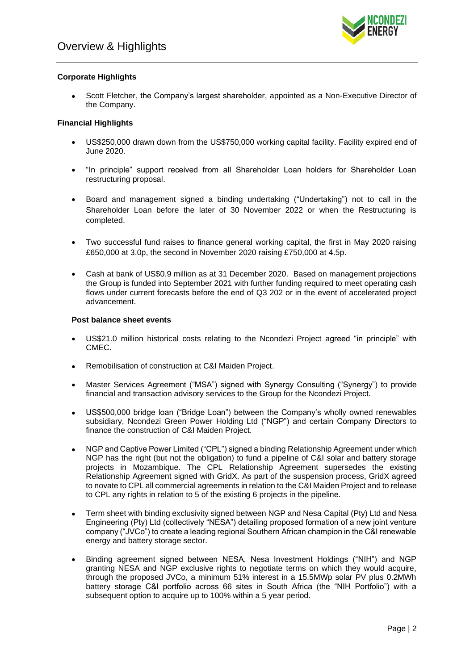

# **Corporate Highlights**

• Scott Fletcher, the Company's largest shareholder, appointed as a Non-Executive Director of the Company.

# **Financial Highlights**

- US\$250,000 drawn down from the US\$750,000 working capital facility. Facility expired end of June 2020.
- "In principle" support received from all Shareholder Loan holders for Shareholder Loan restructuring proposal.
- Board and management signed a binding undertaking ("Undertaking") not to call in the Shareholder Loan before the later of 30 November 2022 or when the Restructuring is completed.
- Two successful fund raises to finance general working capital, the first in May 2020 raising £650,000 at 3.0p, the second in November 2020 raising £750,000 at 4.5p.
- Cash at bank of US\$0.9 million as at 31 December 2020. Based on management projections the Group is funded into September 2021 with further funding required to meet operating cash flows under current forecasts before the end of Q3 202 or in the event of accelerated project advancement.

# **Post balance sheet events**

- US\$21.0 million historical costs relating to the Ncondezi Project agreed "in principle" with CMEC.
- Remobilisation of construction at C&I Maiden Project.
- Master Services Agreement ("MSA") signed with Synergy Consulting ("Synergy") to provide financial and transaction advisory services to the Group for the Ncondezi Project.
- US\$500,000 bridge loan ("Bridge Loan") between the Company's wholly owned renewables subsidiary, Ncondezi Green Power Holding Ltd ("NGP") and certain Company Directors to finance the construction of C&I Maiden Project.
- NGP and Captive Power Limited ("CPL") signed a binding Relationship Agreement under which NGP has the right (but not the obligation) to fund a pipeline of C&I solar and battery storage projects in Mozambique. The CPL Relationship Agreement supersedes the existing Relationship Agreement signed with GridX. As part of the suspension process, GridX agreed to novate to CPL all commercial agreements in relation to the C&I Maiden Project and to release to CPL any rights in relation to 5 of the existing 6 projects in the pipeline.
- Term sheet with binding exclusivity signed between NGP and Nesa Capital (Pty) Ltd and Nesa Engineering (Pty) Ltd (collectively "NESA") detailing proposed formation of a new joint venture company ("JVCo") to create a leading regional Southern African champion in the C&I renewable energy and battery storage sector.
- Binding agreement signed between NESA, Nesa Investment Holdings ("NIH") and NGP granting NESA and NGP exclusive rights to negotiate terms on which they would acquire, through the proposed JVCo, a minimum 51% interest in a 15.5MWp solar PV plus 0.2MWh battery storage C&I portfolio across 66 sites in South Africa (the "NIH Portfolio") with a subsequent option to acquire up to 100% within a 5 year period.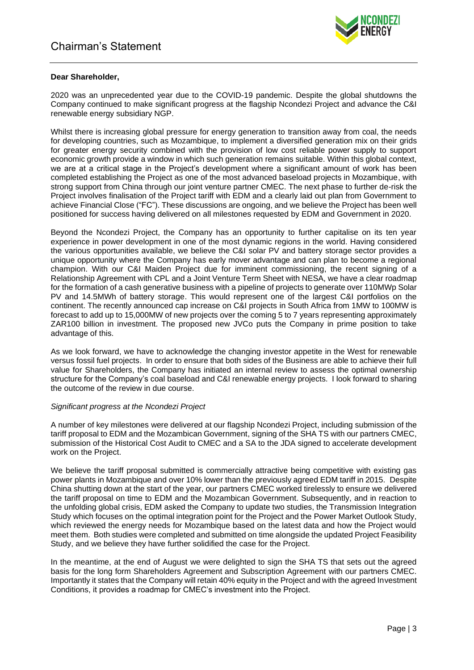# Chairman's Statement



# **Dear Shareholder,**

2020 was an unprecedented year due to the COVID-19 pandemic. Despite the global shutdowns the Company continued to make significant progress at the flagship Ncondezi Project and advance the C&I renewable energy subsidiary NGP.

Whilst there is increasing global pressure for energy generation to transition away from coal, the needs for developing countries, such as Mozambique, to implement a diversified generation mix on their grids for greater energy security combined with the provision of low cost reliable power supply to support economic growth provide a window in which such generation remains suitable. Within this global context, we are at a critical stage in the Project's development where a significant amount of work has been completed establishing the Project as one of the most advanced baseload projects in Mozambique, with strong support from China through our joint venture partner CMEC. The next phase to further de-risk the Project involves finalisation of the Project tariff with EDM and a clearly laid out plan from Government to achieve Financial Close ("FC"). These discussions are ongoing, and we believe the Project has been well positioned for success having delivered on all milestones requested by EDM and Government in 2020.

Beyond the Ncondezi Project, the Company has an opportunity to further capitalise on its ten year experience in power development in one of the most dynamic regions in the world. Having considered the various opportunities available, we believe the C&I solar PV and battery storage sector provides a unique opportunity where the Company has early mover advantage and can plan to become a regional champion. With our C&I Maiden Project due for imminent commissioning, the recent signing of a Relationship Agreement with CPL and a Joint Venture Term Sheet with NESA, we have a clear roadmap for the formation of a cash generative business with a pipeline of projects to generate over 110MWp Solar PV and 14.5MWh of battery storage. This would represent one of the largest C&I portfolios on the continent. The recently announced cap increase on C&I projects in South Africa from 1MW to 100MW is forecast to add up to 15,000MW of new projects over the coming 5 to 7 years representing approximately ZAR100 billion in investment. The proposed new JVCo puts the Company in prime position to take advantage of this.

As we look forward, we have to acknowledge the changing investor appetite in the West for renewable versus fossil fuel projects. In order to ensure that both sides of the Business are able to achieve their full value for Shareholders, the Company has initiated an internal review to assess the optimal ownership structure for the Company's coal baseload and C&I renewable energy projects. I look forward to sharing the outcome of the review in due course.

#### *Significant progress at the Ncondezi Project*

A number of key milestones were delivered at our flagship Ncondezi Project, including submission of the tariff proposal to EDM and the Mozambican Government, signing of the SHA TS with our partners CMEC, submission of the Historical Cost Audit to CMEC and a SA to the JDA signed to accelerate development work on the Project.

We believe the tariff proposal submitted is commercially attractive being competitive with existing gas power plants in Mozambique and over 10% lower than the previously agreed EDM tariff in 2015. Despite China shutting down at the start of the year, our partners CMEC worked tirelessly to ensure we delivered the tariff proposal on time to EDM and the Mozambican Government. Subsequently, and in reaction to the unfolding global crisis, EDM asked the Company to update two studies, the Transmission Integration Study which focuses on the optimal integration point for the Project and the Power Market Outlook Study, which reviewed the energy needs for Mozambique based on the latest data and how the Project would meet them. Both studies were completed and submitted on time alongside the updated Project Feasibility Study, and we believe they have further solidified the case for the Project.

In the meantime, at the end of August we were delighted to sign the SHA TS that sets out the agreed basis for the long form Shareholders Agreement and Subscription Agreement with our partners CMEC. Importantly it states that the Company will retain 40% equity in the Project and with the agreed Investment Conditions, it provides a roadmap for CMEC's investment into the Project.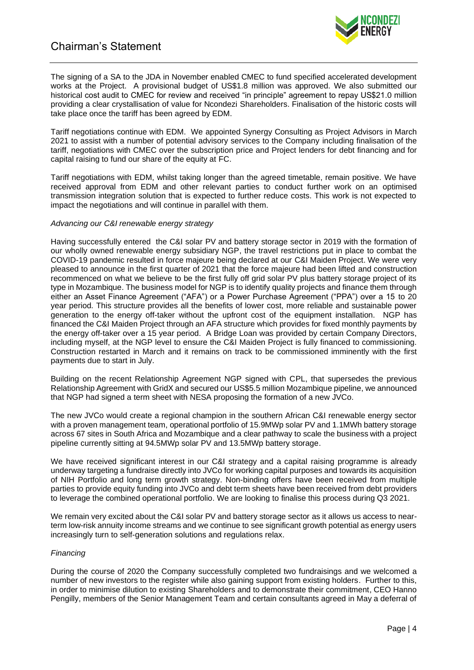

The signing of a SA to the JDA in November enabled CMEC to fund specified accelerated development works at the Project. A provisional budget of US\$1.8 million was approved. We also submitted our historical cost audit to CMEC for review and received "in principle" agreement to repay US\$21.0 million providing a clear crystallisation of value for Ncondezi Shareholders. Finalisation of the historic costs will take place once the tariff has been agreed by EDM.

Tariff negotiations continue with EDM. We appointed Synergy Consulting as Project Advisors in March 2021 to assist with a number of potential advisory services to the Company including finalisation of the tariff, negotiations with CMEC over the subscription price and Project lenders for debt financing and for capital raising to fund our share of the equity at FC.

Tariff negotiations with EDM, whilst taking longer than the agreed timetable, remain positive. We have received approval from EDM and other relevant parties to conduct further work on an optimised transmission integration solution that is expected to further reduce costs. This work is not expected to impact the negotiations and will continue in parallel with them.

#### *Advancing our C&I renewable energy strategy*

Having successfully entered the C&I solar PV and battery storage sector in 2019 with the formation of our wholly owned renewable energy subsidiary NGP, the travel restrictions put in place to combat the COVID-19 pandemic resulted in force majeure being declared at our C&I Maiden Project. We were very pleased to announce in the first quarter of 2021 that the force majeure had been lifted and construction recommenced on what we believe to be the first fully off grid solar PV plus battery storage project of its type in Mozambique. The business model for NGP is to identify quality projects and finance them through either an Asset Finance Agreement ("AFA") or a Power Purchase Agreement ("PPA") over a 15 to 20 year period. This structure provides all the benefits of lower cost, more reliable and sustainable power generation to the energy off-taker without the upfront cost of the equipment installation. NGP has financed the C&I Maiden Project through an AFA structure which provides for fixed monthly payments by the energy off-taker over a 15 year period. A Bridge Loan was provided by certain Company Directors, including myself, at the NGP level to ensure the C&I Maiden Project is fully financed to commissioning. Construction restarted in March and it remains on track to be commissioned imminently with the first payments due to start in July.

Building on the recent Relationship Agreement NGP signed with CPL, that supersedes the previous Relationship Agreement with GridX and secured our US\$5.5 million Mozambique pipeline, we announced that NGP had signed a term sheet with NESA proposing the formation of a new JVCo.

The new JVCo would create a regional champion in the southern African C&I renewable energy sector with a proven management team, operational portfolio of 15.9MWp solar PV and 1.1MWh battery storage across 67 sites in South Africa and Mozambique and a clear pathway to scale the business with a project pipeline currently sitting at 94.5MWp solar PV and 13.5MWp battery storage.

We have received significant interest in our C&I strategy and a capital raising programme is already underway targeting a fundraise directly into JVCo for working capital purposes and towards its acquisition of NIH Portfolio and long term growth strategy. Non-binding offers have been received from multiple parties to provide equity funding into JVCo and debt term sheets have been received from debt providers to leverage the combined operational portfolio. We are looking to finalise this process during Q3 2021.

We remain very excited about the C&I solar PV and battery storage sector as it allows us access to nearterm low-risk annuity income streams and we continue to see significant growth potential as energy users increasingly turn to self-generation solutions and regulations relax.

#### *Financing*

During the course of 2020 the Company successfully completed two fundraisings and we welcomed a number of new investors to the register while also gaining support from existing holders. Further to this, in order to minimise dilution to existing Shareholders and to demonstrate their commitment, CEO Hanno Pengilly, members of the Senior Management Team and certain consultants agreed in May a deferral of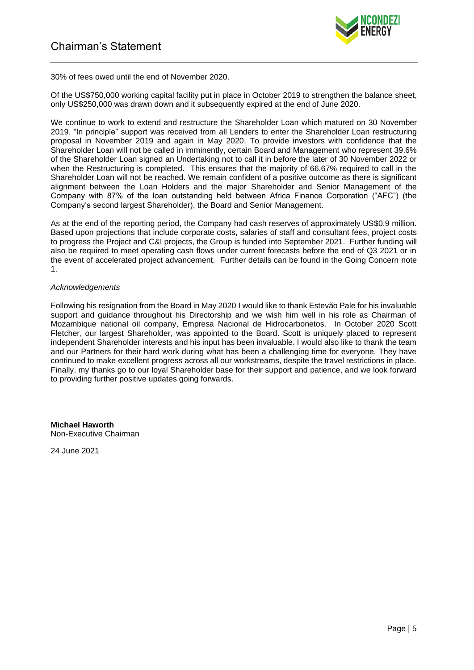

30% of fees owed until the end of November 2020.

Of the US\$750,000 working capital facility put in place in October 2019 to strengthen the balance sheet, only US\$250,000 was drawn down and it subsequently expired at the end of June 2020.

We continue to work to extend and restructure the Shareholder Loan which matured on 30 November 2019. "In principle" support was received from all Lenders to enter the Shareholder Loan restructuring proposal in November 2019 and again in May 2020. To provide investors with confidence that the Shareholder Loan will not be called in imminently, certain Board and Management who represent 39.6% of the Shareholder Loan signed an Undertaking not to call it in before the later of 30 November 2022 or when the Restructuring is completed. This ensures that the majority of 66.67% required to call in the Shareholder Loan will not be reached. We remain confident of a positive outcome as there is significant alignment between the Loan Holders and the major Shareholder and Senior Management of the Company with 87% of the loan outstanding held between Africa Finance Corporation ("AFC") (the Company's second largest Shareholder), the Board and Senior Management.

As at the end of the reporting period, the Company had cash reserves of approximately US\$0.9 million. Based upon projections that include corporate costs, salaries of staff and consultant fees, project costs to progress the Project and C&I projects, the Group is funded into September 2021. Further funding will also be required to meet operating cash flows under current forecasts before the end of Q3 2021 or in the event of accelerated project advancement. Further details can be found in the Going Concern note 1.

# *Acknowledgements*

Following his resignation from the Board in May 2020 I would like to thank Estevão Pale for his invaluable support and guidance throughout his Directorship and we wish him well in his role as Chairman of Mozambique national oil company, Empresa Nacional de Hidrocarbonetos. In October 2020 Scott Fletcher, our largest Shareholder, was appointed to the Board. Scott is uniquely placed to represent independent Shareholder interests and his input has been invaluable. I would also like to thank the team and our Partners for their hard work during what has been a challenging time for everyone. They have continued to make excellent progress across all our workstreams, despite the travel restrictions in place. Finally, my thanks go to our loyal Shareholder base for their support and patience, and we look forward to providing further positive updates going forwards.

**Michael Haworth** Non-Executive Chairman

24 June 2021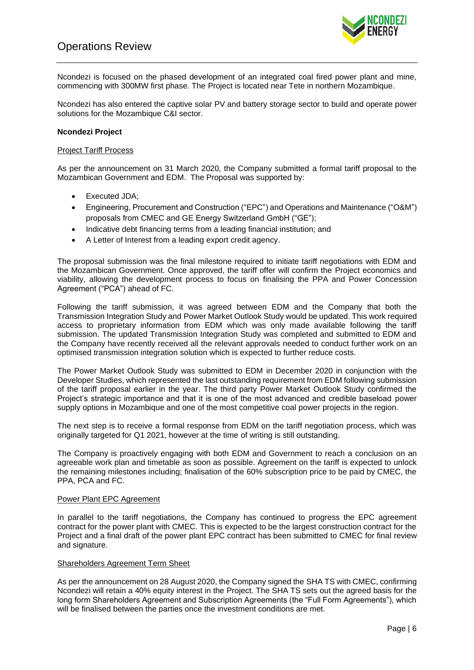

Ncondezi is focused on the phased development of an integrated coal fired power plant and mine, commencing with 300MW first phase. The Project is located near Tete in northern Mozambique.

Ncondezi has also entered the captive solar PV and battery storage sector to build and operate power solutions for the Mozambique C&I sector.

# **Ncondezi Project**

#### Project Tariff Process

As per the announcement on 31 March 2020, the Company submitted a formal tariff proposal to the Mozambican Government and EDM. The Proposal was supported by:

- Executed JDA;
- Engineering, Procurement and Construction ("EPC") and Operations and Maintenance ("O&M") proposals from CMEC and GE Energy Switzerland GmbH ("GE");
- Indicative debt financing terms from a leading financial institution; and
- A Letter of Interest from a leading export credit agency.

The proposal submission was the final milestone required to initiate tariff negotiations with EDM and the Mozambican Government. Once approved, the tariff offer will confirm the Project economics and viability, allowing the development process to focus on finalising the PPA and Power Concession Agreement ("PCA") ahead of FC.

Following the tariff submission, it was agreed between EDM and the Company that both the Transmission Integration Study and Power Market Outlook Study would be updated. This work required access to proprietary information from EDM which was only made available following the tariff submission. The updated Transmission Integration Study was completed and submitted to EDM and the Company have recently received all the relevant approvals needed to conduct further work on an optimised transmission integration solution which is expected to further reduce costs.

The Power Market Outlook Study was submitted to EDM in December 2020 in conjunction with the Developer Studies, which represented the last outstanding requirement from EDM following submission of the tariff proposal earlier in the year. The third party Power Market Outlook Study confirmed the Project's strategic importance and that it is one of the most advanced and credible baseload power supply options in Mozambique and one of the most competitive coal power projects in the region.

The next step is to receive a formal response from EDM on the tariff negotiation process, which was originally targeted for Q1 2021, however at the time of writing is still outstanding.

The Company is proactively engaging with both EDM and Government to reach a conclusion on an agreeable work plan and timetable as soon as possible. Agreement on the tariff is expected to unlock the remaining milestones including; finalisation of the 60% subscription price to be paid by CMEC, the PPA, PCA and FC.

#### Power Plant EPC Agreement

In parallel to the tariff negotiations, the Company has continued to progress the EPC agreement contract for the power plant with CMEC. This is expected to be the largest construction contract for the Project and a final draft of the power plant EPC contract has been submitted to CMEC for final review and signature.

# Shareholders Agreement Term Sheet

As per the announcement on 28 August 2020, the Company signed the SHA TS with CMEC, confirming Ncondezi will retain a 40% equity interest in the Project. The SHA TS sets out the agreed basis for the long form Shareholders Agreement and Subscription Agreements (the "Full Form Agreements"), which will be finalised between the parties once the investment conditions are met.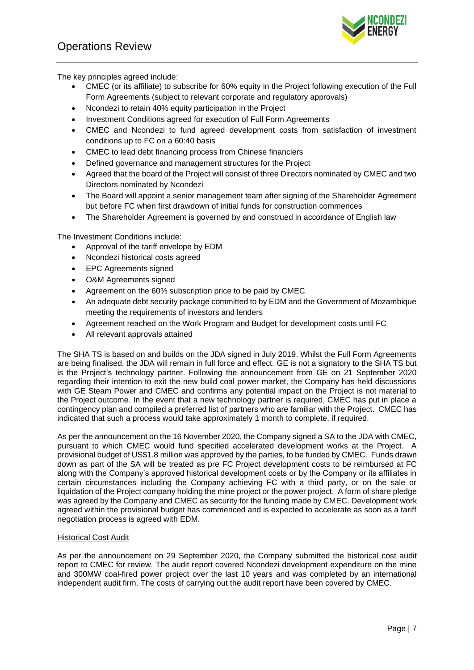

The key principles agreed include:

- CMEC (or its affiliate) to subscribe for 60% equity in the Project following execution of the Full Form Agreements (subject to relevant corporate and regulatory approvals)
- Ncondezi to retain 40% equity participation in the Project
- Investment Conditions agreed for execution of Full Form Agreements
- CMEC and Ncondezi to fund agreed development costs from satisfaction of investment conditions up to FC on a 60:40 basis
- CMEC to lead debt financing process from Chinese financiers
- Defined governance and management structures for the Project
- Agreed that the board of the Project will consist of three Directors nominated by CMEC and two Directors nominated by Ncondezi
- The Board will appoint a senior management team after signing of the Shareholder Agreement but before FC when first drawdown of initial funds for construction commences
- The Shareholder Agreement is governed by and construed in accordance of English law

The Investment Conditions include:

- Approval of the tariff envelope by EDM
- Ncondezi historical costs agreed
- EPC Agreements signed
- O&M Agreements signed
- Agreement on the 60% subscription price to be paid by CMEC
- An adequate debt security package committed to by EDM and the Government of Mozambique meeting the requirements of investors and lenders
- Agreement reached on the Work Program and Budget for development costs until FC
- All relevant approvals attained

The SHA TS is based on and builds on the JDA signed in July 2019. Whilst the Full Form Agreements are being finalised, the JDA will remain in full force and effect. GE is not a signatory to the SHA TS but is the Project's technology partner. Following the announcement from GE on 21 September 2020 regarding their intention to exit the new build coal power market, the Company has held discussions with GE Steam Power and CMEC and confirms any potential impact on the Project is not material to the Project outcome. In the event that a new technology partner is required, CMEC has put in place a contingency plan and compiled a preferred list of partners who are familiar with the Project. CMEC has indicated that such a process would take approximately 1 month to complete, if required.

As per the announcement on the 16 November 2020, the Company signed a SA to the JDA with CMEC, pursuant to which CMEC would fund specified accelerated development works at the Project. A provisional budget of US\$1.8 million was approved by the parties, to be funded by CMEC. Funds drawn down as part of the SA will be treated as pre FC Project development costs to be reimbursed at FC along with the Company's approved historical development costs or by the Company or its affiliates in certain circumstances including the Company achieving FC with a third party, or on the sale or liquidation of the Project company holding the mine project or the power project. A form of share pledge was agreed by the Company and CMEC as security for the funding made by CMEC. Development work agreed within the provisional budget has commenced and is expected to accelerate as soon as a tariff negotiation process is agreed with EDM.

# Historical Cost Audit

As per the announcement on 29 September 2020, the Company submitted the historical cost audit report to CMEC for review. The audit report covered Ncondezi development expenditure on the mine and 300MW coal-fired power project over the last 10 years and was completed by an international independent audit firm. The costs of carrying out the audit report have been covered by CMEC.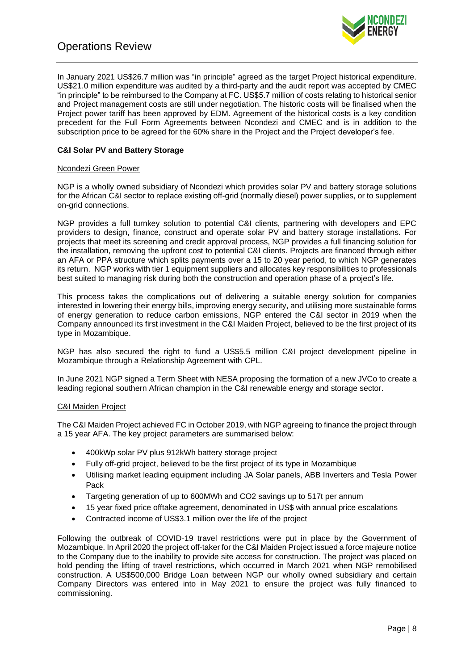

In January 2021 US\$26.7 million was "in principle" agreed as the target Project historical expenditure. US\$21.0 million expenditure was audited by a third-party and the audit report was accepted by CMEC "in principle" to be reimbursed to the Company at FC. US\$5.7 million of costs relating to historical senior and Project management costs are still under negotiation. The historic costs will be finalised when the Project power tariff has been approved by EDM. Agreement of the historical costs is a key condition precedent for the Full Form Agreements between Ncondezi and CMEC and is in addition to the subscription price to be agreed for the 60% share in the Project and the Project developer's fee.

# **C&I Solar PV and Battery Storage**

# Ncondezi Green Power

NGP is a wholly owned subsidiary of Ncondezi which provides solar PV and battery storage solutions for the African C&I sector to replace existing off-grid (normally diesel) power supplies, or to supplement on-grid connections.

NGP provides a full turnkey solution to potential C&I clients, partnering with developers and EPC providers to design, finance, construct and operate solar PV and battery storage installations. For projects that meet its screening and credit approval process, NGP provides a full financing solution for the installation, removing the upfront cost to potential C&I clients. Projects are financed through either an AFA or PPA structure which splits payments over a 15 to 20 year period, to which NGP generates its return. NGP works with tier 1 equipment suppliers and allocates key responsibilities to professionals best suited to managing risk during both the construction and operation phase of a project's life.

This process takes the complications out of delivering a suitable energy solution for companies interested in lowering their energy bills, improving energy security, and utilising more sustainable forms of energy generation to reduce carbon emissions, NGP entered the C&I sector in 2019 when the Company announced its first investment in the C&I Maiden Project, believed to be the first project of its type in Mozambique.

NGP has also secured the right to fund a US\$5.5 million C&I project development pipeline in Mozambique through a Relationship Agreement with CPL.

In June 2021 NGP signed a Term Sheet with NESA proposing the formation of a new JVCo to create a leading regional southern African champion in the C&I renewable energy and storage sector.

# C&I Maiden Project

The C&I Maiden Project achieved FC in October 2019, with NGP agreeing to finance the project through a 15 year AFA. The key project parameters are summarised below:

- 400kWp solar PV plus 912kWh battery storage project
- Fully off-grid project, believed to be the first project of its type in Mozambique
- Utilising market leading equipment including JA Solar panels, ABB Inverters and Tesla Power Pack
- Targeting generation of up to 600MWh and CO2 savings up to 517t per annum
- 15 year fixed price offtake agreement, denominated in US\$ with annual price escalations
- Contracted income of US\$3.1 million over the life of the project

Following the outbreak of COVID-19 travel restrictions were put in place by the Government of Mozambique. In April 2020 the project off-taker for the C&I Maiden Project issued a force majeure notice to the Company due to the inability to provide site access for construction. The project was placed on hold pending the lifting of travel restrictions, which occurred in March 2021 when NGP remobilised construction. A US\$500,000 Bridge Loan between NGP our wholly owned subsidiary and certain Company Directors was entered into in May 2021 to ensure the project was fully financed to commissioning.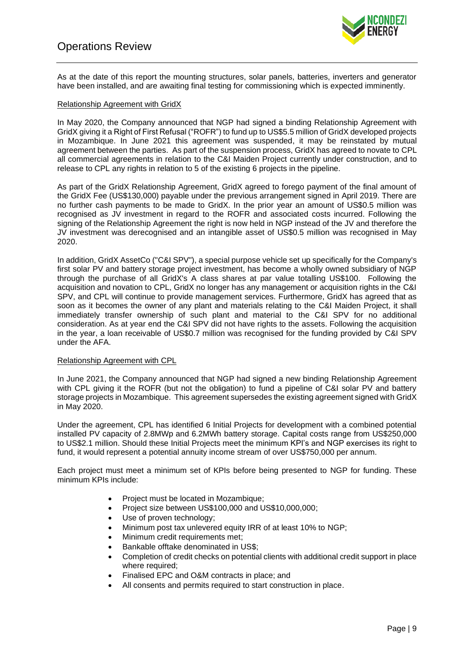

As at the date of this report the mounting structures, solar panels, batteries, inverters and generator have been installed, and are awaiting final testing for commissioning which is expected imminently.

#### Relationship Agreement with GridX

In May 2020, the Company announced that NGP had signed a binding Relationship Agreement with GridX giving it a Right of First Refusal ("ROFR") to fund up to US\$5.5 million of GridX developed projects in Mozambique. In June 2021 this agreement was suspended, it may be reinstated by mutual agreement between the parties. As part of the suspension process, GridX has agreed to novate to CPL all commercial agreements in relation to the C&I Maiden Project currently under construction, and to release to CPL any rights in relation to 5 of the existing 6 projects in the pipeline.

As part of the GridX Relationship Agreement, GridX agreed to forego payment of the final amount of the GridX Fee (US\$130,000) payable under the previous arrangement signed in April 2019. There are no further cash payments to be made to GridX. In the prior year an amount of US\$0.5 million was recognised as JV investment in regard to the ROFR and associated costs incurred. Following the signing of the Relationship Agreement the right is now held in NGP instead of the JV and therefore the JV investment was derecognised and an intangible asset of US\$0.5 million was recognised in May 2020.

In addition, GridX AssetCo ("C&I SPV"), a special purpose vehicle set up specifically for the Company's first solar PV and battery storage project investment, has become a wholly owned subsidiary of NGP through the purchase of all GridX's A class shares at par value totalling US\$100. Following the acquisition and novation to CPL, GridX no longer has any management or acquisition rights in the C&I SPV, and CPL will continue to provide management services. Furthermore, GridX has agreed that as soon as it becomes the owner of any plant and materials relating to the C&I Maiden Project, it shall immediately transfer ownership of such plant and material to the C&I SPV for no additional consideration. As at year end the C&I SPV did not have rights to the assets. Following the acquisition in the year, a loan receivable of US\$0.7 million was recognised for the funding provided by C&I SPV under the AFA.

#### Relationship Agreement with CPL

In June 2021, the Company announced that NGP had signed a new binding Relationship Agreement with CPL giving it the ROFR (but not the obligation) to fund a pipeline of C&I solar PV and battery storage projects in Mozambique. This agreement supersedes the existing agreement signed with GridX in May 2020.

Under the agreement, CPL has identified 6 Initial Projects for development with a combined potential installed PV capacity of 2.8MWp and 6.2MWh battery storage. Capital costs range from US\$250,000 to US\$2.1 million. Should these Initial Projects meet the minimum KPI's and NGP exercises its right to fund, it would represent a potential annuity income stream of over US\$750,000 per annum.

Each project must meet a minimum set of KPIs before being presented to NGP for funding. These minimum KPIs include:

- Project must be located in Mozambique;
- Project size between US\$100,000 and US\$10,000,000;
- Use of proven technology;
- Minimum post tax unlevered equity IRR of at least 10% to NGP;
- Minimum credit requirements met;
- Bankable offtake denominated in US\$;
- Completion of credit checks on potential clients with additional credit support in place where required;
- Finalised EPC and O&M contracts in place; and
- All consents and permits required to start construction in place.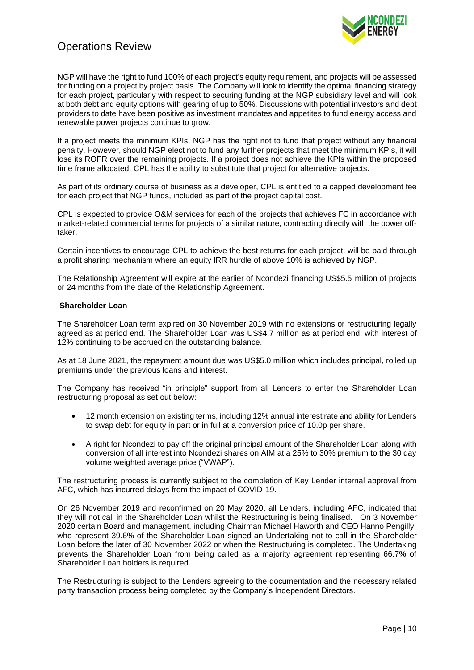

NGP will have the right to fund 100% of each project's equity requirement, and projects will be assessed for funding on a project by project basis. The Company will look to identify the optimal financing strategy for each project, particularly with respect to securing funding at the NGP subsidiary level and will look at both debt and equity options with gearing of up to 50%. Discussions with potential investors and debt providers to date have been positive as investment mandates and appetites to fund energy access and renewable power projects continue to grow.

If a project meets the minimum KPIs, NGP has the right not to fund that project without any financial penalty. However, should NGP elect not to fund any further projects that meet the minimum KPIs, it will lose its ROFR over the remaining projects. If a project does not achieve the KPIs within the proposed time frame allocated, CPL has the ability to substitute that project for alternative projects.

As part of its ordinary course of business as a developer, CPL is entitled to a capped development fee for each project that NGP funds, included as part of the project capital cost.

CPL is expected to provide O&M services for each of the projects that achieves FC in accordance with market-related commercial terms for projects of a similar nature, contracting directly with the power offtaker.

Certain incentives to encourage CPL to achieve the best returns for each project, will be paid through a profit sharing mechanism where an equity IRR hurdle of above 10% is achieved by NGP.

The Relationship Agreement will expire at the earlier of Ncondezi financing US\$5.5 million of projects or 24 months from the date of the Relationship Agreement.

# **Shareholder Loan**

The Shareholder Loan term expired on 30 November 2019 with no extensions or restructuring legally agreed as at period end. The Shareholder Loan was US\$4.7 million as at period end, with interest of 12% continuing to be accrued on the outstanding balance.

As at 18 June 2021, the repayment amount due was US\$5.0 million which includes principal, rolled up premiums under the previous loans and interest.

The Company has received "in principle" support from all Lenders to enter the Shareholder Loan restructuring proposal as set out below:

- 12 month extension on existing terms, including 12% annual interest rate and ability for Lenders to swap debt for equity in part or in full at a conversion price of 10.0p per share.
- A right for Ncondezi to pay off the original principal amount of the Shareholder Loan along with conversion of all interest into Ncondezi shares on AIM at a 25% to 30% premium to the 30 day volume weighted average price ("VWAP").

The restructuring process is currently subject to the completion of Key Lender internal approval from AFC, which has incurred delays from the impact of COVID-19.

On 26 November 2019 and reconfirmed on 20 May 2020, all Lenders, including AFC, indicated that they will not call in the Shareholder Loan whilst the Restructuring is being finalised. On 3 November 2020 certain Board and management, including Chairman Michael Haworth and CEO Hanno Pengilly, who represent 39.6% of the Shareholder Loan signed an Undertaking not to call in the Shareholder Loan before the later of 30 November 2022 or when the Restructuring is completed. The Undertaking prevents the Shareholder Loan from being called as a majority agreement representing 66.7% of Shareholder Loan holders is required.

The Restructuring is subject to the Lenders agreeing to the documentation and the necessary related party transaction process being completed by the Company's Independent Directors.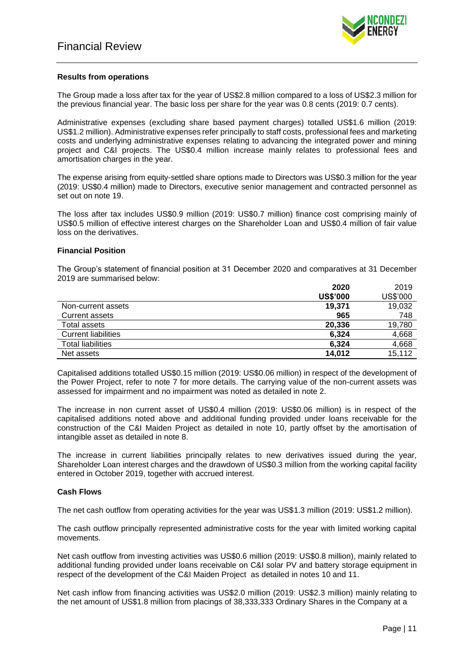

#### **Results from operations**

The Group made a loss after tax for the year of US\$2.8 million compared to a loss of US\$2.3 million for the previous financial year. The basic loss per share for the year was 0.8 cents (2019: 0.7 cents).

Administrative expenses (excluding share based payment charges) totalled US\$1.6 million (2019: US\$1.2 million). Administrative expenses refer principally to staff costs, professional fees and marketing costs and underlying administrative expenses relating to advancing the integrated power and mining project and C&I projects. The US\$0.4 million increase mainly relates to professional fees and amortisation charges in the year.

The expense arising from equity-settled share options made to Directors was US\$0.3 million for the year (2019: US\$0.4 million) made to Directors, executive senior management and contracted personnel as set out on note 19.

The loss after tax includes US\$0.9 million (2019: US\$0.7 million) finance cost comprising mainly of US\$0.5 million of effective interest charges on the Shareholder Loan and US\$0.4 million of fair value loss on the derivatives.

# **Financial Position**

The Group's statement of financial position at 31 December 2020 and comparatives at 31 December 2019 are summarised below:

|                            | 2020            | 2019     |
|----------------------------|-----------------|----------|
|                            | <b>US\$'000</b> | US\$'000 |
| Non-current assets         | 19,371          | 19,032   |
| Current assets             | 965             | 748      |
| Total assets               | 20,336          | 19,780   |
| <b>Current liabilities</b> | 6.324           | 4,668    |
| Total liabilities          | 6,324           | 4,668    |
| Net assets                 | 14.012          | 15,112   |

Capitalised additions totalled US\$0.15 million (2019: US\$0.06 million) in respect of the development of the Power Project, refer to note 7 for more details. The carrying value of the non-current assets was assessed for impairment and no impairment was noted as detailed in note 2.

The increase in non current asset of US\$0.4 million (2019: US\$0.06 million) is in respect of the capitalised additions noted above and additional funding provided under loans receivable for the construction of the C&I Maiden Project as detailed in note 10, partly offset by the amortisation of intangible asset as detailed in note 8.

The increase in current liabilities principally relates to new derivatives issued during the year, Shareholder Loan interest charges and the drawdown of US\$0.3 million from the working capital facility entered in October 2019, together with accrued interest.

### **Cash Flows**

The net cash outflow from operating activities for the year was US\$1.3 million (2019: US\$1.2 million).

The cash outflow principally represented administrative costs for the year with limited working capital movements.

Net cash outflow from investing activities was US\$0.6 million (2019: US\$0.8 million), mainly related to additional funding provided under loans receivable on C&I solar PV and battery storage equipment in respect of the development of the C&I Maiden Project as detailed in notes 10 and 11.

Net cash inflow from financing activities was US\$2.0 million (2019: US\$2.3 million) mainly relating to the net amount of US\$1.8 million from placings of 38,333,333 Ordinary Shares in the Company at a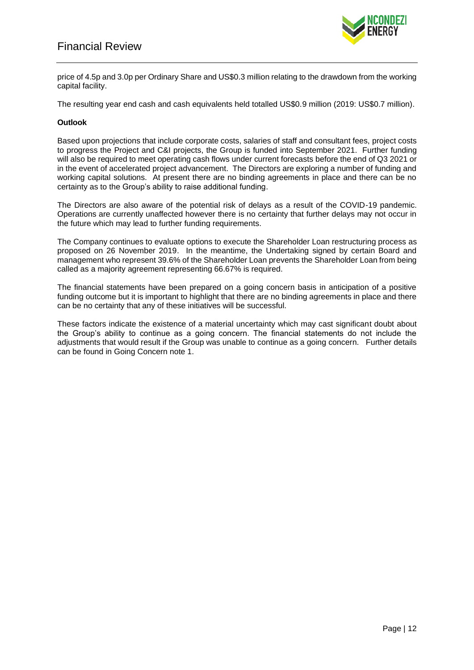

price of 4.5p and 3.0p per Ordinary Share and US\$0.3 million relating to the drawdown from the working capital facility.

The resulting year end cash and cash equivalents held totalled US\$0.9 million (2019: US\$0.7 million).

# **Outlook**

Based upon projections that include corporate costs, salaries of staff and consultant fees, project costs to progress the Project and C&I projects, the Group is funded into September 2021. Further funding will also be required to meet operating cash flows under current forecasts before the end of Q3 2021 or in the event of accelerated project advancement. The Directors are exploring a number of funding and working capital solutions. At present there are no binding agreements in place and there can be no certainty as to the Group's ability to raise additional funding.

The Directors are also aware of the potential risk of delays as a result of the COVID-19 pandemic. Operations are currently unaffected however there is no certainty that further delays may not occur in the future which may lead to further funding requirements.

The Company continues to evaluate options to execute the Shareholder Loan restructuring process as proposed on 26 November 2019. In the meantime, the Undertaking signed by certain Board and management who represent 39.6% of the Shareholder Loan prevents the Shareholder Loan from being called as a majority agreement representing 66.67% is required.

The financial statements have been prepared on a going concern basis in anticipation of a positive funding outcome but it is important to highlight that there are no binding agreements in place and there can be no certainty that any of these initiatives will be successful.

These factors indicate the existence of a material uncertainty which may cast significant doubt about the Group's ability to continue as a going concern. The financial statements do not include the adjustments that would result if the Group was unable to continue as a going concern. Further details can be found in Going Concern note 1.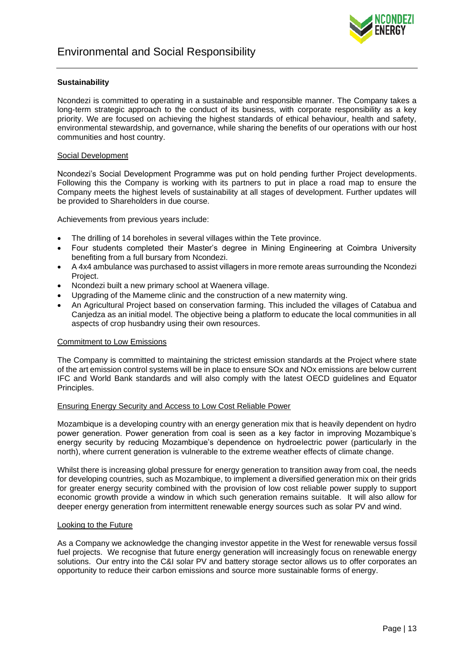

# **Sustainability**

Ncondezi is committed to operating in a sustainable and responsible manner. The Company takes a long-term strategic approach to the conduct of its business, with corporate responsibility as a key priority. We are focused on achieving the highest standards of ethical behaviour, health and safety, environmental stewardship, and governance, while sharing the benefits of our operations with our host communities and host country.

#### Social Development

Ncondezi's Social Development Programme was put on hold pending further Project developments. Following this the Company is working with its partners to put in place a road map to ensure the Company meets the highest levels of sustainability at all stages of development. Further updates will be provided to Shareholders in due course.

Achievements from previous years include:

- The drilling of 14 boreholes in several villages within the Tete province.
- Four students completed their Master's degree in Mining Engineering at Coimbra University benefiting from a full bursary from Ncondezi.
- A 4x4 ambulance was purchased to assist villagers in more remote areas surrounding the Ncondezi Project.
- Ncondezi built a new primary school at Waenera village.
- Upgrading of the Mameme clinic and the construction of a new maternity wing.
- An Agricultural Project based on conservation farming. This included the villages of Catabua and Canjedza as an initial model. The objective being a platform to educate the local communities in all aspects of crop husbandry using their own resources.

#### Commitment to Low Emissions

The Company is committed to maintaining the strictest emission standards at the Project where state of the art emission control systems will be in place to ensure SOx and NOx emissions are below current IFC and World Bank standards and will also comply with the latest OECD guidelines and Equator Principles.

#### Ensuring Energy Security and Access to Low Cost Reliable Power

Mozambique is a developing country with an energy generation mix that is heavily dependent on hydro power generation. Power generation from coal is seen as a key factor in improving Mozambique's energy security by reducing Mozambique's dependence on hydroelectric power (particularly in the north), where current generation is vulnerable to the extreme weather effects of climate change.

Whilst there is increasing global pressure for energy generation to transition away from coal, the needs for developing countries, such as Mozambique, to implement a diversified generation mix on their grids for greater energy security combined with the provision of low cost reliable power supply to support economic growth provide a window in which such generation remains suitable. It will also allow for deeper energy generation from intermittent renewable energy sources such as solar PV and wind.

#### Looking to the Future

As a Company we acknowledge the changing investor appetite in the West for renewable versus fossil fuel projects. We recognise that future energy generation will increasingly focus on renewable energy solutions. Our entry into the C&I solar PV and battery storage sector allows us to offer corporates an opportunity to reduce their carbon emissions and source more sustainable forms of energy.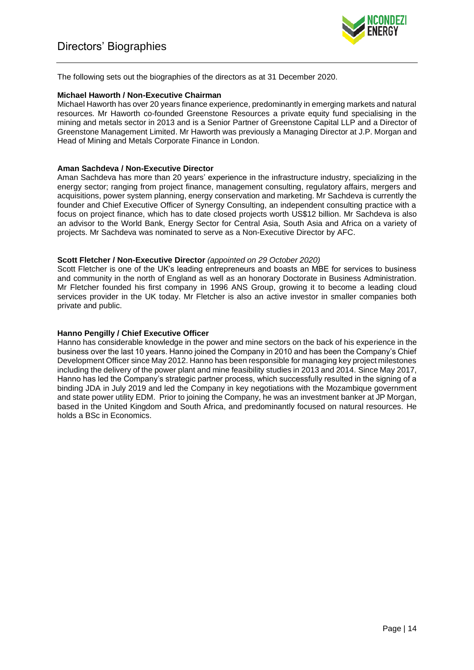

The following sets out the biographies of the directors as at 31 December 2020.

# **Michael Haworth / Non-Executive Chairman**

Michael Haworth has over 20 years finance experience, predominantly in emerging markets and natural resources. Mr Haworth co-founded Greenstone Resources a private equity fund specialising in the mining and metals sector in 2013 and is a Senior Partner of Greenstone Capital LLP and a Director of Greenstone Management Limited. Mr Haworth was previously a Managing Director at J.P. Morgan and Head of Mining and Metals Corporate Finance in London.

#### **Aman Sachdeva / Non-Executive Director**

Aman Sachdeva has more than 20 years' experience in the infrastructure industry, specializing in the energy sector; ranging from project finance, management consulting, regulatory affairs, mergers and acquisitions, power system planning, energy conservation and marketing. Mr Sachdeva is currently the founder and Chief Executive Officer of Synergy Consulting, an independent consulting practice with a focus on project finance, which has to date closed projects worth US\$12 billion. Mr Sachdeva is also an advisor to the World Bank, Energy Sector for Central Asia, South Asia and Africa on a variety of projects. Mr Sachdeva was nominated to serve as a Non-Executive Director by AFC.

# **Scott Fletcher / Non-Executive Director** *(appointed on 29 October 2020)*

Scott Fletcher is one of the UK's leading entrepreneurs and boasts an MBE for services to business and community in the north of England as well as an honorary Doctorate in Business Administration. Mr Fletcher founded his first company in 1996 ANS Group, growing it to become a leading cloud services provider in the UK today. Mr Fletcher is also an active investor in smaller companies both private and public.

#### **Hanno Pengilly / Chief Executive Officer**

Hanno has considerable knowledge in the power and mine sectors on the back of his experience in the business over the last 10 years. Hanno joined the Company in 2010 and has been the Company's Chief Development Officer since May 2012. Hanno has been responsible for managing key project milestones including the delivery of the power plant and mine feasibility studies in 2013 and 2014. Since May 2017, Hanno has led the Company's strategic partner process, which successfully resulted in the signing of a binding JDA in July 2019 and led the Company in key negotiations with the Mozambique government and state power utility EDM. Prior to joining the Company, he was an investment banker at JP Morgan, based in the United Kingdom and South Africa, and predominantly focused on natural resources. He holds a BSc in Economics.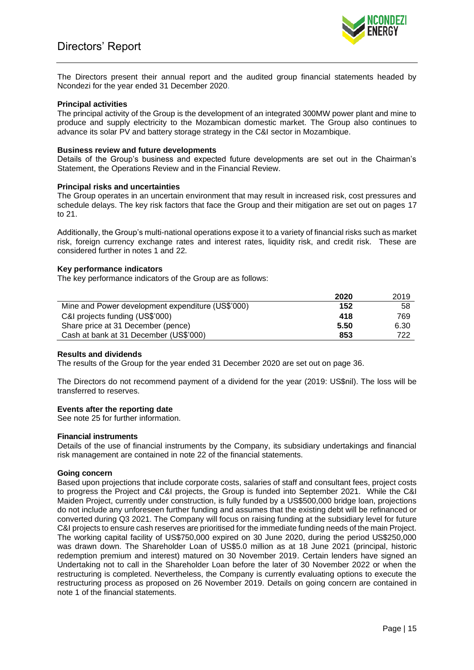

The Directors present their annual report and the audited group financial statements headed by Ncondezi for the year ended 31 December 2020.

#### **Principal activities**

The principal activity of the Group is the development of an integrated 300MW power plant and mine to produce and supply electricity to the Mozambican domestic market. The Group also continues to advance its solar PV and battery storage strategy in the C&I sector in Mozambique.

#### **Business review and future developments**

Details of the Group's business and expected future developments are set out in the Chairman's Statement, the Operations Review and in the Financial Review.

#### **Principal risks and uncertainties**

The Group operates in an uncertain environment that may result in increased risk, cost pressures and schedule delays. The key risk factors that face the Group and their mitigation are set out on pages 17 to 21.

Additionally, the Group's multi-national operations expose it to a variety of financial risks such as market risk, foreign currency exchange rates and interest rates, liquidity risk, and credit risk. These are considered further in notes 1 and 22.

#### **Key performance indicators**

The key performance indicators of the Group are as follows:

|                                                   | 2020 | 2019 |
|---------------------------------------------------|------|------|
| Mine and Power development expenditure (US\$'000) | 152  | 58   |
| C&I projects funding (US\$'000)                   | 418  | 769  |
| Share price at 31 December (pence)                | 5.50 | 6.30 |
| Cash at bank at 31 December (US\$'000)            | 853  | 722  |

#### **Results and dividends**

The results of the Group for the year ended 31 December 2020 are set out on page 36.

The Directors do not recommend payment of a dividend for the year (2019: US\$nil). The loss will be transferred to reserves.

#### **Events after the reporting date**

See note 25 for further information.

#### **Financial instruments**

Details of the use of financial instruments by the Company, its subsidiary undertakings and financial risk management are contained in note 22 of the financial statements.

#### **Going concern**

Based upon projections that include corporate costs, salaries of staff and consultant fees, project costs to progress the Project and C&I projects, the Group is funded into September 2021. While the C&I Maiden Project, currently under construction, is fully funded by a US\$500,000 bridge loan, projections do not include any unforeseen further funding and assumes that the existing debt will be refinanced or converted during Q3 2021. The Company will focus on raising funding at the subsidiary level for future C&I projects to ensure cash reserves are prioritised for the immediate funding needs of the main Project. The working capital facility of US\$750,000 expired on 30 June 2020, during the period US\$250,000 was drawn down. The Shareholder Loan of US\$5.0 million as at 18 June 2021 (principal, historic redemption premium and interest) matured on 30 November 2019. Certain lenders have signed an Undertaking not to call in the Shareholder Loan before the later of 30 November 2022 or when the restructuring is completed. Nevertheless, the Company is currently evaluating options to execute the restructuring process as proposed on 26 November 2019. Details on going concern are contained in note 1 of the financial statements.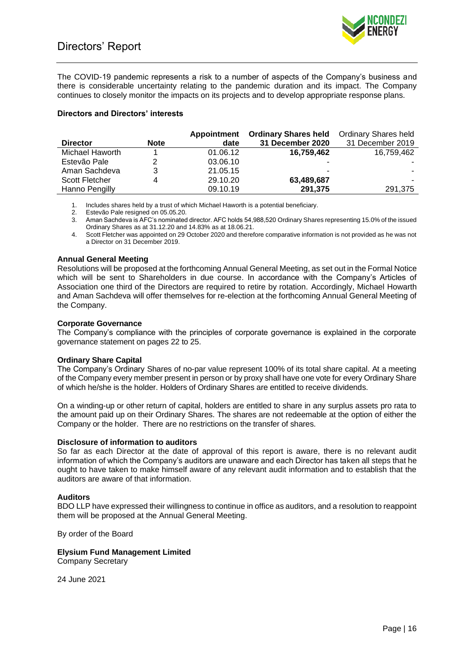

The COVID-19 pandemic represents a risk to a number of aspects of the Company's business and there is considerable uncertainty relating to the pandemic duration and its impact. The Company continues to closely monitor the impacts on its projects and to develop appropriate response plans.

# **Directors and Directors' interests**

|                 |             | Appointment | <b>Ordinary Shares held</b> | <b>Ordinary Shares held</b> |
|-----------------|-------------|-------------|-----------------------------|-----------------------------|
| <b>Director</b> | <b>Note</b> | date        | 31 December 2020            | 31 December 2019            |
| Michael Haworth |             | 01.06.12    | 16,759,462                  | 16,759,462                  |
| Estevão Pale    | 2           | 03.06.10    |                             |                             |
| Aman Sachdeva   | 3           | 21.05.15    |                             |                             |
| Scott Fletcher  | 4           | 29.10.20    | 63,489,687                  |                             |
| Hanno Pengilly  |             | 09.10.19    | 291,375                     | 291,375                     |

1. Includes shares held by a trust of which Michael Haworth is a potential beneficiary.

2. Estevão Pale resigned on 05.05.20.

3. Aman Sachdeva is AFC's nominated director. AFC holds 54,988,520 Ordinary Shares representing 15.0% of the issued Ordinary Shares as at 31.12.20 and 14.83% as at 18.06.21.

4. Scott Fletcher was appointed on 29 October 2020 and therefore comparative information is not provided as he was not a Director on 31 December 2019.

# **Annual General Meeting**

Resolutions will be proposed at the forthcoming Annual General Meeting, as set out in the Formal Notice which will be sent to Shareholders in due course. In accordance with the Company's Articles of Association one third of the Directors are required to retire by rotation. Accordingly, Michael Howarth and Aman Sachdeva will offer themselves for re-election at the forthcoming Annual General Meeting of the Company.

#### **Corporate Governance**

The Company's compliance with the principles of corporate governance is explained in the corporate governance statement on pages 22 to 25.

#### **Ordinary Share Capital**

The Company's Ordinary Shares of no-par value represent 100% of its total share capital. At a meeting of the Company every member present in person or by proxy shall have one vote for every Ordinary Share of which he/she is the holder. Holders of Ordinary Shares are entitled to receive dividends.

On a winding-up or other return of capital, holders are entitled to share in any surplus assets pro rata to the amount paid up on their Ordinary Shares. The shares are not redeemable at the option of either the Company or the holder. There are no restrictions on the transfer of shares.

#### **Disclosure of information to auditors**

So far as each Director at the date of approval of this report is aware, there is no relevant audit information of which the Company's auditors are unaware and each Director has taken all steps that he ought to have taken to make himself aware of any relevant audit information and to establish that the auditors are aware of that information.

#### **Auditors**

BDO LLP have expressed their willingness to continue in office as auditors, and a resolution to reappoint them will be proposed at the Annual General Meeting.

By order of the Board

#### **Elysium Fund Management Limited**  Company Secretary

24 June 2021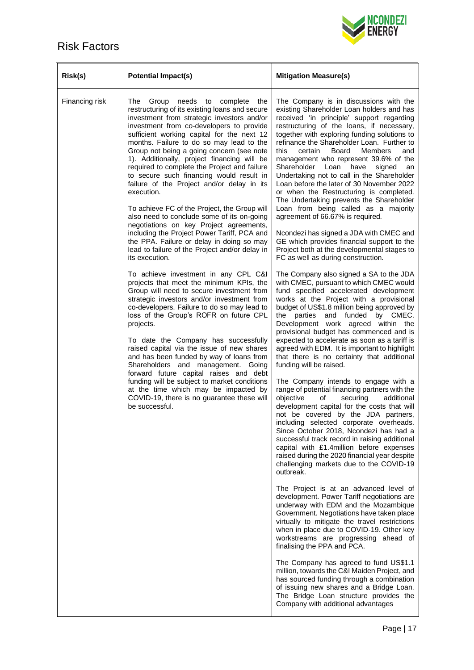# Risk Factors



| Risk(s)        | <b>Potential Impact(s)</b>                                                                                                                                                                                                                                                                                                                                                                                                                                                                                                                                                                                                                                                                                                                                                                                                                                                                                                                                                                                                                                                                                                                                                                                                                                                                                                                                                                                                                                                                                    | <b>Mitigation Measure(s)</b>                                                                                                                                                                                                                                                                                                                                                                                                                                                                                                                                                                                                                                                                                                                                                                                                                                                                                                                                                                                                                                                                                                                                                                                                                                                                                                                                                                                                                                                                                                                                                                                                                                                                                                                                                                                                                                                                                                |
|----------------|---------------------------------------------------------------------------------------------------------------------------------------------------------------------------------------------------------------------------------------------------------------------------------------------------------------------------------------------------------------------------------------------------------------------------------------------------------------------------------------------------------------------------------------------------------------------------------------------------------------------------------------------------------------------------------------------------------------------------------------------------------------------------------------------------------------------------------------------------------------------------------------------------------------------------------------------------------------------------------------------------------------------------------------------------------------------------------------------------------------------------------------------------------------------------------------------------------------------------------------------------------------------------------------------------------------------------------------------------------------------------------------------------------------------------------------------------------------------------------------------------------------|-----------------------------------------------------------------------------------------------------------------------------------------------------------------------------------------------------------------------------------------------------------------------------------------------------------------------------------------------------------------------------------------------------------------------------------------------------------------------------------------------------------------------------------------------------------------------------------------------------------------------------------------------------------------------------------------------------------------------------------------------------------------------------------------------------------------------------------------------------------------------------------------------------------------------------------------------------------------------------------------------------------------------------------------------------------------------------------------------------------------------------------------------------------------------------------------------------------------------------------------------------------------------------------------------------------------------------------------------------------------------------------------------------------------------------------------------------------------------------------------------------------------------------------------------------------------------------------------------------------------------------------------------------------------------------------------------------------------------------------------------------------------------------------------------------------------------------------------------------------------------------------------------------------------------------|
| Financing risk | The<br>Group<br>needs to<br>complete<br>the<br>restructuring of its existing loans and secure<br>investment from strategic investors and/or<br>investment from co-developers to provide<br>sufficient working capital for the next 12<br>months. Failure to do so may lead to the<br>Group not being a going concern (see note<br>1). Additionally, project financing will be<br>required to complete the Project and failure<br>to secure such financing would result in<br>failure of the Project and/or delay in its<br>execution.<br>To achieve FC of the Project, the Group will<br>also need to conclude some of its on-going<br>negotiations on key Project agreements,<br>including the Project Power Tariff, PCA and<br>the PPA. Failure or delay in doing so may<br>lead to failure of the Project and/or delay in<br>its execution.<br>To achieve investment in any CPL C&I<br>projects that meet the minimum KPIs, the<br>Group will need to secure investment from<br>strategic investors and/or investment from<br>co-developers. Failure to do so may lead to<br>loss of the Group's ROFR on future CPL<br>projects.<br>To date the Company has successfully<br>raised capital via the issue of new shares<br>and has been funded by way of loans from<br>Shareholders and management. Going<br>forward future capital raises and debt<br>funding will be subject to market conditions<br>at the time which may be impacted by<br>COVID-19, there is no guarantee these will<br>be successful. | The Company is in discussions with the<br>existing Shareholder Loan holders and has<br>received 'in principle' support regarding<br>restructuring of the loans, if necessary,<br>together with exploring funding solutions to<br>refinance the Shareholder Loan. Further to<br>this<br>certain<br>Board<br><b>Members</b><br>and<br>management who represent 39.6% of the<br>Shareholder<br>Loan<br>have<br>signed<br>an<br>Undertaking not to call in the Shareholder<br>Loan before the later of 30 November 2022<br>or when the Restructuring is completed.<br>The Undertaking prevents the Shareholder<br>Loan from being called as a majority<br>agreement of 66.67% is required.<br>Ncondezi has signed a JDA with CMEC and<br>GE which provides financial support to the<br>Project both at the developmental stages to<br>FC as well as during construction.<br>The Company also signed a SA to the JDA<br>with CMEC, pursuant to which CMEC would<br>fund specified accelerated development<br>works at the Project with a provisional<br>budget of US\$1.8 million being approved by<br>the parties<br>and funded<br>by CMEC.<br>Development work agreed within the<br>provisional budget has commenced and is<br>expected to accelerate as soon as a tariff is<br>agreed with EDM. It is important to highlight<br>that there is no certainty that additional<br>funding will be raised.<br>The Company intends to engage with a<br>range of potential financing partners with the<br>objective<br>securing<br>additional<br>of<br>development capital for the costs that will<br>not be covered by the JDA partners,<br>including selected corporate overheads.<br>Since October 2018, Ncondezi has had a<br>successful track record in raising additional<br>capital with £1.4million before expenses<br>raised during the 2020 financial year despite<br>challenging markets due to the COVID-19<br>outbreak. |
|                |                                                                                                                                                                                                                                                                                                                                                                                                                                                                                                                                                                                                                                                                                                                                                                                                                                                                                                                                                                                                                                                                                                                                                                                                                                                                                                                                                                                                                                                                                                               | The Project is at an advanced level of<br>development. Power Tariff negotiations are<br>underway with EDM and the Mozambique<br>Government. Negotiations have taken place<br>virtually to mitigate the travel restrictions<br>when in place due to COVID-19. Other key<br>workstreams are progressing ahead of<br>finalising the PPA and PCA.                                                                                                                                                                                                                                                                                                                                                                                                                                                                                                                                                                                                                                                                                                                                                                                                                                                                                                                                                                                                                                                                                                                                                                                                                                                                                                                                                                                                                                                                                                                                                                               |
|                |                                                                                                                                                                                                                                                                                                                                                                                                                                                                                                                                                                                                                                                                                                                                                                                                                                                                                                                                                                                                                                                                                                                                                                                                                                                                                                                                                                                                                                                                                                               | The Company has agreed to fund US\$1.1<br>million, towards the C&I Maiden Project, and<br>has sourced funding through a combination<br>of issuing new shares and a Bridge Loan.<br>The Bridge Loan structure provides the<br>Company with additional advantages                                                                                                                                                                                                                                                                                                                                                                                                                                                                                                                                                                                                                                                                                                                                                                                                                                                                                                                                                                                                                                                                                                                                                                                                                                                                                                                                                                                                                                                                                                                                                                                                                                                             |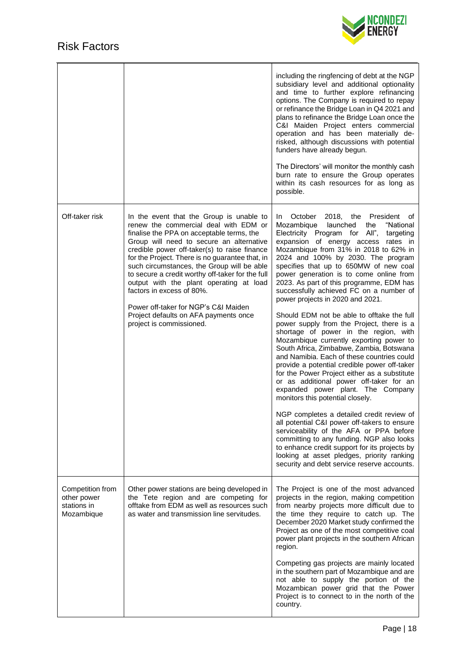

|                                                              |                                                                                                                                                                                                                                                                                                                                                                                                                                                                                                                                                                      | including the ringfencing of debt at the NGP<br>subsidiary level and additional optionality<br>and time to further explore refinancing<br>options. The Company is required to repay<br>or refinance the Bridge Loan in Q4 2021 and<br>plans to refinance the Bridge Loan once the<br>C&I Maiden Project enters commercial<br>operation and has been materially de-<br>risked, although discussions with potential<br>funders have already begun.<br>The Directors' will monitor the monthly cash<br>burn rate to ensure the Group operates<br>within its cash resources for as long as<br>possible.                                                                                                                                                                                                                                                                                                                                                                                                                                                                                                                                                                                                                                                                                                       |
|--------------------------------------------------------------|----------------------------------------------------------------------------------------------------------------------------------------------------------------------------------------------------------------------------------------------------------------------------------------------------------------------------------------------------------------------------------------------------------------------------------------------------------------------------------------------------------------------------------------------------------------------|-----------------------------------------------------------------------------------------------------------------------------------------------------------------------------------------------------------------------------------------------------------------------------------------------------------------------------------------------------------------------------------------------------------------------------------------------------------------------------------------------------------------------------------------------------------------------------------------------------------------------------------------------------------------------------------------------------------------------------------------------------------------------------------------------------------------------------------------------------------------------------------------------------------------------------------------------------------------------------------------------------------------------------------------------------------------------------------------------------------------------------------------------------------------------------------------------------------------------------------------------------------------------------------------------------------|
| Off-taker risk                                               | In the event that the Group is unable to<br>renew the commercial deal with EDM or<br>finalise the PPA on acceptable terms, the<br>Group will need to secure an alternative<br>credible power off-taker(s) to raise finance<br>for the Project. There is no guarantee that, in<br>such circumstances, the Group will be able<br>to secure a credit worthy off-taker for the full<br>output with the plant operating at load<br>factors in excess of 80%.<br>Power off-taker for NGP's C&I Maiden<br>Project defaults on AFA payments once<br>project is commissioned. | October<br>2018, the President of<br>In<br>Mozambique<br>launched<br>"National<br>the<br>Electricity Program for All",<br>targeting<br>expansion of energy access rates in<br>Mozambique from 31% in 2018 to 62% in<br>2024 and 100% by 2030. The program<br>specifies that up to 650MW of new coal<br>power generation is to come online from<br>2023. As part of this programme, EDM has<br>successfully achieved FC on a number of<br>power projects in 2020 and 2021.<br>Should EDM not be able to offtake the full<br>power supply from the Project, there is a<br>shortage of power in the region, with<br>Mozambique currently exporting power to<br>South Africa, Zimbabwe, Zambia, Botswana<br>and Namibia. Each of these countries could<br>provide a potential credible power off-taker<br>for the Power Project either as a substitute<br>or as additional power off-taker for an<br>expanded power plant. The Company<br>monitors this potential closely.<br>NGP completes a detailed credit review of<br>all potential C&I power off-takers to ensure<br>serviceability of the AFA or PPA before<br>committing to any funding. NGP also looks<br>to enhance credit support for its projects by<br>looking at asset pledges, priority ranking<br>security and debt service reserve accounts. |
| Competition from<br>other power<br>stations in<br>Mozambique | Other power stations are being developed in<br>the Tete region and are competing for<br>offtake from EDM as well as resources such<br>as water and transmission line servitudes.                                                                                                                                                                                                                                                                                                                                                                                     | The Project is one of the most advanced<br>projects in the region, making competition<br>from nearby projects more difficult due to<br>the time they require to catch up. The<br>December 2020 Market study confirmed the<br>Project as one of the most competitive coal<br>power plant projects in the southern African<br>region.<br>Competing gas projects are mainly located<br>in the southern part of Mozambique and are<br>not able to supply the portion of the<br>Mozambican power grid that the Power<br>Project is to connect to in the north of the<br>country.                                                                                                                                                                                                                                                                                                                                                                                                                                                                                                                                                                                                                                                                                                                               |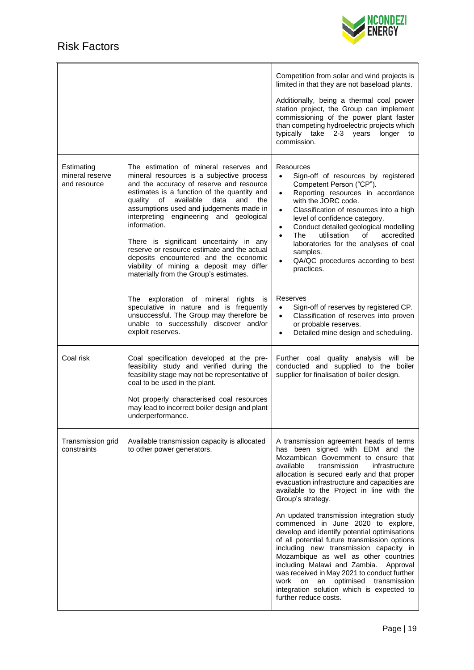

|                                               |                                                                                                                                                                                                                                                                                                                                                                                                                                                                                                                                                                                                               | Competition from solar and wind projects is<br>limited in that they are not baseload plants.<br>Additionally, being a thermal coal power<br>station project, the Group can implement<br>commissioning of the power plant faster<br>than competing hydroelectric projects which<br>typically take 2-3 years longer to<br>commission.                                                                                                                                                                               |
|-----------------------------------------------|---------------------------------------------------------------------------------------------------------------------------------------------------------------------------------------------------------------------------------------------------------------------------------------------------------------------------------------------------------------------------------------------------------------------------------------------------------------------------------------------------------------------------------------------------------------------------------------------------------------|-------------------------------------------------------------------------------------------------------------------------------------------------------------------------------------------------------------------------------------------------------------------------------------------------------------------------------------------------------------------------------------------------------------------------------------------------------------------------------------------------------------------|
| Estimating<br>mineral reserve<br>and resource | The estimation of mineral reserves and<br>mineral resources is a subjective process<br>and the accuracy of reserve and resource<br>estimates is a function of the quantity and<br>quality of available<br>data<br>and<br>the<br>assumptions used and judgements made in<br>interpreting engineering and geological<br>information.<br>There is significant uncertainty in any<br>reserve or resource estimate and the actual<br>deposits encountered and the economic<br>viability of mining a deposit may differ<br>materially from the Group's estimates.<br>The exploration of mineral rights<br><b>IS</b> | Resources<br>Sign-off of resources by registered<br>$\bullet$<br>Competent Person ("CP").<br>Reporting resources in accordance<br>$\bullet$<br>with the JORC code.<br>Classification of resources into a high<br>$\bullet$<br>level of confidence category.<br>Conduct detailed geological modelling<br>$\bullet$<br>utilisation<br><b>The</b><br>of<br>accredited<br>$\bullet$<br>laboratories for the analyses of coal<br>samples.<br>QA/QC procedures according to best<br>$\bullet$<br>practices.<br>Reserves |
|                                               | speculative in nature and is frequently<br>unsuccessful. The Group may therefore be<br>unable to successfully discover and/or<br>exploit reserves.                                                                                                                                                                                                                                                                                                                                                                                                                                                            | Sign-off of reserves by registered CP.<br>$\bullet$<br>Classification of reserves into proven<br>$\bullet$<br>or probable reserves.<br>Detailed mine design and scheduling.<br>$\bullet$                                                                                                                                                                                                                                                                                                                          |
| Coal risk                                     | Coal specification developed at the pre-<br>feasibility study and verified during the<br>feasibility stage may not be representative of<br>coal to be used in the plant.<br>Not properly characterised coal resources<br>may lead to incorrect boiler design and plant<br>underperformance.                                                                                                                                                                                                                                                                                                                   | Further coal quality analysis will be<br>conducted and supplied to the boiler<br>supplier for finalisation of boiler design.                                                                                                                                                                                                                                                                                                                                                                                      |
| Transmission grid<br>constraints              | Available transmission capacity is allocated<br>to other power generators.                                                                                                                                                                                                                                                                                                                                                                                                                                                                                                                                    | A transmission agreement heads of terms<br>has been signed with EDM and the<br>Mozambican Government to ensure that<br>available<br>transmission<br>infrastructure<br>allocation is secured early and that proper<br>evacuation infrastructure and capacities are<br>available to the Project in line with the<br>Group's strategy.                                                                                                                                                                               |
|                                               |                                                                                                                                                                                                                                                                                                                                                                                                                                                                                                                                                                                                               | An updated transmission integration study<br>commenced in June 2020 to explore,<br>develop and identify potential optimisations<br>of all potential future transmission options<br>including new transmission capacity in<br>Mozambique as well as other countries<br>including Malawi and Zambia. Approval<br>was received in May 2021 to conduct further<br>optimised transmission<br>work on<br>an<br>integration solution which is expected to<br>further reduce costs.                                       |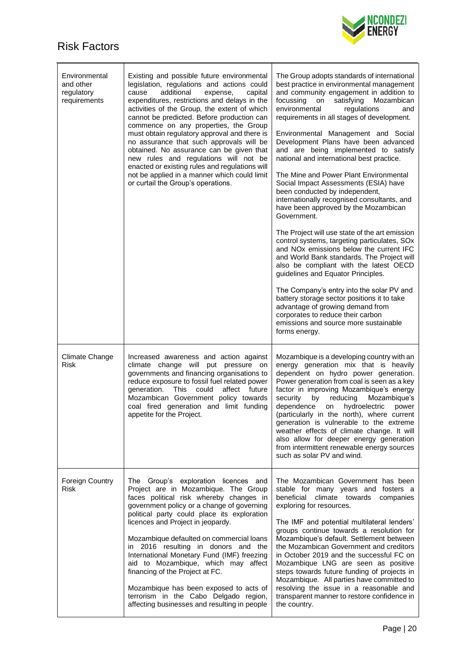

| Environmental<br>and other<br>regulatory<br>requirements | Existing and possible future environmental<br>legislation, regulations and actions could<br>additional<br>cause<br>expense,<br>capital<br>expenditures, restrictions and delays in the<br>activities of the Group, the extent of which<br>cannot be predicted. Before production can<br>commence on any properties, the Group<br>must obtain regulatory approval and there is<br>no assurance that such approvals will be<br>obtained. No assurance can be given that<br>new rules and regulations will not be<br>enacted or existing rules and regulations will<br>not be applied in a manner which could limit<br>or curtail the Group's operations. | The Group adopts standards of international<br>best practice in environmental management<br>and community engagement in addition to<br>focussing<br>satisfying<br>Mozambican<br>on<br>regulations<br>environmental<br>and<br>requirements in all stages of development.<br>Environmental Management and Social<br>Development Plans have been advanced<br>and are being implemented to satisfy<br>national and international best practice.<br>The Mine and Power Plant Environmental<br>Social Impact Assessments (ESIA) have<br>been conducted by independent,<br>internationally recognised consultants, and<br>have been approved by the Mozambican<br>Government.<br>The Project will use state of the art emission<br>control systems, targeting particulates, SOx<br>and NO <sub>x</sub> emissions below the current IFC<br>and World Bank standards. The Project will<br>also be compliant with the latest OECD<br>guidelines and Equator Principles.<br>The Company's entry into the solar PV and<br>battery storage sector positions it to take<br>advantage of growing demand from<br>corporates to reduce their carbon<br>emissions and source more sustainable<br>forms energy. |
|----------------------------------------------------------|--------------------------------------------------------------------------------------------------------------------------------------------------------------------------------------------------------------------------------------------------------------------------------------------------------------------------------------------------------------------------------------------------------------------------------------------------------------------------------------------------------------------------------------------------------------------------------------------------------------------------------------------------------|----------------------------------------------------------------------------------------------------------------------------------------------------------------------------------------------------------------------------------------------------------------------------------------------------------------------------------------------------------------------------------------------------------------------------------------------------------------------------------------------------------------------------------------------------------------------------------------------------------------------------------------------------------------------------------------------------------------------------------------------------------------------------------------------------------------------------------------------------------------------------------------------------------------------------------------------------------------------------------------------------------------------------------------------------------------------------------------------------------------------------------------------------------------------------------------------|
| Climate Change<br><b>Risk</b>                            | Increased awareness and action against<br>climate change will put pressure on<br>governments and financing organisations to<br>reduce exposure to fossil fuel related power<br>generation.<br>This<br>could<br>affect future<br>Mozambican Government policy towards<br>coal fired generation and limit funding<br>appetite for the Project.                                                                                                                                                                                                                                                                                                           | Mozambique is a developing country with an<br>energy generation mix that is heavily<br>dependent on hydro power generation.<br>Power generation from coal is seen as a key<br>factor in improving Mozambique's energy<br>security<br>reducing<br>Mozambique's<br>by<br>dependence<br>hydroelectric<br>on<br>power<br>(particularly in the north), where current<br>generation is vulnerable to the extreme<br>weather effects of climate change. It will<br>also allow for deeper energy generation<br>from intermittent renewable energy sources<br>such as solar PV and wind.                                                                                                                                                                                                                                                                                                                                                                                                                                                                                                                                                                                                              |
| <b>Foreign Country</b><br><b>Risk</b>                    | The Group's exploration licences and<br>Project are in Mozambique. The Group<br>faces political risk whereby changes in<br>government policy or a change of governing<br>political party could place its exploration<br>licences and Project in jeopardy.<br>Mozambique defaulted on commercial loans<br>in 2016 resulting in donors and the<br>International Monetary Fund (IMF) freezing<br>aid to Mozambique, which may affect<br>financing of the Project at FC.<br>Mozambique has been exposed to acts of<br>terrorism in the Cabo Delgado region,<br>affecting businesses and resulting in people                                                | The Mozambican Government has been<br>stable for many years and fosters a<br>beneficial<br>climate towards<br>companies<br>exploring for resources.<br>The IMF and potential multilateral lenders'<br>groups continue towards a resolution for<br>Mozambique's default. Settlement between<br>the Mozambican Government and creditors<br>in October 2019 and the successful FC on<br>Mozambique LNG are seen as positive<br>steps towards future funding of projects in<br>Mozambique. All parties have committed to<br>resolving the issue in a reasonable and<br>transparent manner to restore confidence in<br>the country.                                                                                                                                                                                                                                                                                                                                                                                                                                                                                                                                                               |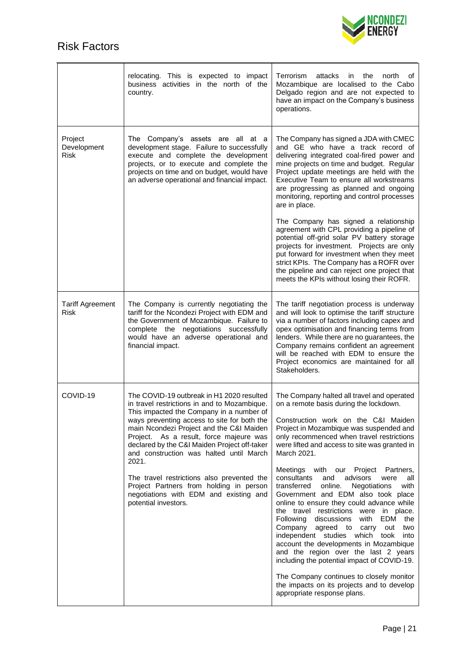

|                                        | relocating. This is expected to impact<br>business activities in the north of the<br>country.                                                                                                                                                                                                                                                                                                                                                                                                                                              | Terrorism<br>attacks<br>in<br>the<br>north<br>οf<br>Mozambique are localised to the Cabo<br>Delgado region and are not expected to<br>have an impact on the Company's business<br>operations.                                                                                                                                                                                                                                                                                                                                                                                                                                                                                                                                                                                                                                                                                                                                                          |
|----------------------------------------|--------------------------------------------------------------------------------------------------------------------------------------------------------------------------------------------------------------------------------------------------------------------------------------------------------------------------------------------------------------------------------------------------------------------------------------------------------------------------------------------------------------------------------------------|--------------------------------------------------------------------------------------------------------------------------------------------------------------------------------------------------------------------------------------------------------------------------------------------------------------------------------------------------------------------------------------------------------------------------------------------------------------------------------------------------------------------------------------------------------------------------------------------------------------------------------------------------------------------------------------------------------------------------------------------------------------------------------------------------------------------------------------------------------------------------------------------------------------------------------------------------------|
| Project<br>Development<br><b>Risk</b>  | The Company's assets are all at a<br>development stage. Failure to successfully<br>execute and complete the development<br>projects, or to execute and complete the<br>projects on time and on budget, would have<br>an adverse operational and financial impact.                                                                                                                                                                                                                                                                          | The Company has signed a JDA with CMEC<br>and GE who have a track record of<br>delivering integrated coal-fired power and<br>mine projects on time and budget. Regular<br>Project update meetings are held with the<br>Executive Team to ensure all workstreams<br>are progressing as planned and ongoing<br>monitoring, reporting and control processes<br>are in place.<br>The Company has signed a relationship<br>agreement with CPL providing a pipeline of<br>potential off-grid solar PV battery storage<br>projects for investment. Projects are only<br>put forward for investment when they meet<br>strict KPIs. The Company has a ROFR over<br>the pipeline and can reject one project that<br>meets the KPIs without losing their ROFR.                                                                                                                                                                                                    |
| <b>Tariff Agreement</b><br><b>Risk</b> | The Company is currently negotiating the<br>tariff for the Ncondezi Project with EDM and<br>the Government of Mozambique. Failure to<br>complete the negotiations successfully<br>would have an adverse operational and<br>financial impact.                                                                                                                                                                                                                                                                                               | The tariff negotiation process is underway<br>and will look to optimise the tariff structure<br>via a number of factors including capex and<br>opex optimisation and financing terms from<br>lenders. While there are no guarantees, the<br>Company remains confident an agreement<br>will be reached with EDM to ensure the<br>Project economics are maintained for all<br>Stakeholders.                                                                                                                                                                                                                                                                                                                                                                                                                                                                                                                                                              |
| COVID-19                               | The COVID-19 outbreak in H1 2020 resulted<br>in travel restrictions in and to Mozambique.<br>This impacted the Company in a number of<br>ways preventing access to site for both the<br>main Ncondezi Project and the C&I Maiden<br>Project. As a result, force majeure was<br>declared by the C&I Maiden Project off-taker<br>and construction was halted until March<br>2021.<br>The travel restrictions also prevented the<br>Project Partners from holding in person<br>negotiations with EDM and existing and<br>potential investors. | The Company halted all travel and operated<br>on a remote basis during the lockdown.<br>Construction work on the C&I Maiden<br>Project in Mozambique was suspended and<br>only recommenced when travel restrictions<br>were lifted and access to site was granted in<br>March 2021.<br>Meetings with our Project<br>Partners,<br>consultants<br>and<br>advisors<br>were<br>all<br>transferred<br>online.<br>Negotiations<br>with<br>Government and EDM also took place<br>online to ensure they could advance while<br>the travel restrictions were in place.<br>Following discussions with<br>EDM<br>the<br>Company agreed to carry<br>out<br>two<br>independent studies which took<br>into<br>account the developments in Mozambique<br>and the region over the last 2 years<br>including the potential impact of COVID-19.<br>The Company continues to closely monitor<br>the impacts on its projects and to develop<br>appropriate response plans. |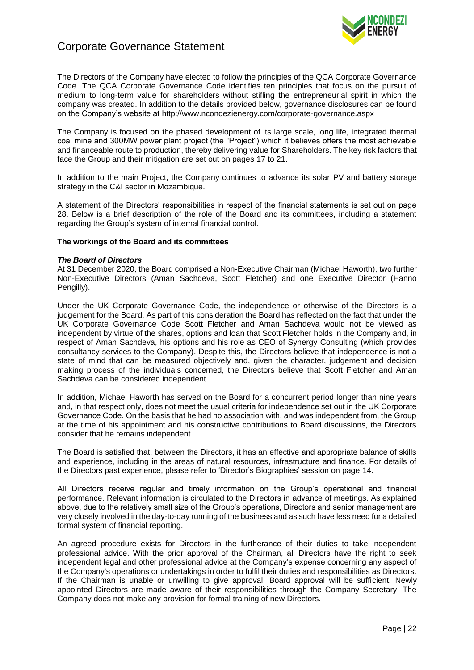

The Directors of the Company have elected to follow the principles of the QCA Corporate Governance Code. The QCA Corporate Governance Code identifies ten principles that focus on the pursuit of medium to long-term value for shareholders without stifling the entrepreneurial spirit in which the company was created. In addition to the details provided below, governance disclosures can be found on the Company's website at<http://www.ncondezienergy.com/corporate-governance.aspx>

The Company is focused on the phased development of its large scale, long life, integrated thermal coal mine and 300MW power plant project (the "Project") which it believes offers the most achievable and financeable route to production, thereby delivering value for Shareholders. The key risk factors that face the Group and their mitigation are set out on pages 17 to 21.

In addition to the main Project, the Company continues to advance its solar PV and battery storage strategy in the C&I sector in Mozambique.

A statement of the Directors' responsibilities in respect of the financial statements is set out on page 28. Below is a brief description of the role of the Board and its committees, including a statement regarding the Group's system of internal financial control.

#### **The workings of the Board and its committees**

#### *The Board of Directors*

At 31 December 2020, the Board comprised a Non-Executive Chairman (Michael Haworth), two further Non-Executive Directors (Aman Sachdeva, Scott Fletcher) and one Executive Director (Hanno Pengilly).

Under the UK Corporate Governance Code, the independence or otherwise of the Directors is a judgement for the Board. As part of this consideration the Board has reflected on the fact that under the UK Corporate Governance Code Scott Fletcher and Aman Sachdeva would not be viewed as independent by virtue of the shares, options and loan that Scott Fletcher holds in the Company and, in respect of Aman Sachdeva, his options and his role as CEO of Synergy Consulting (which provides consultancy services to the Company). Despite this, the Directors believe that independence is not a state of mind that can be measured objectively and, given the character, judgement and decision making process of the individuals concerned, the Directors believe that Scott Fletcher and Aman Sachdeva can be considered independent.

In addition, Michael Haworth has served on the Board for a concurrent period longer than nine years and, in that respect only, does not meet the usual criteria for independence set out in the UK Corporate Governance Code. On the basis that he had no association with, and was independent from, the Group at the time of his appointment and his constructive contributions to Board discussions, the Directors consider that he remains independent.

The Board is satisfied that, between the Directors, it has an effective and appropriate balance of skills and experience, including in the areas of natural resources, infrastructure and finance. For details of the Directors past experience, please refer to 'Director's Biographies' session on page 14.

All Directors receive regular and timely information on the Group's operational and financial performance. Relevant information is circulated to the Directors in advance of meetings. As explained above, due to the relatively small size of the Group's operations, Directors and senior management are very closely involved in the day-to-day running of the business and as such have less need for a detailed formal system of financial reporting.

An agreed procedure exists for Directors in the furtherance of their duties to take independent professional advice. With the prior approval of the Chairman, all Directors have the right to seek independent legal and other professional advice at the Company's expense concerning any aspect of the Company's operations or undertakings in order to fulfil their duties and responsibilities as Directors. If the Chairman is unable or unwilling to give approval, Board approval will be sufficient. Newly appointed Directors are made aware of their responsibilities through the Company Secretary. The Company does not make any provision for formal training of new Directors.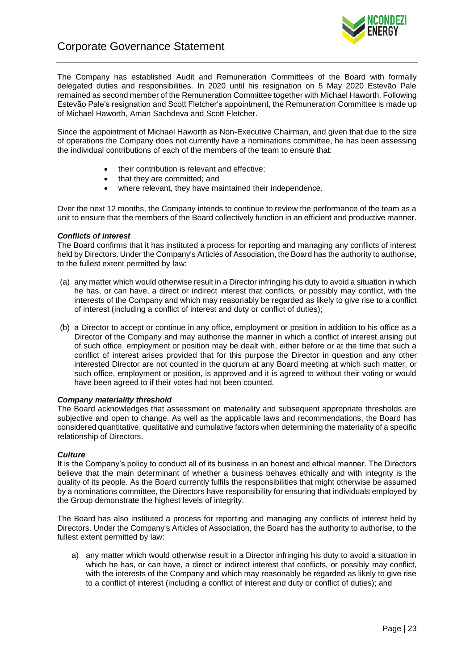



The Company has established Audit and Remuneration Committees of the Board with formally delegated duties and responsibilities. In 2020 until his resignation on 5 May 2020 Estevão Pale remained as second member of the Remuneration Committee together with Michael Haworth. Following Estevão Pale's resignation and Scott Fletcher's appointment, the Remuneration Committee is made up of Michael Haworth, Aman Sachdeva and Scott Fletcher.

Since the appointment of Michael Haworth as Non-Executive Chairman, and given that due to the size of operations the Company does not currently have a nominations committee, he has been assessing the individual contributions of each of the members of the team to ensure that:

- their contribution is relevant and effective;
- that they are committed; and
- where relevant, they have maintained their independence.

Over the next 12 months, the Company intends to continue to review the performance of the team as a unit to ensure that the members of the Board collectively function in an efficient and productive manner.

#### *Conflicts of interest*

The Board confirms that it has instituted a process for reporting and managing any conflicts of interest held by Directors. Under the Company's Articles of Association, the Board has the authority to authorise, to the fullest extent permitted by law:

- (a) any matter which would otherwise result in a Director infringing his duty to avoid a situation in which he has, or can have, a direct or indirect interest that conflicts, or possibly may conflict, with the interests of the Company and which may reasonably be regarded as likely to give rise to a conflict of interest (including a conflict of interest and duty or conflict of duties);
- (b) a Director to accept or continue in any office, employment or position in addition to his office as a Director of the Company and may authorise the manner in which a conflict of interest arising out of such office, employment or position may be dealt with, either before or at the time that such a conflict of interest arises provided that for this purpose the Director in question and any other interested Director are not counted in the quorum at any Board meeting at which such matter, or such office, employment or position, is approved and it is agreed to without their voting or would have been agreed to if their votes had not been counted.

#### *Company materiality threshold*

The Board acknowledges that assessment on materiality and subsequent appropriate thresholds are subjective and open to change. As well as the applicable laws and recommendations, the Board has considered quantitative, qualitative and cumulative factors when determining the materiality of a specific relationship of Directors.

#### *Culture*

It is the Company's policy to conduct all of its business in an honest and ethical manner. The Directors believe that the main determinant of whether a business behaves ethically and with integrity is the quality of its people. As the Board currently fulfils the responsibilities that might otherwise be assumed by a nominations committee, the Directors have responsibility for ensuring that individuals employed by the Group demonstrate the highest levels of integrity.

The Board has also instituted a process for reporting and managing any conflicts of interest held by Directors. Under the Company's Articles of Association, the Board has the authority to authorise, to the fullest extent permitted by law:

a) any matter which would otherwise result in a Director infringing his duty to avoid a situation in which he has, or can have, a direct or indirect interest that conflicts, or possibly may conflict, with the interests of the Company and which may reasonably be regarded as likely to give rise to a conflict of interest (including a conflict of interest and duty or conflict of duties); and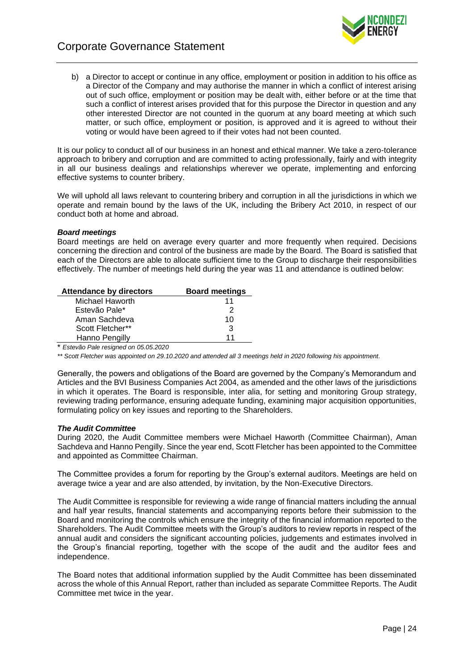

# Corporate Governance Statement

b) a Director to accept or continue in any office, employment or position in addition to his office as a Director of the Company and may authorise the manner in which a conflict of interest arising out of such office, employment or position may be dealt with, either before or at the time that such a conflict of interest arises provided that for this purpose the Director in question and any other interested Director are not counted in the quorum at any board meeting at which such matter, or such office, employment or position, is approved and it is agreed to without their voting or would have been agreed to if their votes had not been counted.

It is our policy to conduct all of our business in an honest and ethical manner. We take a zero-tolerance approach to bribery and corruption and are committed to acting professionally, fairly and with integrity in all our business dealings and relationships wherever we operate, implementing and enforcing effective systems to counter bribery.

We will uphold all laws relevant to countering bribery and corruption in all the jurisdictions in which we operate and remain bound by the laws of the UK, including the Bribery Act 2010, in respect of our conduct both at home and abroad.

# *Board meetings*

Board meetings are held on average every quarter and more frequently when required. Decisions concerning the direction and control of the business are made by the Board. The Board is satisfied that each of the Directors are able to allocate sufficient time to the Group to discharge their responsibilities effectively. The number of meetings held during the year was 11 and attendance is outlined below:

| <b>Attendance by directors</b> | <b>Board meetings</b> |
|--------------------------------|-----------------------|
| Michael Haworth                | 11                    |
| Estevão Pale*                  | 2                     |
| Aman Sachdeva                  | 10                    |
| Scott Fletcher**               | 3                     |
| Hanno Pengilly                 | 11                    |
|                                |                       |

\* *Estevão Pale resigned on 05.05.2020*

*\*\* Scott Fletcher was appointed on 29.10.2020 and attended all 3 meetings held in 2020 following his appointment.*

Generally, the powers and obligations of the Board are governed by the Company's Memorandum and Articles and the BVI Business Companies Act 2004, as amended and the other laws of the jurisdictions in which it operates. The Board is responsible, inter alia, for setting and monitoring Group strategy, reviewing trading performance, ensuring adequate funding, examining major acquisition opportunities, formulating policy on key issues and reporting to the Shareholders.

#### *The Audit Committee*

During 2020, the Audit Committee members were Michael Haworth (Committee Chairman), Aman Sachdeva and Hanno Pengilly. Since the year end, Scott Fletcher has been appointed to the Committee and appointed as Committee Chairman.

The Committee provides a forum for reporting by the Group's external auditors. Meetings are held on average twice a year and are also attended, by invitation, by the Non-Executive Directors.

The Audit Committee is responsible for reviewing a wide range of financial matters including the annual and half year results, financial statements and accompanying reports before their submission to the Board and monitoring the controls which ensure the integrity of the financial information reported to the Shareholders. The Audit Committee meets with the Group's auditors to review reports in respect of the annual audit and considers the significant accounting policies, judgements and estimates involved in the Group's financial reporting, together with the scope of the audit and the auditor fees and independence.

The Board notes that additional information supplied by the Audit Committee has been disseminated across the whole of this Annual Report, rather than included as separate Committee Reports. The Audit Committee met twice in the year.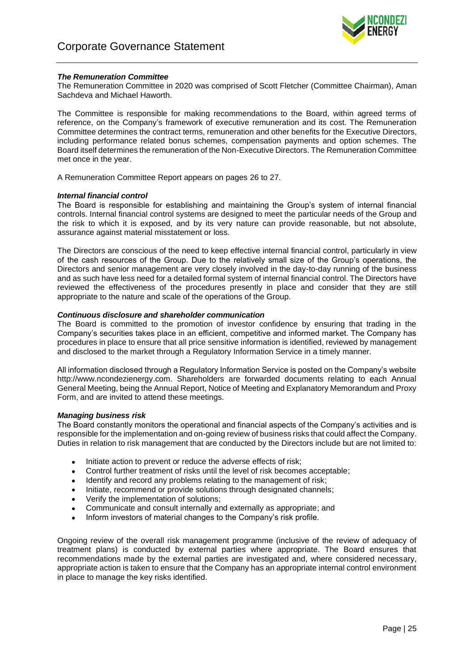

#### *The Remuneration Committee*

The Remuneration Committee in 2020 was comprised of Scott Fletcher (Committee Chairman), Aman Sachdeva and Michael Haworth.

The Committee is responsible for making recommendations to the Board, within agreed terms of reference, on the Company's framework of executive remuneration and its cost. The Remuneration Committee determines the contract terms, remuneration and other benefits for the Executive Directors, including performance related bonus schemes, compensation payments and option schemes. The Board itself determines the remuneration of the Non-Executive Directors. The Remuneration Committee met once in the year.

A Remuneration Committee Report appears on pages 26 to 27.

#### *Internal financial control*

The Board is responsible for establishing and maintaining the Group's system of internal financial controls. Internal financial control systems are designed to meet the particular needs of the Group and the risk to which it is exposed, and by its very nature can provide reasonable, but not absolute, assurance against material misstatement or loss.

The Directors are conscious of the need to keep effective internal financial control, particularly in view of the cash resources of the Group. Due to the relatively small size of the Group's operations, the Directors and senior management are very closely involved in the day-to-day running of the business and as such have less need for a detailed formal system of internal financial control. The Directors have reviewed the effectiveness of the procedures presently in place and consider that they are still appropriate to the nature and scale of the operations of the Group.

#### *Continuous disclosure and shareholder communication*

The Board is committed to the promotion of investor confidence by ensuring that trading in the Company's securities takes place in an efficient, competitive and informed market. The Company has procedures in place to ensure that all price sensitive information is identified, reviewed by management and disclosed to the market through a Regulatory Information Service in a timely manner.

All information disclosed through a Regulatory Information Service is posted on the Company's website http://www.ncondezienergy.com. Shareholders are forwarded documents relating to each Annual General Meeting, being the Annual Report, Notice of Meeting and Explanatory Memorandum and Proxy Form, and are invited to attend these meetings.

#### *Managing business risk*

The Board constantly monitors the operational and financial aspects of the Company's activities and is responsible for the implementation and on-going review of business risks that could affect the Company. Duties in relation to risk management that are conducted by the Directors include but are not limited to:

- Initiate action to prevent or reduce the adverse effects of risk;
- Control further treatment of risks until the level of risk becomes acceptable;
- Identify and record any problems relating to the management of risk;
- Initiate, recommend or provide solutions through designated channels;
- Verify the implementation of solutions;
- Communicate and consult internally and externally as appropriate; and
- Inform investors of material changes to the Company's risk profile.

Ongoing review of the overall risk management programme (inclusive of the review of adequacy of treatment plans) is conducted by external parties where appropriate. The Board ensures that recommendations made by the external parties are investigated and, where considered necessary, appropriate action is taken to ensure that the Company has an appropriate internal control environment in place to manage the key risks identified.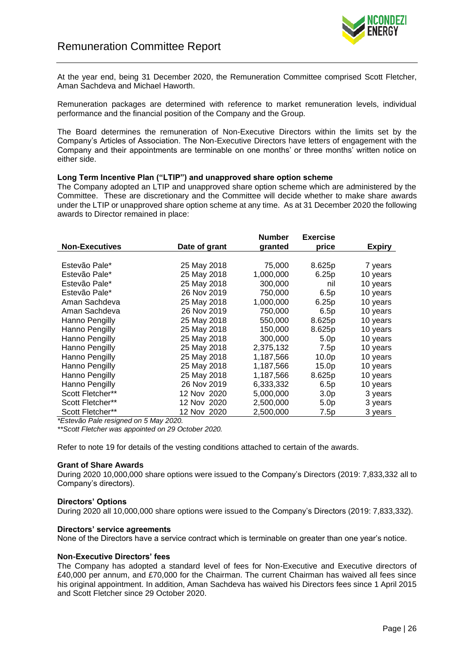

At the year end, being 31 December 2020, the Remuneration Committee comprised Scott Fletcher, Aman Sachdeva and Michael Haworth.

Remuneration packages are determined with reference to market remuneration levels, individual performance and the financial position of the Company and the Group.

The Board determines the remuneration of Non-Executive Directors within the limits set by the Company's Articles of Association. The Non-Executive Directors have letters of engagement with the Company and their appointments are terminable on one months' or three months' written notice on either side.

#### **Long Term Incentive Plan ("LTIP") and unapproved share option scheme**

The Company adopted an LTIP and unapproved share option scheme which are administered by the Committee. These are discretionary and the Committee will decide whether to make share awards under the LTIP or unapproved share option scheme at any time. As at 31 December 2020 the following awards to Director remained in place:

|                       |               | <b>Number</b> | <b>Exercise</b>   |               |
|-----------------------|---------------|---------------|-------------------|---------------|
| <b>Non-Executives</b> | Date of grant | granted       | price             | <b>Expiry</b> |
|                       |               |               |                   |               |
| Estevão Pale*         | 25 May 2018   | 75,000        | 8.625p            | 7 years       |
| Estevão Pale*         | 25 May 2018   | 1,000,000     | 6.25p             | 10 years      |
| Estevão Pale*         | 25 May 2018   | 300,000       | nil               | 10 years      |
| Estevão Pale*         | 26 Nov 2019   | 750,000       | 6.5p              | 10 years      |
| Aman Sachdeva         | 25 May 2018   | 1,000,000     | 6.25p             | 10 years      |
| Aman Sachdeva         | 26 Nov 2019   | 750,000       | 6.5p              | 10 years      |
| Hanno Pengilly        | 25 May 2018   | 550,000       | 8.625p            | 10 years      |
| Hanno Pengilly        | 25 May 2018   | 150,000       | 8.625p            | 10 years      |
| Hanno Pengilly        | 25 May 2018   | 300,000       | 5.0 <sub>p</sub>  | 10 years      |
| Hanno Pengilly        | 25 May 2018   | 2,375,132     | 7.5p              | 10 years      |
| Hanno Pengilly        | 25 May 2018   | 1,187,566     | 10.0 <sub>p</sub> | 10 years      |
| Hanno Pengilly        | 25 May 2018   | 1,187,566     | 15.0p             | 10 years      |
| Hanno Pengilly        | 25 May 2018   | 1,187,566     | 8.625p            | 10 years      |
| Hanno Pengilly        | 26 Nov 2019   | 6,333,332     | 6.5p              | 10 years      |
| Scott Fletcher**      | 12 Nov 2020   | 5,000,000     | 3.0 <sub>p</sub>  | 3 years       |
| Scott Fletcher**      | 12 Nov 2020   | 2,500,000     | 5.0 <sub>p</sub>  | 3 years       |
| Scott Fletcher**      | 12 Nov 2020   | 2,500,000     | 7.5p              | 3 years       |

*\*Estevão Pale resigned on 5 May 2020.*

*\*\*Scott Fletcher was appointed on 29 October 2020.*

Refer to note 19 for details of the vesting conditions attached to certain of the awards.

#### **Grant of Share Awards**

During 2020 10,000,000 share options were issued to the Company's Directors (2019: 7,833,332 all to Company's directors).

#### **Directors' Options**

During 2020 all 10,000,000 share options were issued to the Company's Directors (2019: 7,833,332).

# **Directors' service agreements**

None of the Directors have a service contract which is terminable on greater than one year's notice.

#### **Non-Executive Directors' fees**

The Company has adopted a standard level of fees for Non-Executive and Executive directors of £40,000 per annum, and £70,000 for the Chairman. The current Chairman has waived all fees since his original appointment. In addition, Aman Sachdeva has waived his Directors fees since 1 April 2015 and Scott Fletcher since 29 October 2020.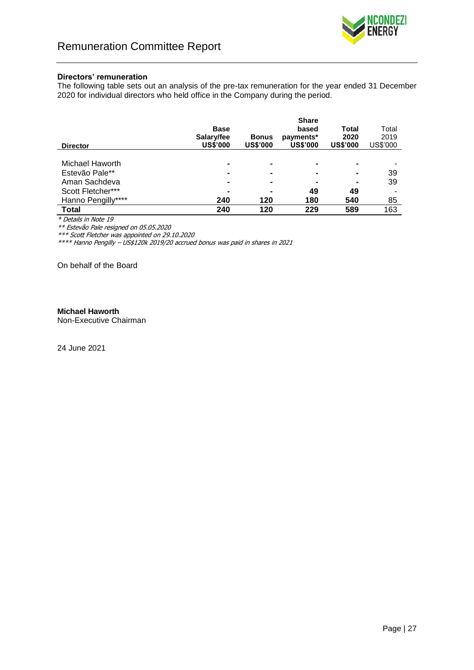

# **Directors' remuneration**

The following table sets out an analysis of the pre-tax remuneration for the year ended 31 December 2020 for individual directors who held office in the Company during the period.

| <b>Director</b>    | <b>Base</b><br>Salary/fee<br><b>US\$'000</b> | <b>Bonus</b><br><b>US\$'000</b> | <b>Share</b><br>based<br>payments*<br><b>US\$'000</b> | Total<br>2020<br><b>US\$'000</b> | Total<br>2019<br>US\$'000 |
|--------------------|----------------------------------------------|---------------------------------|-------------------------------------------------------|----------------------------------|---------------------------|
|                    |                                              |                                 |                                                       |                                  |                           |
| Michael Haworth    |                                              | $\blacksquare$                  | $\blacksquare$                                        | -                                |                           |
| Estevão Pale**     |                                              | $\blacksquare$                  | $\blacksquare$                                        | ۰                                | 39                        |
| Aman Sachdeva      |                                              | $\blacksquare$                  | $\blacksquare$                                        | -                                | 39                        |
| Scott Fletcher***  |                                              | $\blacksquare$                  | 49                                                    | 49                               | $\blacksquare$            |
| Hanno Pengilly**** | 240                                          | 120                             | 180                                                   | 540                              | 85                        |
| Total              | 240                                          | 120                             | 229                                                   | 589                              | 163                       |

\* Details in Note 19

\*\* Estevão Pale resigned on 05.05.2020

\*\*\* Scott Fletcher was appointed on 29.10.2020 \*\*\*\* Hanno Pengilly – US\$120k 2019/20 accrued bonus was paid in shares in 2021

On behalf of the Board

#### **Michael Haworth**

Non-Executive Chairman

24 June 2021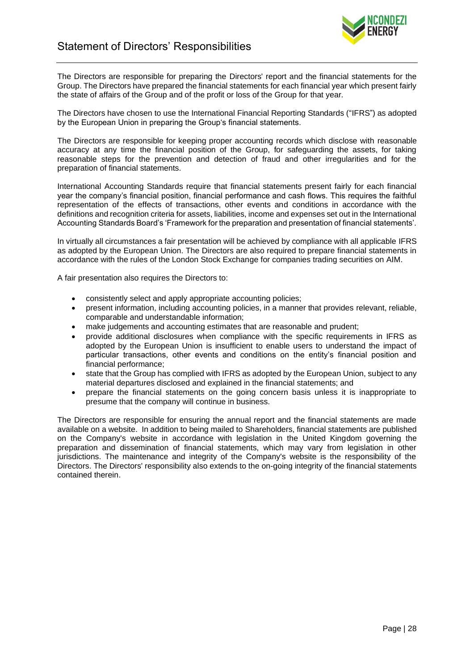

The Directors are responsible for preparing the Directors' report and the financial statements for the Group. The Directors have prepared the financial statements for each financial year which present fairly the state of affairs of the Group and of the profit or loss of the Group for that year.

The Directors have chosen to use the International Financial Reporting Standards ("IFRS") as adopted by the European Union in preparing the Group's financial statements.

The Directors are responsible for keeping proper accounting records which disclose with reasonable accuracy at any time the financial position of the Group, for safeguarding the assets, for taking reasonable steps for the prevention and detection of fraud and other irregularities and for the preparation of financial statements.

International Accounting Standards require that financial statements present fairly for each financial year the company's financial position, financial performance and cash flows. This requires the faithful representation of the effects of transactions, other events and conditions in accordance with the definitions and recognition criteria for assets, liabilities, income and expenses set out in the International Accounting Standards Board's 'Framework for the preparation and presentation of financial statements'.

In virtually all circumstances a fair presentation will be achieved by compliance with all applicable IFRS as adopted by the European Union. The Directors are also required to prepare financial statements in accordance with the rules of the London Stock Exchange for companies trading securities on AIM.

A fair presentation also requires the Directors to:

- consistently select and apply appropriate accounting policies;
- present information, including accounting policies, in a manner that provides relevant, reliable, comparable and understandable information;
- make judgements and accounting estimates that are reasonable and prudent;
- provide additional disclosures when compliance with the specific requirements in IFRS as adopted by the European Union is insufficient to enable users to understand the impact of particular transactions, other events and conditions on the entity's financial position and financial performance;
- state that the Group has complied with IFRS as adopted by the European Union, subject to any material departures disclosed and explained in the financial statements; and
- prepare the financial statements on the going concern basis unless it is inappropriate to presume that the company will continue in business.

The Directors are responsible for ensuring the annual report and the financial statements are made available on a website. In addition to being mailed to Shareholders, financial statements are published on the Company's website in accordance with legislation in the United Kingdom governing the preparation and dissemination of financial statements, which may vary from legislation in other jurisdictions. The maintenance and integrity of the Company's website is the responsibility of the Directors. The Directors' responsibility also extends to the on-going integrity of the financial statements contained therein.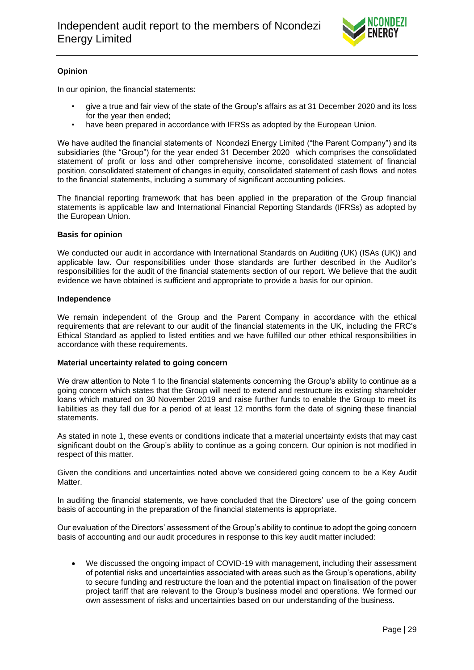

# **Opinion**

In our opinion, the financial statements:

- give a true and fair view of the state of the Group's affairs as at 31 December 2020 and its loss for the year then ended;
- have been prepared in accordance with IFRSs as adopted by the European Union.

We have audited the financial statements of Ncondezi Energy Limited ("the Parent Company") and its subsidiaries (the "Group") for the year ended 31 December 2020 which comprises the consolidated statement of profit or loss and other comprehensive income, consolidated statement of financial position, consolidated statement of changes in equity, consolidated statement of cash flows and notes to the financial statements, including a summary of significant accounting policies.

The financial reporting framework that has been applied in the preparation of the Group financial statements is applicable law and International Financial Reporting Standards (IFRSs) as adopted by the European Union.

# **Basis for opinion**

We conducted our audit in accordance with International Standards on Auditing (UK) (ISAs (UK)) and applicable law. Our responsibilities under those standards are further described in the Auditor's responsibilities for the audit of the financial statements section of our report. We believe that the audit evidence we have obtained is sufficient and appropriate to provide a basis for our opinion.

#### **Independence**

We remain independent of the Group and the Parent Company in accordance with the ethical requirements that are relevant to our audit of the financial statements in the UK, including the FRC's Ethical Standard as applied to listed entities and we have fulfilled our other ethical responsibilities in accordance with these requirements.

#### **Material uncertainty related to going concern**

We draw attention to Note 1 to the financial statements concerning the Group's ability to continue as a going concern which states that the Group will need to extend and restructure its existing shareholder loans which matured on 30 November 2019 and raise further funds to enable the Group to meet its liabilities as they fall due for a period of at least 12 months form the date of signing these financial statements.

As stated in note 1, these events or conditions indicate that a material uncertainty exists that may cast significant doubt on the Group's ability to continue as a going concern. Our opinion is not modified in respect of this matter.

Given the conditions and uncertainties noted above we considered going concern to be a Key Audit Matter.

In auditing the financial statements, we have concluded that the Directors' use of the going concern basis of accounting in the preparation of the financial statements is appropriate.

Our evaluation of the Directors' assessment of the Group's ability to continue to adopt the going concern basis of accounting and our audit procedures in response to this key audit matter included:

• We discussed the ongoing impact of COVID-19 with management, including their assessment of potential risks and uncertainties associated with areas such as the Group's operations, ability to secure funding and restructure the loan and the potential impact on finalisation of the power project tariff that are relevant to the Group's business model and operations. We formed our own assessment of risks and uncertainties based on our understanding of the business.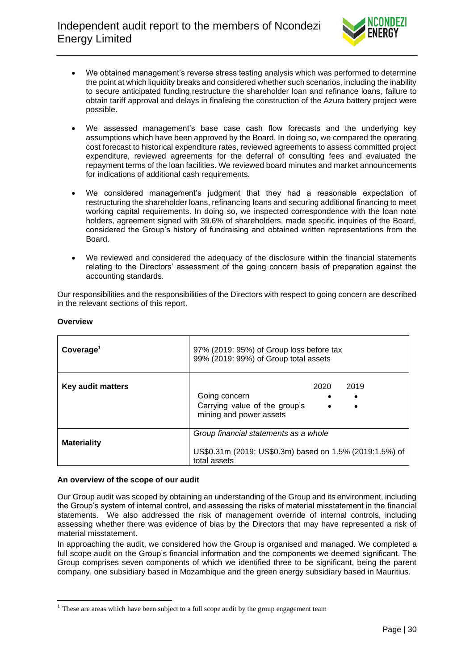

- We obtained management's reverse stress testing analysis which was performed to determine the point at which liquidity breaks and considered whether such scenarios, including the inability to secure anticipated funding,restructure the shareholder loan and refinance loans, failure to obtain tariff approval and delays in finalising the construction of the Azura battery project were possible.
- We assessed management's base case cash flow forecasts and the underlying key assumptions which have been approved by the Board. In doing so, we compared the operating cost forecast to historical expenditure rates, reviewed agreements to assess committed project expenditure, reviewed agreements for the deferral of consulting fees and evaluated the repayment terms of the loan facilities. We reviewed board minutes and market announcements for indications of additional cash requirements.
- We considered management's judgment that they had a reasonable expectation of restructuring the shareholder loans, refinancing loans and securing additional financing to meet working capital requirements. In doing so, we inspected correspondence with the loan note holders, agreement signed with 39.6% of shareholders, made specific inquiries of the Board, considered the Group's history of fundraising and obtained written representations from the Board.
- We reviewed and considered the adequacy of the disclosure within the financial statements relating to the Directors' assessment of the going concern basis of preparation against the accounting standards.

Our responsibilities and the responsibilities of the Directors with respect to going concern are described in the relevant sections of this report.

| Coverage <sup>1</sup> | 97% (2019: 95%) of Group loss before tax<br>99% (2019: 99%) of Group total assets                                   |
|-----------------------|---------------------------------------------------------------------------------------------------------------------|
| Key audit matters     | 2020<br>2019<br>Going concern<br>$\bullet$<br>Carrying value of the group's<br>$\bullet$<br>mining and power assets |
| <b>Materiality</b>    | Group financial statements as a whole<br>US\$0.31m (2019: US\$0.3m) based on 1.5% (2019:1.5%) of<br>total assets    |

# **Overview**

# **An overview of the scope of our audit**

Our Group audit was scoped by obtaining an understanding of the Group and its environment, including the Group's system of internal control, and assessing the risks of material misstatement in the financial statements. We also addressed the risk of management override of internal controls, including assessing whether there was evidence of bias by the Directors that may have represented a risk of material misstatement.

In approaching the audit, we considered how the Group is organised and managed. We completed a full scope audit on the Group's financial information and the components we deemed significant. The Group comprises seven components of which we identified three to be significant, being the parent company, one subsidiary based in Mozambique and the green energy subsidiary based in Mauritius.

<sup>&</sup>lt;sup>1</sup> These are areas which have been subject to a full scope audit by the group engagement team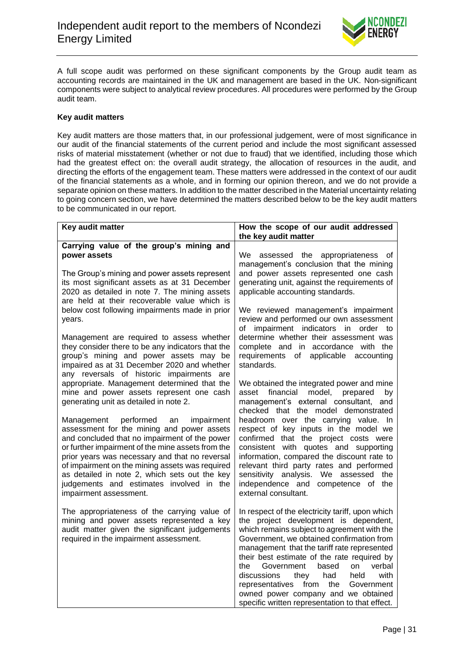

A full scope audit was performed on these significant components by the Group audit team as accounting records are maintained in the UK and management are based in the UK. Non-significant components were subject to analytical review procedures. All procedures were performed by the Group audit team.

# **Key audit matters**

Key audit matters are those matters that, in our professional judgement, were of most significance in our audit of the financial statements of the current period and include the most significant assessed risks of material misstatement (whether or not due to fraud) that we identified, including those which had the greatest effect on: the overall audit strategy, the allocation of resources in the audit, and directing the efforts of the engagement team. These matters were addressed in the context of our audit of the financial statements as a whole, and in forming our opinion thereon, and we do not provide a separate opinion on these matters. In addition to the matter described in the Material uncertainty relating to going concern section, we have determined the matters described below to be the key audit matters to be communicated in our report.

| Key audit matter                                               | How the scope of our audit addressed<br>the key audit matter                                                              |
|----------------------------------------------------------------|---------------------------------------------------------------------------------------------------------------------------|
| Carrying value of the group's mining and                       |                                                                                                                           |
| power assets                                                   | We<br>assessed the<br>appropriateness<br>οf<br>management's conclusion that the mining                                    |
| The Group's mining and power assets represent                  | and power assets represented one cash                                                                                     |
| its most significant assets as at 31 December                  | generating unit, against the requirements of                                                                              |
| 2020 as detailed in note 7. The mining assets                  | applicable accounting standards.                                                                                          |
| are held at their recoverable value which is                   |                                                                                                                           |
| below cost following impairments made in prior<br>years.       | We reviewed management's impairment<br>review and performed our own assessment<br>of impairment indicators<br>in order to |
| Management are required to assess whether                      | determine whether their assessment was                                                                                    |
| they consider there to be any indicators that the              | complete and in accordance with the                                                                                       |
| group's mining and power assets may be                         | requirements of applicable accounting                                                                                     |
| impaired as at 31 December 2020 and whether                    | standards.                                                                                                                |
| any reversals of historic impairments are                      |                                                                                                                           |
| appropriate. Management determined that the                    | We obtained the integrated power and mine                                                                                 |
| mine and power assets represent one cash                       | asset financial<br>model, prepared<br>by                                                                                  |
| generating unit as detailed in note 2.                         | management's external consultant, and                                                                                     |
| performed<br>impairment                                        | checked that the model demonstrated<br>headroom over the carrying value. In                                               |
| Management<br>an<br>assessment for the mining and power assets | respect of key inputs in the model we                                                                                     |
| and concluded that no impairment of the power                  | confirmed that the project costs were                                                                                     |
| or further impairment of the mine assets from the              | consistent with quotes and supporting                                                                                     |
| prior years was necessary and that no reversal                 | information, compared the discount rate to                                                                                |
| of impairment on the mining assets was required                | relevant third party rates and performed                                                                                  |
| as detailed in note 2, which sets out the key                  | sensitivity analysis. We assessed<br>the                                                                                  |
| judgements and estimates involved in the                       | independence and competence of the                                                                                        |
| impairment assessment.                                         | external consultant.                                                                                                      |
| The appropriateness of the carrying value of                   | In respect of the electricity tariff, upon which                                                                          |
| mining and power assets represented a key                      | the project development is dependent,                                                                                     |
| audit matter given the significant judgements                  | which remains subject to agreement with the                                                                               |
| required in the impairment assessment.                         | Government, we obtained confirmation from                                                                                 |
|                                                                | management that the tariff rate represented                                                                               |
|                                                                | their best estimate of the rate required by                                                                               |
|                                                                | based<br>verbal<br>the<br>Government<br>on<br>with                                                                        |
|                                                                | discussions<br>they<br>had<br>held<br>representatives from<br>the<br>Government                                           |
|                                                                | owned power company and we obtained                                                                                       |
|                                                                | specific written representation to that effect.                                                                           |
|                                                                |                                                                                                                           |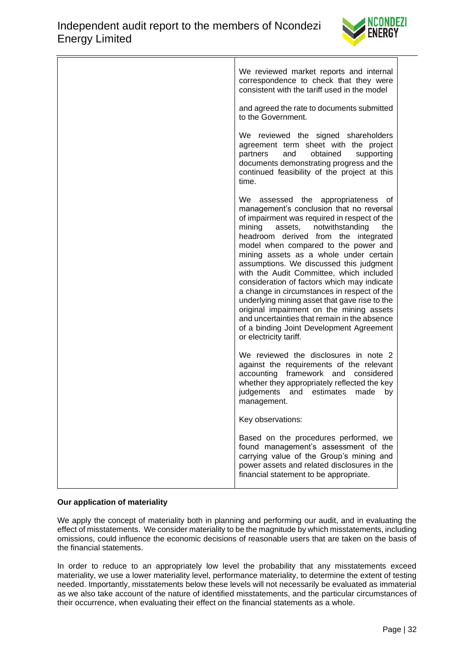

| We reviewed market reports and internal<br>correspondence to check that they were<br>consistent with the tariff used in the model                                                                                                                                                                                                                                                                                                                                                                                                                                                                                                                                                                                  |
|--------------------------------------------------------------------------------------------------------------------------------------------------------------------------------------------------------------------------------------------------------------------------------------------------------------------------------------------------------------------------------------------------------------------------------------------------------------------------------------------------------------------------------------------------------------------------------------------------------------------------------------------------------------------------------------------------------------------|
| and agreed the rate to documents submitted<br>to the Government.                                                                                                                                                                                                                                                                                                                                                                                                                                                                                                                                                                                                                                                   |
| We reviewed the signed shareholders<br>agreement term sheet with the project<br>partners<br>and<br>obtained<br>supporting<br>documents demonstrating progress and the<br>continued feasibility of the project at this<br>time.                                                                                                                                                                                                                                                                                                                                                                                                                                                                                     |
| We assessed the appropriateness<br>ot<br>management's conclusion that no reversal<br>of impairment was required in respect of the<br>mining<br>assets,<br>notwithstanding<br>the<br>headroom derived from the integrated<br>model when compared to the power and<br>mining assets as a whole under certain<br>assumptions. We discussed this judgment<br>with the Audit Committee, which included<br>consideration of factors which may indicate<br>a change in circumstances in respect of the<br>underlying mining asset that gave rise to the<br>original impairment on the mining assets<br>and uncertainties that remain in the absence<br>of a binding Joint Development Agreement<br>or electricity tariff. |
| We reviewed the disclosures in note 2<br>against the requirements of the relevant<br>accounting framework and considered<br>whether they appropriately reflected the key<br>judgements and estimates<br>made<br>by<br>management.                                                                                                                                                                                                                                                                                                                                                                                                                                                                                  |
| Key observations:                                                                                                                                                                                                                                                                                                                                                                                                                                                                                                                                                                                                                                                                                                  |
| Based on the procedures performed, we<br>found management's assessment of the<br>carrying value of the Group's mining and<br>power assets and related disclosures in the<br>financial statement to be appropriate.                                                                                                                                                                                                                                                                                                                                                                                                                                                                                                 |

# **Our application of materiality**

We apply the concept of materiality both in planning and performing our audit, and in evaluating the effect of misstatements. We consider materiality to be the magnitude by which misstatements, including omissions, could influence the economic decisions of reasonable users that are taken on the basis of the financial statements.

In order to reduce to an appropriately low level the probability that any misstatements exceed materiality, we use a lower materiality level, performance materiality, to determine the extent of testing needed. Importantly, misstatements below these levels will not necessarily be evaluated as immaterial as we also take account of the nature of identified misstatements, and the particular circumstances of their occurrence, when evaluating their effect on the financial statements as a whole.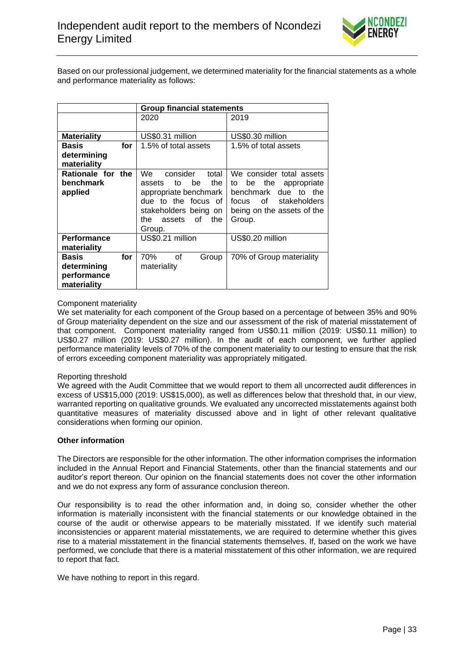

Based on our professional judgement, we determined materiality for the financial statements as a whole and performance materiality as follows:

| <b>Group financial statements</b>                         |     |                                                                                                                                                                       |                                                                                                                                                     |
|-----------------------------------------------------------|-----|-----------------------------------------------------------------------------------------------------------------------------------------------------------------------|-----------------------------------------------------------------------------------------------------------------------------------------------------|
|                                                           |     | 2020                                                                                                                                                                  | 2019                                                                                                                                                |
| <b>Materiality</b>                                        |     | US\$0.31 million                                                                                                                                                      | US\$0.30 million                                                                                                                                    |
| Basis<br>determining<br>materiality                       | for | 1.5% of total assets                                                                                                                                                  | 1.5% of total assets                                                                                                                                |
| Rationale for the<br>benchmark<br>applied                 |     | We.<br>consider<br>total<br>the<br>be<br>assets<br>to<br>appropriate benchmark<br>due to the focus of<br>stakeholders being on<br>the l<br>assets of<br>the<br>Group. | We consider total assets<br>the appropriate<br>be<br>to<br>benchmark due to the<br>of stakeholders<br>focus<br>being on the assets of the<br>Group. |
| <b>Performance</b><br>materiality                         |     | US\$0.21 million                                                                                                                                                      | US\$0.20 million                                                                                                                                    |
| <b>Basis</b><br>determining<br>performance<br>materiality | for | 70%<br>of<br>Group<br>materiality                                                                                                                                     | 70% of Group materiality                                                                                                                            |

# Component materiality

We set materiality for each component of the Group based on a percentage of between 35% and 90% of Group materiality dependent on the size and our assessment of the risk of material misstatement of that component. Component materiality ranged from US\$0.11 million (2019: US\$0.11 million) to US\$0.27 million (2019: US\$0.27 million). In the audit of each component, we further applied performance materiality levels of 70% of the component materiality to our testing to ensure that the risk of errors exceeding component materiality was appropriately mitigated.

#### Reporting threshold

We agreed with the Audit Committee that we would report to them all uncorrected audit differences in excess of US\$15,000 (2019: US\$15,000), as well as differences below that threshold that, in our view, warranted reporting on qualitative grounds. We evaluated any uncorrected misstatements against both quantitative measures of materiality discussed above and in light of other relevant qualitative considerations when forming our opinion.

#### **Other information**

The Directors are responsible for the other information. The other information comprises the information included in the Annual Report and Financial Statements, other than the financial statements and our auditor's report thereon. Our opinion on the financial statements does not cover the other information and we do not express any form of assurance conclusion thereon.

Our responsibility is to read the other information and, in doing so, consider whether the other information is materially inconsistent with the financial statements or our knowledge obtained in the course of the audit or otherwise appears to be materially misstated. If we identify such material inconsistencies or apparent material misstatements, we are required to determine whether this gives rise to a material misstatement in the financial statements themselves. If, based on the work we have performed, we conclude that there is a material misstatement of this other information, we are required to report that fact.

We have nothing to report in this regard.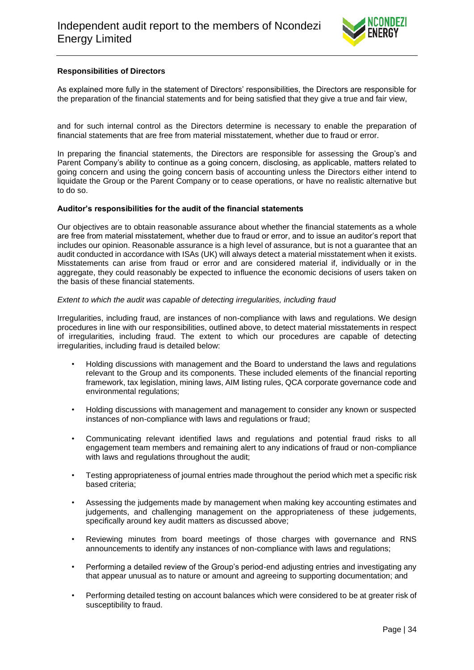

# **Responsibilities of Directors**

As explained more fully in the statement of Directors' responsibilities, the Directors are responsible for the preparation of the financial statements and for being satisfied that they give a true and fair view,

and for such internal control as the Directors determine is necessary to enable the preparation of financial statements that are free from material misstatement, whether due to fraud or error.

In preparing the financial statements, the Directors are responsible for assessing the Group's and Parent Company's ability to continue as a going concern, disclosing, as applicable, matters related to going concern and using the going concern basis of accounting unless the Directors either intend to liquidate the Group or the Parent Company or to cease operations, or have no realistic alternative but to do so.

# **Auditor's responsibilities for the audit of the financial statements**

Our objectives are to obtain reasonable assurance about whether the financial statements as a whole are free from material misstatement, whether due to fraud or error, and to issue an auditor's report that includes our opinion. Reasonable assurance is a high level of assurance, but is not a guarantee that an audit conducted in accordance with ISAs (UK) will always detect a material misstatement when it exists. Misstatements can arise from fraud or error and are considered material if, individually or in the aggregate, they could reasonably be expected to influence the economic decisions of users taken on the basis of these financial statements.

# *Extent to which the audit was capable of detecting irregularities, including fraud*

Irregularities, including fraud, are instances of non-compliance with laws and regulations. We design procedures in line with our responsibilities, outlined above, to detect material misstatements in respect of irregularities, including fraud. The extent to which our procedures are capable of detecting irregularities, including fraud is detailed below:

- Holding discussions with management and the Board to understand the laws and regulations relevant to the Group and its components. These included elements of the financial reporting framework, tax legislation, mining laws, AIM listing rules, QCA corporate governance code and environmental regulations;
- Holding discussions with management and management to consider any known or suspected instances of non-compliance with laws and regulations or fraud;
- Communicating relevant identified laws and regulations and potential fraud risks to all engagement team members and remaining alert to any indications of fraud or non-compliance with laws and regulations throughout the audit;
- Testing appropriateness of journal entries made throughout the period which met a specific risk based criteria;
- Assessing the judgements made by management when making key accounting estimates and judgements, and challenging management on the appropriateness of these judgements, specifically around key audit matters as discussed above;
- Reviewing minutes from board meetings of those charges with governance and RNS announcements to identify any instances of non-compliance with laws and regulations;
- Performing a detailed review of the Group's period-end adjusting entries and investigating any that appear unusual as to nature or amount and agreeing to supporting documentation; and
- Performing detailed testing on account balances which were considered to be at greater risk of susceptibility to fraud.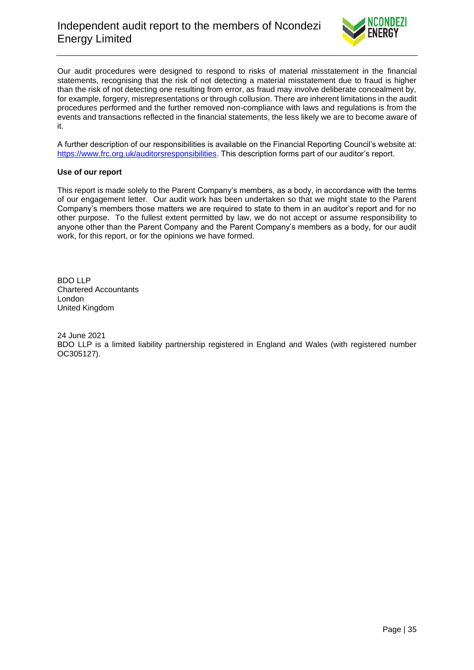

Our audit procedures were designed to respond to risks of material misstatement in the financial statements, recognising that the risk of not detecting a material misstatement due to fraud is higher than the risk of not detecting one resulting from error, as fraud may involve deliberate concealment by, for example, forgery, misrepresentations or through collusion. There are inherent limitations in the audit procedures performed and the further removed non-compliance with laws and regulations is from the events and transactions reflected in the financial statements, the less likely we are to become aware of it.

A further description of our responsibilities is available on the Financial Reporting Council's website at: [https://www.frc.org.uk/auditorsresponsibilities.](https://www.frc.org.uk/auditorsresponsibilities) This description forms part of our auditor's report.

# **Use of our report**

This report is made solely to the Parent Company's members, as a body, in accordance with the terms of our engagement letter. Our audit work has been undertaken so that we might state to the Parent Company's members those matters we are required to state to them in an auditor's report and for no other purpose. To the fullest extent permitted by law, we do not accept or assume responsibility to anyone other than the Parent Company and the Parent Company's members as a body, for our audit work, for this report, or for the opinions we have formed.

BDO LLP Chartered Accountants London United Kingdom

24 June 2021

BDO LLP is a limited liability partnership registered in England and Wales (with registered number OC305127).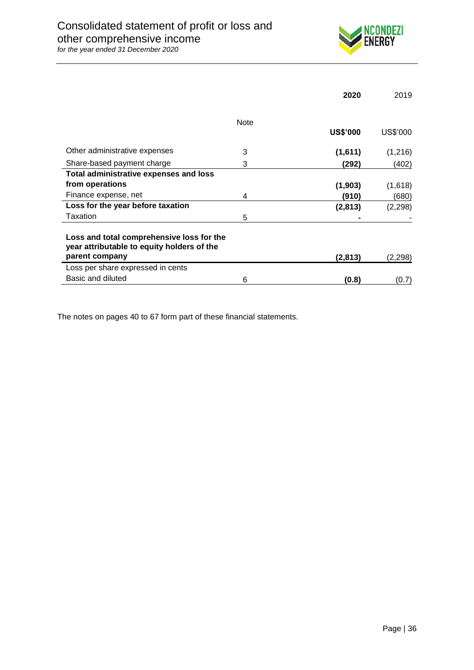

|                                                                                         |             | 2020            | 2019     |
|-----------------------------------------------------------------------------------------|-------------|-----------------|----------|
|                                                                                         | <b>Note</b> |                 |          |
|                                                                                         |             | <b>US\$'000</b> | US\$'000 |
| Other administrative expenses                                                           | 3           | (1,611)         | (1,216)  |
| Share-based payment charge                                                              | 3           | (292)           | (402)    |
| <b>Total administrative expenses and loss</b>                                           |             |                 |          |
| from operations                                                                         |             | (1,903)         | (1,618)  |
| Finance expense, net                                                                    | 4           | (910)           | (680)    |
| Loss for the year before taxation                                                       |             | (2,813)         | (2,298)  |
| Taxation                                                                                | 5           |                 |          |
| Loss and total comprehensive loss for the<br>year attributable to equity holders of the |             |                 |          |
| parent company                                                                          |             | (2, 813)        | (2,298)  |
| Loss per share expressed in cents                                                       |             |                 |          |
| Basic and diluted                                                                       | 6           | (0.8)           | (0.7)    |
|                                                                                         |             |                 |          |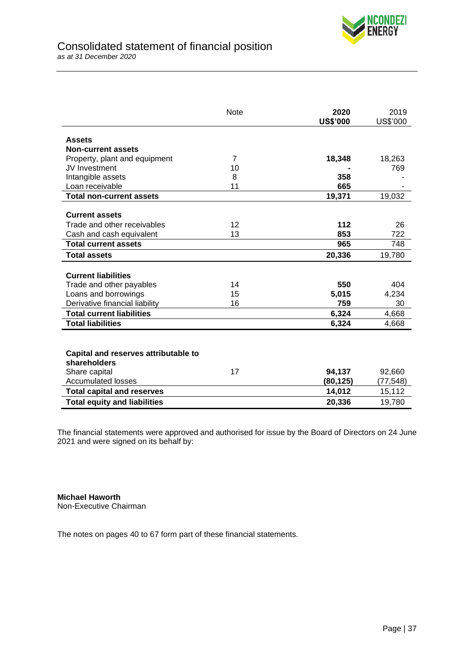

*as at 31 December 2020*

|                                      | <b>Note</b>    | 2020<br><b>US\$'000</b> | 2019<br>US\$'000 |
|--------------------------------------|----------------|-------------------------|------------------|
|                                      |                |                         |                  |
| <b>Assets</b>                        |                |                         |                  |
| <b>Non-current assets</b>            |                |                         |                  |
| Property, plant and equipment        | $\overline{7}$ | 18,348                  | 18,263           |
| JV Investment                        | 10             |                         | 769              |
| Intangible assets                    | 8<br>11        | 358                     |                  |
| Loan receivable                      |                | 665                     |                  |
| <b>Total non-current assets</b>      |                | 19,371                  | 19,032           |
| <b>Current assets</b>                |                |                         |                  |
| Trade and other receivables          | 12             | 112                     | 26               |
| Cash and cash equivalent             | 13             | 853                     | 722              |
| <b>Total current assets</b>          |                | 965                     | 748              |
| <b>Total assets</b>                  |                | 20,336                  | 19,780           |
|                                      |                |                         |                  |
| <b>Current liabilities</b>           |                |                         |                  |
| Trade and other payables             | 14             | 550                     | 404              |
| Loans and borrowings                 | 15             | 5,015                   | 4,234            |
| Derivative financial liability       | 16             | 759                     | 30               |
| <b>Total current liabilities</b>     |                | 6,324                   | 4,668            |
| <b>Total liabilities</b>             |                | 6,324                   | 4,668            |
|                                      |                |                         |                  |
|                                      |                |                         |                  |
| Capital and reserves attributable to |                |                         |                  |
| shareholders                         |                |                         |                  |
| Share capital                        | 17             | 94,137                  | 92,660           |
| <b>Accumulated losses</b>            |                | (80, 125)               | (77, 548)        |
| <b>Total capital and reserves</b>    |                | 14,012                  | 15,112           |
| <b>Total equity and liabilities</b>  |                | 20,336                  | 19,780           |

The financial statements were approved and authorised for issue by the Board of Directors on 24 June 2021 and were signed on its behalf by:

**Michael Haworth** Non-Executive Chairman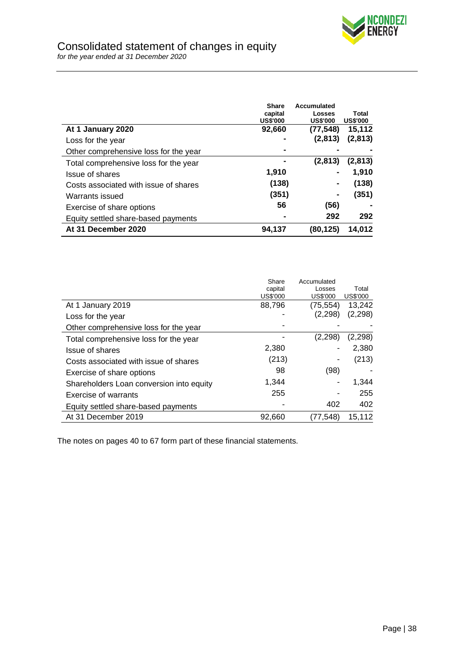

# Consolidated statement of changes in equity

*for the year ended at 31 December 2020*

|                                       | Share<br>capital<br><b>US\$'000</b> | Accumulated<br>Losses<br><b>US\$'000</b> | Total<br><b>US\$'000</b> |
|---------------------------------------|-------------------------------------|------------------------------------------|--------------------------|
| At 1 January 2020                     | 92,660                              | (77,548)                                 | 15,112                   |
| Loss for the year                     |                                     | (2, 813)                                 | (2,813)                  |
| Other comprehensive loss for the year |                                     |                                          |                          |
| Total comprehensive loss for the year |                                     | (2,813)                                  | (2,813)                  |
| Issue of shares                       | 1,910                               |                                          | 1,910                    |
| Costs associated with issue of shares | (138)                               |                                          | (138)                    |
| Warrants issued                       | (351)                               |                                          | (351)                    |
| Exercise of share options             | 56                                  | (56)                                     |                          |
| Equity settled share-based payments   |                                     | 292                                      | 292                      |
| At 31 December 2020                   | 94,137                              | (80,125)                                 | 14.012                   |

|                                          | Share    | Accumulated |          |
|------------------------------------------|----------|-------------|----------|
|                                          | capital  | Losses      | Total    |
|                                          | US\$'000 | US\$'000    | US\$'000 |
| At 1 January 2019                        | 88,796   | (75,554)    | 13,242   |
| Loss for the year                        |          | (2, 298)    | (2, 298) |
| Other comprehensive loss for the year    |          |             |          |
| Total comprehensive loss for the year    |          | (2, 298)    | (2, 298) |
| Issue of shares                          | 2,380    |             | 2,380    |
| Costs associated with issue of shares    | (213)    |             | (213)    |
| Exercise of share options                | 98       | (98)        |          |
| Shareholders Loan conversion into equity | 1,344    |             | 1.344    |
| <b>Exercise of warrants</b>              | 255      |             | 255      |
| Equity settled share-based payments      |          | 402         | 402      |
| At 31 December 2019                      | 92.660   | 77.548)     | 15,112   |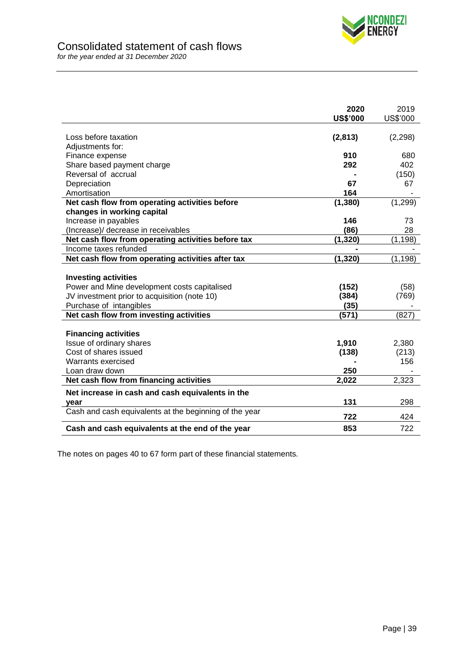

*for the year ended at 31 December 2020*

|                                                        | 2020<br><b>US\$'000</b> | 2019<br>US\$'000 |
|--------------------------------------------------------|-------------------------|------------------|
| Loss before taxation<br>Adjustments for:               | (2,813)                 | (2, 298)         |
| Finance expense                                        | 910                     | 680              |
| Share based payment charge                             | 292                     | 402              |
| Reversal of accrual                                    |                         | (150)            |
| Depreciation                                           | 67                      | 67               |
| Amortisation                                           | 164                     |                  |
| Net cash flow from operating activities before         | (1, 380)                | (1, 299)         |
| changes in working capital                             |                         |                  |
| Increase in payables                                   | 146                     | 73               |
| (Increase)/ decrease in receivables                    | (86)                    | 28               |
| Net cash flow from operating activities before tax     | (1, 320)                | (1, 198)         |
| Income taxes refunded                                  |                         |                  |
| Net cash flow from operating activities after tax      | (1, 320)                | (1, 198)         |
|                                                        |                         |                  |
| <b>Investing activities</b>                            |                         |                  |
| Power and Mine development costs capitalised           | (152)                   | (58)             |
| JV investment prior to acquisition (note 10)           | (384)                   | (769)            |
| Purchase of intangibles                                | (35)                    |                  |
| Net cash flow from investing activities                | (571)                   | (827)            |
| <b>Financing activities</b>                            |                         |                  |
| Issue of ordinary shares                               | 1,910                   | 2,380            |
| Cost of shares issued                                  | (138)                   | (213)            |
| Warrants exercised                                     |                         | 156              |
| Loan draw down                                         | 250                     |                  |
| Net cash flow from financing activities                | 2,022                   | 2,323            |
| Net increase in cash and cash equivalents in the       |                         |                  |
| year                                                   | 131                     | 298              |
| Cash and cash equivalents at the beginning of the year | 722                     | 424              |
| Cash and cash equivalents at the end of the year       | 853                     | 722              |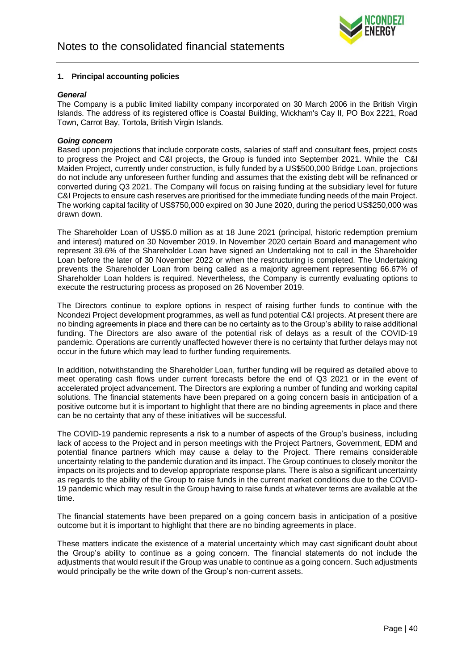

# **1. Principal accounting policies**

#### *General*

The Company is a public limited liability company incorporated on 30 March 2006 in the British Virgin Islands. The address of its registered office is Coastal Building, Wickham's Cay II, PO Box 2221, Road Town, Carrot Bay, Tortola, British Virgin Islands.

# *Going concern*

Based upon projections that include corporate costs, salaries of staff and consultant fees, project costs to progress the Project and C&I projects, the Group is funded into September 2021. While the C&I Maiden Project, currently under construction, is fully funded by a US\$500,000 Bridge Loan, projections do not include any unforeseen further funding and assumes that the existing debt will be refinanced or converted during Q3 2021. The Company will focus on raising funding at the subsidiary level for future C&I Projects to ensure cash reserves are prioritised for the immediate funding needs of the main Project. The working capital facility of US\$750,000 expired on 30 June 2020, during the period US\$250,000 was drawn down.

The Shareholder Loan of US\$5.0 million as at 18 June 2021 (principal, historic redemption premium and interest) matured on 30 November 2019. In November 2020 certain Board and management who represent 39.6% of the Shareholder Loan have signed an Undertaking not to call in the Shareholder Loan before the later of 30 November 2022 or when the restructuring is completed. The Undertaking prevents the Shareholder Loan from being called as a majority agreement representing 66.67% of Shareholder Loan holders is required. Nevertheless, the Company is currently evaluating options to execute the restructuring process as proposed on 26 November 2019.

The Directors continue to explore options in respect of raising further funds to continue with the Ncondezi Project development programmes, as well as fund potential C&I projects. At present there are no binding agreements in place and there can be no certainty as to the Group's ability to raise additional funding. The Directors are also aware of the potential risk of delays as a result of the COVID-19 pandemic. Operations are currently unaffected however there is no certainty that further delays may not occur in the future which may lead to further funding requirements.

In addition, notwithstanding the Shareholder Loan, further funding will be required as detailed above to meet operating cash flows under current forecasts before the end of Q3 2021 or in the event of accelerated project advancement. The Directors are exploring a number of funding and working capital solutions. The financial statements have been prepared on a going concern basis in anticipation of a positive outcome but it is important to highlight that there are no binding agreements in place and there can be no certainty that any of these initiatives will be successful.

The COVID-19 pandemic represents a risk to a number of aspects of the Group's business, including lack of access to the Project and in person meetings with the Project Partners, Government, EDM and potential finance partners which may cause a delay to the Project. There remains considerable uncertainty relating to the pandemic duration and its impact. The Group continues to closely monitor the impacts on its projects and to develop appropriate response plans. There is also a significant uncertainty as regards to the ability of the Group to raise funds in the current market conditions due to the COVID-19 pandemic which may result in the Group having to raise funds at whatever terms are available at the time.

The financial statements have been prepared on a going concern basis in anticipation of a positive outcome but it is important to highlight that there are no binding agreements in place.

These matters indicate the existence of a material uncertainty which may cast significant doubt about the Group's ability to continue as a going concern. The financial statements do not include the adjustments that would result if the Group was unable to continue as a going concern. Such adjustments would principally be the write down of the Group's non-current assets.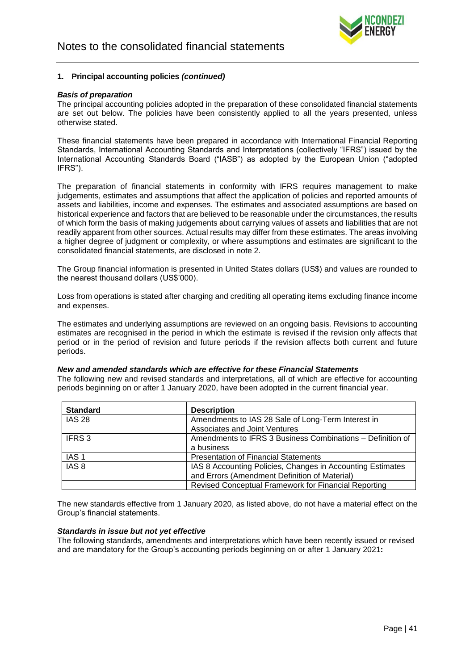

#### *Basis of preparation*

The principal accounting policies adopted in the preparation of these consolidated financial statements are set out below. The policies have been consistently applied to all the years presented, unless otherwise stated.

These financial statements have been prepared in accordance with International Financial Reporting Standards, International Accounting Standards and Interpretations (collectively "IFRS") issued by the International Accounting Standards Board ("IASB") as adopted by the European Union ("adopted IFRS").

The preparation of financial statements in conformity with IFRS requires management to make judgements, estimates and assumptions that affect the application of policies and reported amounts of assets and liabilities, income and expenses. The estimates and associated assumptions are based on historical experience and factors that are believed to be reasonable under the circumstances, the results of which form the basis of making judgements about carrying values of assets and liabilities that are not readily apparent from other sources. Actual results may differ from these estimates. The areas involving a higher degree of judgment or complexity, or where assumptions and estimates are significant to the consolidated financial statements, are disclosed in note 2.

The Group financial information is presented in United States dollars (US\$) and values are rounded to the nearest thousand dollars (US\$'000).

Loss from operations is stated after charging and crediting all operating items excluding finance income and expenses.

The estimates and underlying assumptions are reviewed on an ongoing basis. Revisions to accounting estimates are recognised in the period in which the estimate is revised if the revision only affects that period or in the period of revision and future periods if the revision affects both current and future periods.

#### *New and amended standards which are effective for these Financial Statements*

The following new and revised standards and interpretations, all of which are effective for accounting periods beginning on or after 1 January 2020, have been adopted in the current financial year.

| <b>Standard</b>   | <b>Description</b>                                         |
|-------------------|------------------------------------------------------------|
| <b>IAS 28</b>     | Amendments to IAS 28 Sale of Long-Term Interest in         |
|                   | Associates and Joint Ventures                              |
| IFRS <sub>3</sub> | Amendments to IFRS 3 Business Combinations - Definition of |
|                   | a business                                                 |
| IAS <sub>1</sub>  | <b>Presentation of Financial Statements</b>                |
| IAS <sub>8</sub>  | IAS 8 Accounting Policies, Changes in Accounting Estimates |
|                   | and Errors (Amendment Definition of Material)              |
|                   | Revised Conceptual Framework for Financial Reporting       |

The new standards effective from 1 January 2020, as listed above, do not have a material effect on the Group's financial statements.

#### *Standards in issue but not yet effective*

The following standards, amendments and interpretations which have been recently issued or revised and are mandatory for the Group's accounting periods beginning on or after 1 January 2021**:**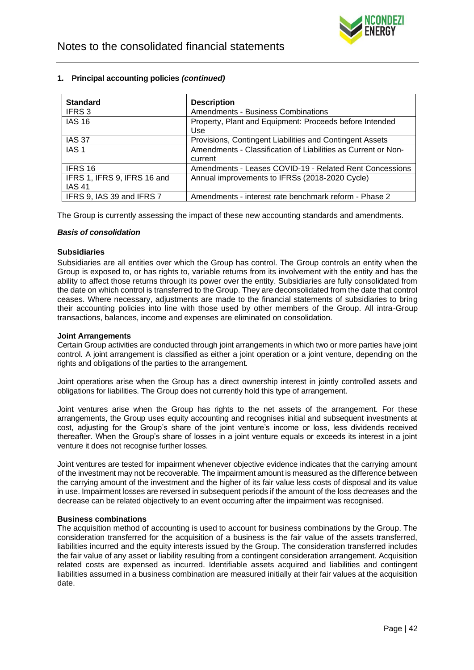

| <b>Standard</b>                              | <b>Description</b>                                                       |
|----------------------------------------------|--------------------------------------------------------------------------|
| IFRS <sub>3</sub>                            | <b>Amendments - Business Combinations</b>                                |
| IAS 16                                       | Property, Plant and Equipment: Proceeds before Intended<br>Use           |
| <b>IAS 37</b>                                | Provisions, Contingent Liabilities and Contingent Assets                 |
| IAS <sub>1</sub>                             | Amendments - Classification of Liabilities as Current or Non-<br>current |
| IFRS 16                                      | Amendments - Leases COVID-19 - Related Rent Concessions                  |
| IFRS 1, IFRS 9, IFRS 16 and<br><b>IAS 41</b> | Annual improvements to IFRSs (2018-2020 Cycle)                           |
| IFRS 9, IAS 39 and IFRS 7                    | Amendments - interest rate benchmark reform - Phase 2                    |

The Group is currently assessing the impact of these new accounting standards and amendments.

#### *Basis of consolidation*

#### **Subsidiaries**

Subsidiaries are all entities over which the Group has control. The Group controls an entity when the Group is exposed to, or has rights to, variable returns from its involvement with the entity and has the ability to affect those returns through its power over the entity. Subsidiaries are fully consolidated from the date on which control is transferred to the Group. They are deconsolidated from the date that control ceases. Where necessary, adjustments are made to the financial statements of subsidiaries to bring their accounting policies into line with those used by other members of the Group. All intra-Group transactions, balances, income and expenses are eliminated on consolidation.

#### **Joint Arrangements**

Certain Group activities are conducted through joint arrangements in which two or more parties have joint control. A joint arrangement is classified as either a joint operation or a joint venture, depending on the rights and obligations of the parties to the arrangement.

Joint operations arise when the Group has a direct ownership interest in jointly controlled assets and obligations for liabilities. The Group does not currently hold this type of arrangement.

Joint ventures arise when the Group has rights to the net assets of the arrangement. For these arrangements, the Group uses equity accounting and recognises initial and subsequent investments at cost, adjusting for the Group's share of the joint venture's income or loss, less dividends received thereafter. When the Group's share of losses in a joint venture equals or exceeds its interest in a joint venture it does not recognise further losses.

Joint ventures are tested for impairment whenever objective evidence indicates that the carrying amount of the investment may not be recoverable. The impairment amount is measured as the difference between the carrying amount of the investment and the higher of its fair value less costs of disposal and its value in use. Impairment losses are reversed in subsequent periods if the amount of the loss decreases and the decrease can be related objectively to an event occurring after the impairment was recognised.

#### **Business combinations**

The acquisition method of accounting is used to account for business combinations by the Group. The consideration transferred for the acquisition of a business is the fair value of the assets transferred, liabilities incurred and the equity interests issued by the Group. The consideration transferred includes the fair value of any asset or liability resulting from a contingent consideration arrangement. Acquisition related costs are expensed as incurred. Identifiable assets acquired and liabilities and contingent liabilities assumed in a business combination are measured initially at their fair values at the acquisition date.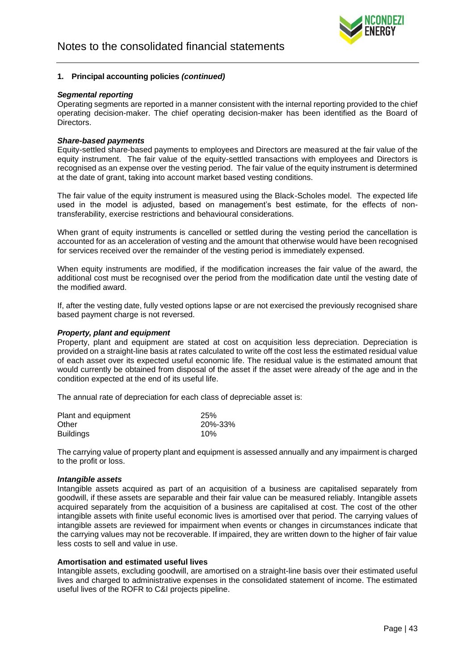

#### *Segmental reporting*

Operating segments are reported in a manner consistent with the internal reporting provided to the chief operating decision-maker. The chief operating decision-maker has been identified as the Board of Directors.

#### *Share-based payments*

Equity-settled share-based payments to employees and Directors are measured at the fair value of the equity instrument. The fair value of the equity-settled transactions with employees and Directors is recognised as an expense over the vesting period. The fair value of the equity instrument is determined at the date of grant, taking into account market based vesting conditions.

The fair value of the equity instrument is measured using the Black-Scholes model. The expected life used in the model is adjusted, based on management's best estimate, for the effects of nontransferability, exercise restrictions and behavioural considerations.

When grant of equity instruments is cancelled or settled during the vesting period the cancellation is accounted for as an acceleration of vesting and the amount that otherwise would have been recognised for services received over the remainder of the vesting period is immediately expensed.

When equity instruments are modified, if the modification increases the fair value of the award, the additional cost must be recognised over the period from the modification date until the vesting date of the modified award.

If, after the vesting date, fully vested options lapse or are not exercised the previously recognised share based payment charge is not reversed.

#### *Property, plant and equipment*

Property, plant and equipment are stated at cost on acquisition less depreciation. Depreciation is provided on a straight-line basis at rates calculated to write off the cost less the estimated residual value of each asset over its expected useful economic life. The residual value is the estimated amount that would currently be obtained from disposal of the asset if the asset were already of the age and in the condition expected at the end of its useful life.

The annual rate of depreciation for each class of depreciable asset is:

| Plant and equipment | 25%     |
|---------------------|---------|
| Other               | 20%-33% |
| <b>Buildings</b>    | 10%     |

The carrying value of property plant and equipment is assessed annually and any impairment is charged to the profit or loss.

#### *Intangible assets*

Intangible assets acquired as part of an acquisition of a business are capitalised separately from goodwill, if these assets are separable and their fair value can be measured reliably. Intangible assets acquired separately from the acquisition of a business are capitalised at cost. The cost of the other intangible assets with finite useful economic lives is amortised over that period. The carrying values of intangible assets are reviewed for impairment when events or changes in circumstances indicate that the carrying values may not be recoverable. If impaired, they are written down to the higher of fair value less costs to sell and value in use.

# **Amortisation and estimated useful lives**

Intangible assets, excluding goodwill, are amortised on a straight-line basis over their estimated useful lives and charged to administrative expenses in the consolidated statement of income. The estimated useful lives of the ROFR to C&I projects pipeline.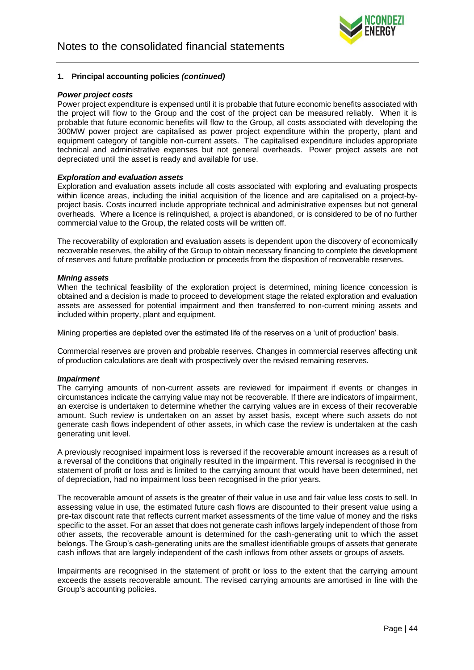

#### *Power project costs*

Power project expenditure is expensed until it is probable that future economic benefits associated with the project will flow to the Group and the cost of the project can be measured reliably. When it is probable that future economic benefits will flow to the Group, all costs associated with developing the 300MW power project are capitalised as power project expenditure within the property, plant and equipment category of tangible non-current assets. The capitalised expenditure includes appropriate technical and administrative expenses but not general overheads. Power project assets are not depreciated until the asset is ready and available for use.

#### *Exploration and evaluation assets*

Exploration and evaluation assets include all costs associated with exploring and evaluating prospects within licence areas, including the initial acquisition of the licence and are capitalised on a project-byproject basis. Costs incurred include appropriate technical and administrative expenses but not general overheads. Where a licence is relinquished, a project is abandoned, or is considered to be of no further commercial value to the Group, the related costs will be written off.

The recoverability of exploration and evaluation assets is dependent upon the discovery of economically recoverable reserves, the ability of the Group to obtain necessary financing to complete the development of reserves and future profitable production or proceeds from the disposition of recoverable reserves.

#### *Mining assets*

When the technical feasibility of the exploration project is determined, mining licence concession is obtained and a decision is made to proceed to development stage the related exploration and evaluation assets are assessed for potential impairment and then transferred to non-current mining assets and included within property, plant and equipment.

Mining properties are depleted over the estimated life of the reserves on a 'unit of production' basis.

Commercial reserves are proven and probable reserves. Changes in commercial reserves affecting unit of production calculations are dealt with prospectively over the revised remaining reserves.

#### *Impairment*

The carrying amounts of non-current assets are reviewed for impairment if events or changes in circumstances indicate the carrying value may not be recoverable. If there are indicators of impairment, an exercise is undertaken to determine whether the carrying values are in excess of their recoverable amount. Such review is undertaken on an asset by asset basis, except where such assets do not generate cash flows independent of other assets, in which case the review is undertaken at the cash generating unit level.

A previously recognised impairment loss is reversed if the recoverable amount increases as a result of a reversal of the conditions that originally resulted in the impairment. This reversal is recognised in the statement of profit or loss and is limited to the carrying amount that would have been determined, net of depreciation, had no impairment loss been recognised in the prior years.

The recoverable amount of assets is the greater of their value in use and fair value less costs to sell. In assessing value in use, the estimated future cash flows are discounted to their present value using a pre-tax discount rate that reflects current market assessments of the time value of money and the risks specific to the asset. For an asset that does not generate cash inflows largely independent of those from other assets, the recoverable amount is determined for the cash-generating unit to which the asset belongs. The Group's cash-generating units are the smallest identifiable groups of assets that generate cash inflows that are largely independent of the cash inflows from other assets or groups of assets.

Impairments are recognised in the statement of profit or loss to the extent that the carrying amount exceeds the assets recoverable amount. The revised carrying amounts are amortised in line with the Group's accounting policies.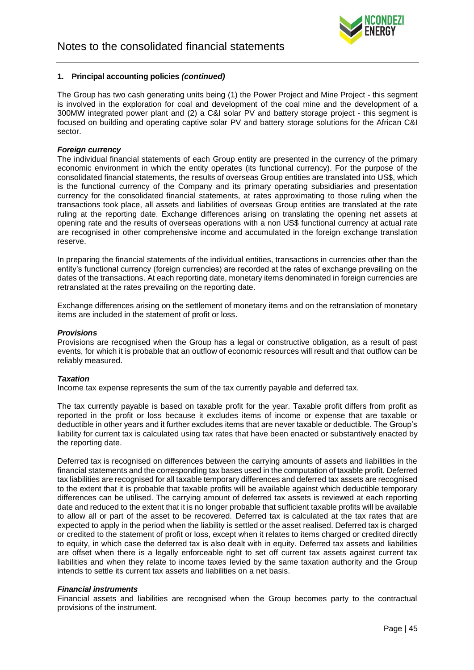

The Group has two cash generating units being (1) the Power Project and Mine Project - this segment is involved in the exploration for coal and development of the coal mine and the development of a 300MW integrated power plant and (2) a C&I solar PV and battery storage project - this segment is focused on building and operating captive solar PV and battery storage solutions for the African C&I sector.

#### *Foreign currency*

The individual financial statements of each Group entity are presented in the currency of the primary economic environment in which the entity operates (its functional currency). For the purpose of the consolidated financial statements, the results of overseas Group entities are translated into US\$, which is the functional currency of the Company and its primary operating subsidiaries and presentation currency for the consolidated financial statements, at rates approximating to those ruling when the transactions took place, all assets and liabilities of overseas Group entities are translated at the rate ruling at the reporting date. Exchange differences arising on translating the opening net assets at opening rate and the results of overseas operations with a non US\$ functional currency at actual rate are recognised in other comprehensive income and accumulated in the foreign exchange translation reserve.

In preparing the financial statements of the individual entities, transactions in currencies other than the entity's functional currency (foreign currencies) are recorded at the rates of exchange prevailing on the dates of the transactions. At each reporting date, monetary items denominated in foreign currencies are retranslated at the rates prevailing on the reporting date.

Exchange differences arising on the settlement of monetary items and on the retranslation of monetary items are included in the statement of profit or loss.

#### *Provisions*

Provisions are recognised when the Group has a legal or constructive obligation, as a result of past events, for which it is probable that an outflow of economic resources will result and that outflow can be reliably measured.

#### *Taxation*

Income tax expense represents the sum of the tax currently payable and deferred tax.

The tax currently payable is based on taxable profit for the year. Taxable profit differs from profit as reported in the profit or loss because it excludes items of income or expense that are taxable or deductible in other years and it further excludes items that are never taxable or deductible. The Group's liability for current tax is calculated using tax rates that have been enacted or substantively enacted by the reporting date.

Deferred tax is recognised on differences between the carrying amounts of assets and liabilities in the financial statements and the corresponding tax bases used in the computation of taxable profit. Deferred tax liabilities are recognised for all taxable temporary differences and deferred tax assets are recognised to the extent that it is probable that taxable profits will be available against which deductible temporary differences can be utilised. The carrying amount of deferred tax assets is reviewed at each reporting date and reduced to the extent that it is no longer probable that sufficient taxable profits will be available to allow all or part of the asset to be recovered. Deferred tax is calculated at the tax rates that are expected to apply in the period when the liability is settled or the asset realised. Deferred tax is charged or credited to the statement of profit or loss, except when it relates to items charged or credited directly to equity, in which case the deferred tax is also dealt with in equity. Deferred tax assets and liabilities are offset when there is a legally enforceable right to set off current tax assets against current tax liabilities and when they relate to income taxes levied by the same taxation authority and the Group intends to settle its current tax assets and liabilities on a net basis.

#### *Financial instruments*

Financial assets and liabilities are recognised when the Group becomes party to the contractual provisions of the instrument.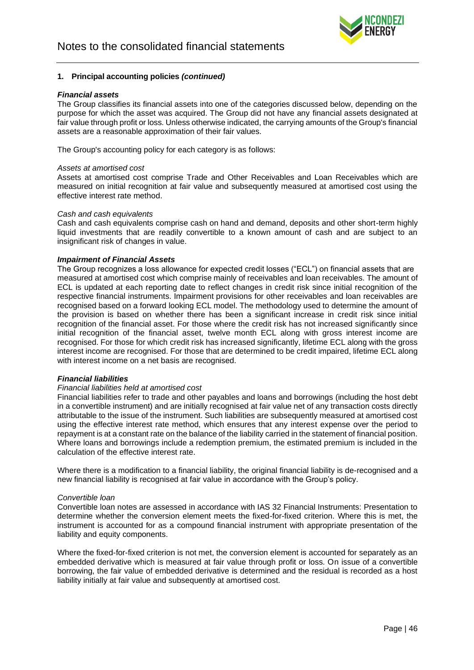

#### *Financial assets*

The Group classifies its financial assets into one of the categories discussed below, depending on the purpose for which the asset was acquired. The Group did not have any financial assets designated at fair value through profit or loss. Unless otherwise indicated, the carrying amounts of the Group's financial assets are a reasonable approximation of their fair values.

The Group's accounting policy for each category is as follows:

#### *Assets at amortised cost*

Assets at amortised cost comprise Trade and Other Receivables and Loan Receivables which are measured on initial recognition at fair value and subsequently measured at amortised cost using the effective interest rate method.

#### *Cash and cash equivalents*

Cash and cash equivalents comprise cash on hand and demand, deposits and other short-term highly liquid investments that are readily convertible to a known amount of cash and are subject to an insignificant risk of changes in value.

#### *Impairment of Financial Assets*

The Group recognizes a loss allowance for expected credit losses ("ECL") on financial assets that are measured at amortised cost which comprise mainly of receivables and loan receivables. The amount of ECL is updated at each reporting date to reflect changes in credit risk since initial recognition of the respective financial instruments. Impairment provisions for other receivables and loan receivables are recognised based on a forward looking ECL model. The methodology used to determine the amount of the provision is based on whether there has been a significant increase in credit risk since initial recognition of the financial asset. For those where the credit risk has not increased significantly since initial recognition of the financial asset, twelve month ECL along with gross interest income are recognised. For those for which credit risk has increased significantly, lifetime ECL along with the gross interest income are recognised. For those that are determined to be credit impaired, lifetime ECL along with interest income on a net basis are recognised.

#### *Financial liabilities*

#### *Financial liabilities held at amortised cost*

Financial liabilities refer to trade and other payables and loans and borrowings (including the host debt in a convertible instrument) and are initially recognised at fair value net of any transaction costs directly attributable to the issue of the instrument. Such liabilities are subsequently measured at amortised cost using the effective interest rate method, which ensures that any interest expense over the period to repayment is at a constant rate on the balance of the liability carried in the statement of financial position. Where loans and borrowings include a redemption premium, the estimated premium is included in the calculation of the effective interest rate.

Where there is a modification to a financial liability, the original financial liability is de-recognised and a new financial liability is recognised at fair value in accordance with the Group's policy.

#### *Convertible loan*

Convertible loan notes are assessed in accordance with IAS 32 Financial Instruments: Presentation to determine whether the conversion element meets the fixed-for-fixed criterion. Where this is met, the instrument is accounted for as a compound financial instrument with appropriate presentation of the liability and equity components.

Where the fixed-for-fixed criterion is not met, the conversion element is accounted for separately as an embedded derivative which is measured at fair value through profit or loss. On issue of a convertible borrowing, the fair value of embedded derivative is determined and the residual is recorded as a host liability initially at fair value and subsequently at amortised cost.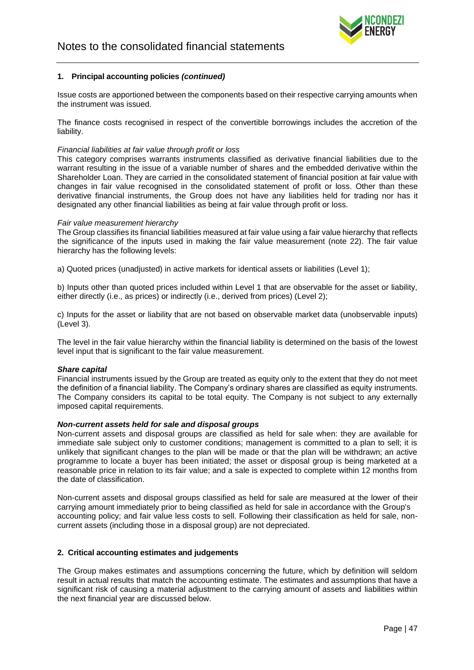

Issue costs are apportioned between the components based on their respective carrying amounts when the instrument was issued.

The finance costs recognised in respect of the convertible borrowings includes the accretion of the liability.

#### *Financial liabilities at fair value through profit or loss*

This category comprises warrants instruments classified as derivative financial liabilities due to the warrant resulting in the issue of a variable number of shares and the embedded derivative within the Shareholder Loan. They are carried in the consolidated statement of financial position at fair value with changes in fair value recognised in the consolidated statement of profit or loss. Other than these derivative financial instruments, the Group does not have any liabilities held for trading nor has it designated any other financial liabilities as being at fair value through profit or loss.

#### *Fair value measurement hierarchy*

The Group classifies its financial liabilities measured at fair value using a fair value hierarchy that reflects the significance of the inputs used in making the fair value measurement (note 22). The fair value hierarchy has the following levels:

a) Quoted prices (unadjusted) in active markets for identical assets or liabilities (Level 1);

b) Inputs other than quoted prices included within Level 1 that are observable for the asset or liability, either directly (i.e., as prices) or indirectly (i.e., derived from prices) (Level 2);

c) Inputs for the asset or liability that are not based on observable market data (unobservable inputs) (Level 3).

The level in the fair value hierarchy within the financial liability is determined on the basis of the lowest level input that is significant to the fair value measurement.

#### *Share capital*

Financial instruments issued by the Group are treated as equity only to the extent that they do not meet the definition of a financial liability. The Company's ordinary shares are classified as equity instruments. The Company considers its capital to be total equity. The Company is not subject to any externally imposed capital requirements.

#### *Non-current assets held for sale and disposal groups*

Non-current assets and disposal groups are classified as held for sale when: they are available for immediate sale subject only to customer conditions; management is committed to a plan to sell; it is unlikely that significant changes to the plan will be made or that the plan will be withdrawn; an active programme to locate a buyer has been initiated; the asset or disposal group is being marketed at a reasonable price in relation to its fair value; and a sale is expected to complete within 12 months from the date of classification.

Non-current assets and disposal groups classified as held for sale are measured at the lower of their carrying amount immediately prior to being classified as held for sale in accordance with the Group's accounting policy; and fair value less costs to sell. Following their classification as held for sale, noncurrent assets (including those in a disposal group) are not depreciated.

# **2. Critical accounting estimates and judgements**

The Group makes estimates and assumptions concerning the future, which by definition will seldom result in actual results that match the accounting estimate. The estimates and assumptions that have a significant risk of causing a material adjustment to the carrying amount of assets and liabilities within the next financial year are discussed below.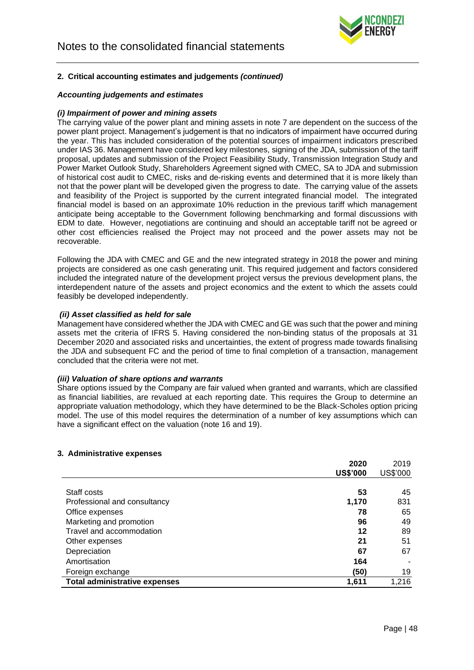

# **2. Critical accounting estimates and judgements** *(continued)*

#### *Accounting judgements and estimates*

#### *(i) Impairment of power and mining assets*

The carrying value of the power plant and mining assets in note 7 are dependent on the success of the power plant project. Management's judgement is that no indicators of impairment have occurred during the year. This has included consideration of the potential sources of impairment indicators prescribed under IAS 36. Management have considered key milestones, signing of the JDA, submission of the tariff proposal, updates and submission of the Project Feasibility Study, Transmission Integration Study and Power Market Outlook Study, Shareholders Agreement signed with CMEC, SA to JDA and submission of historical cost audit to CMEC, risks and de-risking events and determined that it is more likely than not that the power plant will be developed given the progress to date. The carrying value of the assets and feasibility of the Project is supported by the current integrated financial model. The integrated financial model is based on an approximate 10% reduction in the previous tariff which management anticipate being acceptable to the Government following benchmarking and formal discussions with EDM to date. However, negotiations are continuing and should an acceptable tariff not be agreed or other cost efficiencies realised the Project may not proceed and the power assets may not be recoverable.

Following the JDA with CMEC and GE and the new integrated strategy in 2018 the power and mining projects are considered as one cash generating unit. This required judgement and factors considered included the integrated nature of the development project versus the previous development plans, the interdependent nature of the assets and project economics and the extent to which the assets could feasibly be developed independently.

#### *(ii) Asset classified as held for sale*

Management have considered whether the JDA with CMEC and GE was such that the power and mining assets met the criteria of IFRS 5. Having considered the non-binding status of the proposals at 31 December 2020 and associated risks and uncertainties, the extent of progress made towards finalising the JDA and subsequent FC and the period of time to final completion of a transaction, management concluded that the criteria were not met.

#### *(iii) Valuation of share options and warrants*

Share options issued by the Company are fair valued when granted and warrants, which are classified as financial liabilities, are revalued at each reporting date. This requires the Group to determine an appropriate valuation methodology, which they have determined to be the Black-Scholes option pricing model. The use of this model requires the determination of a number of key assumptions which can have a significant effect on the valuation (note 16 and 19).

#### **3. Administrative expenses**

|                                      | 2020            | 2019     |
|--------------------------------------|-----------------|----------|
|                                      | <b>US\$'000</b> | US\$'000 |
|                                      |                 |          |
| Staff costs                          | 53              | 45       |
| Professional and consultancy         | 1,170           | 831      |
| Office expenses                      | 78              | 65       |
| Marketing and promotion              | 96              | 49       |
| Travel and accommodation             | 12              | 89       |
| Other expenses                       | 21              | 51       |
| Depreciation                         | 67              | 67       |
| Amortisation                         | 164             |          |
| Foreign exchange                     | (50)            | 19       |
| <b>Total administrative expenses</b> | 1,611           | 1,216    |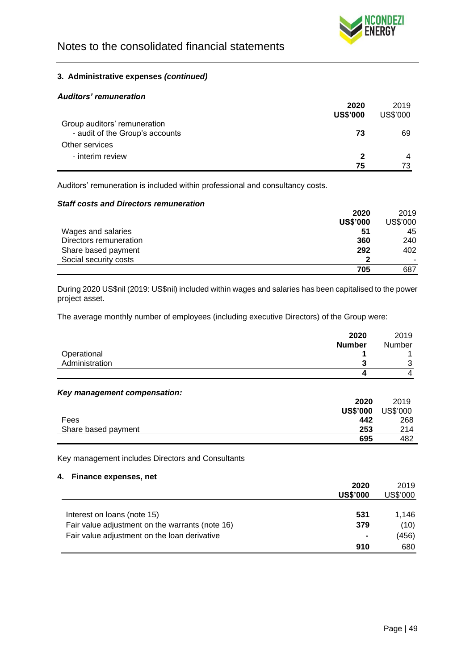# **3. Administrative expenses** *(continued)*

| <b>Auditors' remuneration</b>                                   |                         |                  |
|-----------------------------------------------------------------|-------------------------|------------------|
|                                                                 | 2020<br><b>US\$'000</b> | 2019<br>US\$'000 |
| Group auditors' remuneration<br>- audit of the Group's accounts | 73                      | 69               |
| Other services                                                  |                         |                  |
| - interim review                                                | 2                       | 4                |
|                                                                 | 75                      | 73               |

Auditors' remuneration is included within professional and consultancy costs.

# *Staff costs and Directors remuneration*

|                        | 2020            | 2019     |
|------------------------|-----------------|----------|
|                        | <b>US\$'000</b> | US\$'000 |
| Wages and salaries     | 51              | 45       |
| Directors remuneration | 360             | 240      |
| Share based payment    | 292             | 402      |
| Social security costs  | 2               |          |
|                        | 705             | 687      |

During 2020 US\$nil (2019: US\$nil) included within wages and salaries has been capitalised to the power project asset.

The average monthly number of employees (including executive Directors) of the Group were:

|                | 2020          | 2019          |
|----------------|---------------|---------------|
|                | <b>Number</b> | <b>Number</b> |
| Operational    |               |               |
| Administration | w             | 3             |
|                |               | 4             |

#### *Key management compensation:*

|                     | 2020            | 2019     |
|---------------------|-----------------|----------|
|                     | <b>US\$'000</b> | US\$'000 |
| Fees                | 442             | 268      |
| Share based payment | 253             | 214      |
|                     | 695             | 482      |

Key management includes Directors and Consultants

# **4. Finance expenses, net**

| <b></b>                                         | 2020<br><b>US\$'000</b> | 2019<br>US\$'000 |
|-------------------------------------------------|-------------------------|------------------|
|                                                 |                         |                  |
| Interest on loans (note 15)                     | 531                     | 1.146            |
| Fair value adjustment on the warrants (note 16) | 379                     | (10)             |
| Fair value adjustment on the loan derivative    | $\blacksquare$          | (456)            |
|                                                 | 910                     | 680              |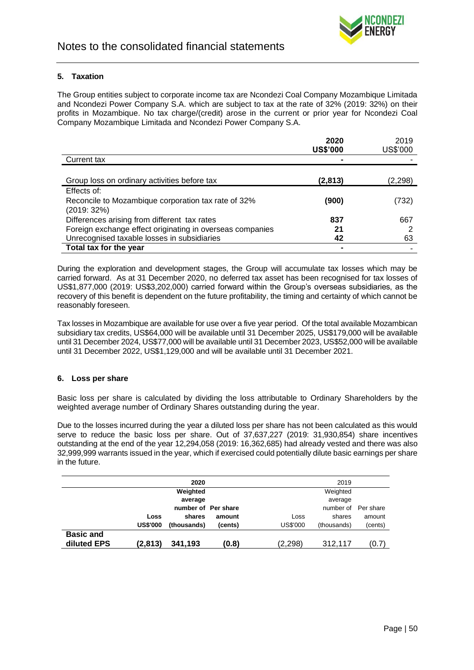

# **5. Taxation**

The Group entities subject to corporate income tax are Ncondezi Coal Company Mozambique Limitada and Ncondezi Power Company S.A. which are subject to tax at the rate of 32% (2019: 32%) on their profits in Mozambique. No tax charge/(credit) arose in the current or prior year for Ncondezi Coal Company Mozambique Limitada and Ncondezi Power Company S.A.

|                                                                   | 2020            | 2019     |
|-------------------------------------------------------------------|-----------------|----------|
|                                                                   | <b>US\$'000</b> | US\$'000 |
| Current tax                                                       |                 |          |
|                                                                   |                 |          |
| Group loss on ordinary activities before tax                      | (2,813)         | (2,298)  |
| Effects of:                                                       |                 |          |
| Reconcile to Mozambique corporation tax rate of 32%<br>(2019:32%) | (900)           | (732)    |
| Differences arising from different tax rates                      | 837             | 667      |
| Foreign exchange effect originating in overseas companies         | 21              |          |
| Unrecognised taxable losses in subsidiaries                       | 42              | 63       |
| Total tax for the year                                            |                 |          |

During the exploration and development stages, the Group will accumulate tax losses which may be carried forward. As at 31 December 2020, no deferred tax asset has been recognised for tax losses of US\$1,877,000 (2019: US\$3,202,000) carried forward within the Group's overseas subsidiaries, as the recovery of this benefit is dependent on the future profitability, the timing and certainty of which cannot be reasonably foreseen.

Tax losses in Mozambique are available for use over a five year period. Of the total available Mozambican subsidiary tax credits, US\$64,000 will be available until 31 December 2025, US\$179,000 will be available until 31 December 2024, US\$77,000 will be available until 31 December 2023, US\$52,000 will be available until 31 December 2022, US\$1,129,000 and will be available until 31 December 2021.

# **6. Loss per share**

Basic loss per share is calculated by dividing the loss attributable to Ordinary Shareholders by the weighted average number of Ordinary Shares outstanding during the year.

Due to the losses incurred during the year a diluted loss per share has not been calculated as this would serve to reduce the basic loss per share. Out of 37,637,227 (2019: 31,930,854) share incentives outstanding at the end of the year 12,294,058 (2019: 16,362,685) had already vested and there was also 32,999,999 warrants issued in the year, which if exercised could potentially dilute basic earnings per share in the future.

|                  |                 | 2020                |         |                 | 2019        |           |
|------------------|-----------------|---------------------|---------|-----------------|-------------|-----------|
|                  |                 | Weighted            |         |                 | Weighted    |           |
|                  |                 | average             |         |                 | average     |           |
|                  |                 | number of Per share |         |                 | number of   | Per share |
|                  | Loss            | shares              | amount  | Loss            | shares      | amount    |
|                  | <b>US\$'000</b> | (thousands)         | (cents) | <b>US\$'000</b> | (thousands) | (cents)   |
| <b>Basic and</b> |                 |                     |         |                 |             |           |
| diluted EPS      | (2,813)         | 341,193             | (0.8)   | (2,298)         | 312,117     | (0.7)     |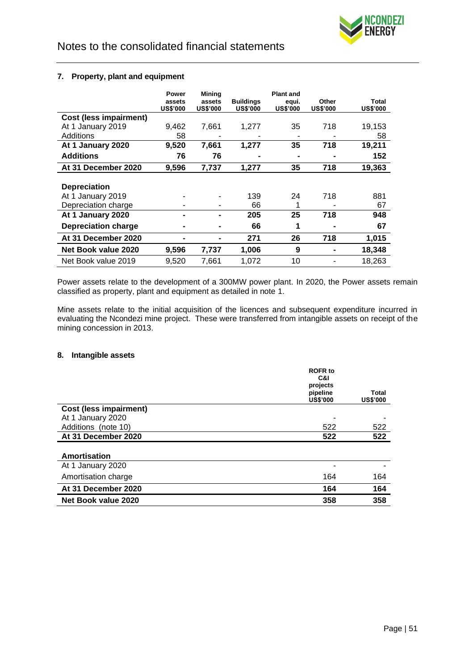

# **7. Property, plant and equipment**

|                               | <b>Power</b><br>assets<br><b>US\$'000</b> | Mining<br>assets<br><b>US\$'000</b> | <b>Buildings</b><br><b>US\$'000</b> | <b>Plant and</b><br>equi.<br><b>US\$'000</b> | Other<br><b>US\$'000</b> | Total<br><b>US\$'000</b> |
|-------------------------------|-------------------------------------------|-------------------------------------|-------------------------------------|----------------------------------------------|--------------------------|--------------------------|
| <b>Cost (less impairment)</b> |                                           |                                     |                                     |                                              |                          |                          |
| At 1 January 2019             | 9,462                                     | 7,661                               | 1,277                               | 35                                           | 718                      | 19,153                   |
| Additions                     | 58                                        |                                     |                                     |                                              |                          | 58                       |
| At 1 January 2020             | 9,520                                     | 7,661                               | 1,277                               | 35                                           | 718                      | 19,211                   |
| <b>Additions</b>              | 76                                        | 76                                  |                                     |                                              |                          | 152                      |
| At 31 December 2020           | 9,596                                     | 7,737                               | 1,277                               | 35                                           | 718                      | 19,363                   |
| <b>Depreciation</b>           |                                           |                                     |                                     |                                              |                          |                          |
| At 1 January 2019             |                                           |                                     | 139                                 | 24                                           | 718                      | 881                      |
| Depreciation charge           |                                           |                                     | 66                                  |                                              |                          | 67                       |
| At 1 January 2020             | -                                         | -                                   | 205                                 | 25                                           | 718                      | 948                      |
| <b>Depreciation charge</b>    |                                           |                                     | 66                                  | 1                                            |                          | 67                       |
| At 31 December 2020           |                                           |                                     | 271                                 | 26                                           | 718                      | 1,015                    |
| Net Book value 2020           | 9,596                                     | 7,737                               | 1,006                               | 9                                            |                          | 18,348                   |
| Net Book value 2019           | 9,520                                     | 7,661                               | 1.072                               | 10                                           |                          | 18,263                   |

Power assets relate to the development of a 300MW power plant. In 2020, the Power assets remain classified as property, plant and equipment as detailed in note 1.

Mine assets relate to the initial acquisition of the licences and subsequent expenditure incurred in evaluating the Ncondezi mine project. These were transferred from intangible assets on receipt of the mining concession in 2013.

#### **8. Intangible assets**

|                               | <b>ROFR</b> to  |                 |
|-------------------------------|-----------------|-----------------|
|                               | C&I             |                 |
|                               | projects        |                 |
|                               | pipeline        | Total           |
|                               | <b>US\$'000</b> | <b>US\$'000</b> |
| <b>Cost (less impairment)</b> |                 |                 |
| At 1 January 2020             |                 |                 |
| Additions (note 10)           | 522             | 522             |
| At 31 December 2020           | 522             | 522             |
|                               |                 |                 |
| Amortisation                  |                 |                 |
| At 1 January 2020             |                 |                 |
| Amortisation charge           | 164             | 164             |
| At 31 December 2020           | 164             | 164             |
| Net Book value 2020           | 358             | 358             |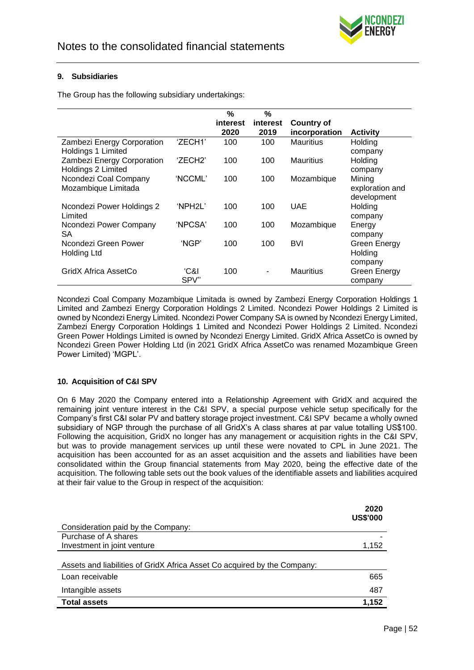

# **9. Subsidiaries**

The Group has the following subsidiary undertakings:

|                                                  |              | %               | %        |                   |                                          |
|--------------------------------------------------|--------------|-----------------|----------|-------------------|------------------------------------------|
|                                                  |              | <b>interest</b> | interest | <b>Country of</b> |                                          |
|                                                  |              | 2020            | 2019     | incorporation     | <b>Activity</b>                          |
| Zambezi Energy Corporation<br>Holdings 1 Limited | 'ZECH1'      | 100             | 100      | <b>Mauritius</b>  | Holding<br>company                       |
| Zambezi Energy Corporation<br>Holdings 2 Limited | 'ZECH2'      | 100             | 100      | Mauritius         | Holding<br>company                       |
| Ncondezi Coal Company<br>Mozambique Limitada     | 'NCCML'      | 100             | 100      | Mozambique        | Mining<br>exploration and<br>development |
| Ncondezi Power Holdings 2<br>Limited             | 'NPH2L'      | 100             | 100      | <b>UAE</b>        | Holding<br>company                       |
| Ncondezi Power Company<br>SA.                    | 'NPCSA'      | 100             | 100      | Mozambique        | Energy<br>company                        |
| Ncondezi Green Power<br><b>Holding Ltd</b>       | 'NGP'        | 100             | 100      | <b>BVI</b>        | Green Energy<br>Holding<br>company       |
| GridX Africa AssetCo                             | 'C&I<br>SPV" | 100             |          | <b>Mauritius</b>  | Green Energy<br>company                  |

Ncondezi Coal Company Mozambique Limitada is owned by Zambezi Energy Corporation Holdings 1 Limited and Zambezi Energy Corporation Holdings 2 Limited. Ncondezi Power Holdings 2 Limited is owned by Ncondezi Energy Limited. Ncondezi Power Company SA is owned by Ncondezi Energy Limited, Zambezi Energy Corporation Holdings 1 Limited and Ncondezi Power Holdings 2 Limited. Ncondezi Green Power Holdings Limited is owned by Ncondezi Energy Limited. GridX Africa AssetCo is owned by Ncondezi Green Power Holding Ltd (in 2021 GridX Africa AssetCo was renamed Mozambique Green Power Limited) 'MGPL'.

# **10. Acquisition of C&I SPV**

On 6 May 2020 the Company entered into a Relationship Agreement with GridX and acquired the remaining joint venture interest in the C&I SPV, a special purpose vehicle setup specifically for the Company's first C&I solar PV and battery storage project investment. C&I SPV became a wholly owned subsidiary of NGP through the purchase of all GridX's A class shares at par value totalling US\$100. Following the acquisition, GridX no longer has any management or acquisition rights in the C&I SPV, but was to provide management services up until these were novated to CPL in June 2021. The acquisition has been accounted for as an asset acquisition and the assets and liabilities have been consolidated within the Group financial statements from May 2020, being the effective date of the acquisition. The following table sets out the book values of the identifiable assets and liabilities acquired at their fair value to the Group in respect of the acquisition:

|                                                                          | 2020<br><b>US\$'000</b> |
|--------------------------------------------------------------------------|-------------------------|
| Consideration paid by the Company:                                       |                         |
| Purchase of A shares                                                     |                         |
| Investment in joint venture                                              | 1,152                   |
| Assets and liabilities of GridX Africa Asset Co acquired by the Company: |                         |
| Loan receivable                                                          | 665                     |
| Intangible assets                                                        | 487                     |
| <b>Total assets</b>                                                      | 1,152                   |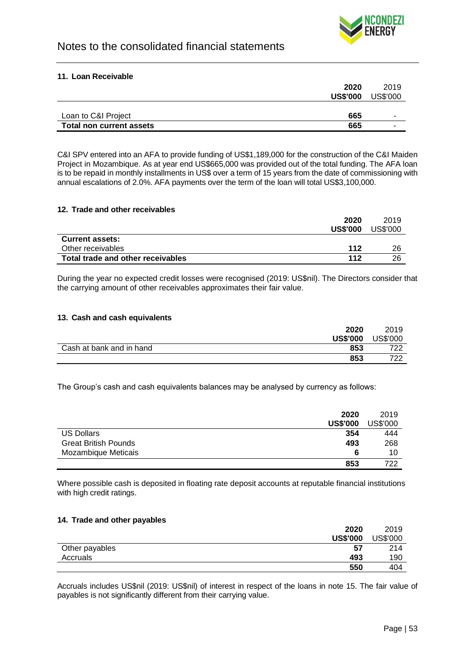

# Notes to the consolidated financial statements

#### **11. Loan Receivable**

|                          | 2020            | 2019     |
|--------------------------|-----------------|----------|
|                          | <b>US\$'000</b> | US\$'000 |
|                          |                 |          |
| Loan to C&I Project      | 665             |          |
| Total non current assets | 665             | -        |

C&I SPV entered into an AFA to provide funding of US\$1,189,000 for the construction of the C&I Maiden Project in Mozambique. As at year end US\$665,000 was provided out of the total funding. The AFA loan is to be repaid in monthly installments in US\$ over a term of 15 years from the date of commissioning with annual escalations of 2.0%. AFA payments over the term of the loan will total US\$3,100,000.

#### **12. Trade and other receivables**

|                                   | 2020            | 2019     |
|-----------------------------------|-----------------|----------|
|                                   | <b>US\$'000</b> | US\$'000 |
| <b>Current assets:</b>            |                 |          |
| Other receivables                 | 112             | 26       |
| Total trade and other receivables | 112             | 26       |

During the year no expected credit losses were recognised (2019: US\$nil). The Directors consider that the carrying amount of other receivables approximates their fair value.

#### **13. Cash and cash equivalents**

|                          | 2020            | 2019     |
|--------------------------|-----------------|----------|
|                          | <b>US\$'000</b> | US\$'000 |
| Cash at bank and in hand | 853             | フつつ      |
|                          | 853             | フつつ      |

The Group's cash and cash equivalents balances may be analysed by currency as follows:

|                             | 2020            | 2019     |
|-----------------------------|-----------------|----------|
|                             | <b>US\$'000</b> | US\$'000 |
| <b>US Dollars</b>           | 354             | 444      |
| <b>Great British Pounds</b> | 493             | 268      |
| Mozambique Meticais         | 6               | 10       |
|                             | 853             | 722.     |

Where possible cash is deposited in floating rate deposit accounts at reputable financial institutions with high credit ratings.

#### **14. Trade and other payables**

|                | 2020<br><b>US\$'000</b> | 2019<br><b>US\$'000</b> |
|----------------|-------------------------|-------------------------|
| Other payables | 57                      | 214                     |
| Accruals       | 493                     | 190                     |
|                | 550                     | 404                     |

Accruals includes US\$nil (2019: US\$nil) of interest in respect of the loans in note 15. The fair value of payables is not significantly different from their carrying value.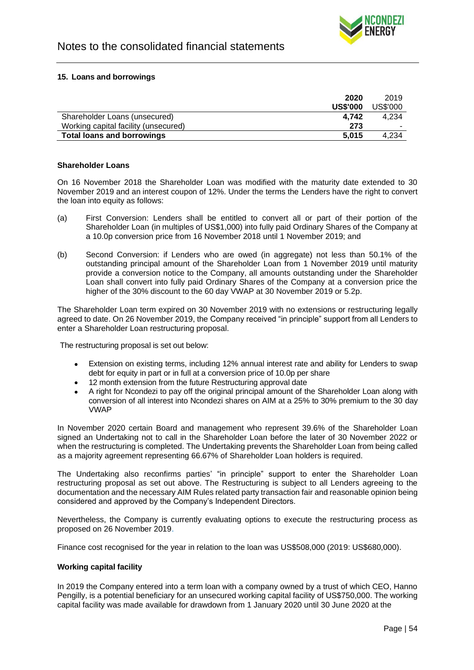# **15. Loans and borrowings**

|                                      | 2020            | 2019     |
|--------------------------------------|-----------------|----------|
|                                      | <b>US\$'000</b> | US\$'000 |
| Shareholder Loans (unsecured)        | 4.742           | 4.234    |
| Working capital facility (unsecured) | 273             |          |
| <b>Total loans and borrowings</b>    | 5.015           | 4.234    |

#### **Shareholder Loans**

On 16 November 2018 the Shareholder Loan was modified with the maturity date extended to 30 November 2019 and an interest coupon of 12%. Under the terms the Lenders have the right to convert the loan into equity as follows:

- (a) First Conversion: Lenders shall be entitled to convert all or part of their portion of the Shareholder Loan (in multiples of US\$1,000) into fully paid Ordinary Shares of the Company at a 10.0p conversion price from 16 November 2018 until 1 November 2019; and
- (b) Second Conversion: if Lenders who are owed (in aggregate) not less than 50.1% of the outstanding principal amount of the Shareholder Loan from 1 November 2019 until maturity provide a conversion notice to the Company, all amounts outstanding under the Shareholder Loan shall convert into fully paid Ordinary Shares of the Company at a conversion price the higher of the 30% discount to the 60 day VWAP at 30 November 2019 or 5.2p.

The Shareholder Loan term expired on 30 November 2019 with no extensions or restructuring legally agreed to date. On 26 November 2019, the Company received "in principle" support from all Lenders to enter a Shareholder Loan restructuring proposal.

The restructuring proposal is set out below:

- Extension on existing terms, including 12% annual interest rate and ability for Lenders to swap debt for equity in part or in full at a conversion price of 10.0p per share
- 12 month extension from the future Restructuring approval date
- A right for Ncondezi to pay off the original principal amount of the Shareholder Loan along with conversion of all interest into Ncondezi shares on AIM at a 25% to 30% premium to the 30 day VWAP

In November 2020 certain Board and management who represent 39.6% of the Shareholder Loan signed an Undertaking not to call in the Shareholder Loan before the later of 30 November 2022 or when the restructuring is completed. The Undertaking prevents the Shareholder Loan from being called as a majority agreement representing 66.67% of Shareholder Loan holders is required.

The Undertaking also reconfirms parties' "in principle" support to enter the Shareholder Loan restructuring proposal as set out above. The Restructuring is subject to all Lenders agreeing to the documentation and the necessary AIM Rules related party transaction fair and reasonable opinion being considered and approved by the Company's Independent Directors.

Nevertheless, the Company is currently evaluating options to execute the restructuring process as proposed on 26 November 2019.

Finance cost recognised for the year in relation to the loan was US\$508,000 (2019: US\$680,000).

# **Working capital facility**

In 2019 the Company entered into a term loan with a company owned by a trust of which CEO, Hanno Pengilly, is a potential beneficiary for an unsecured working capital facility of US\$750,000. The working capital facility was made available for drawdown from 1 January 2020 until 30 June 2020 at the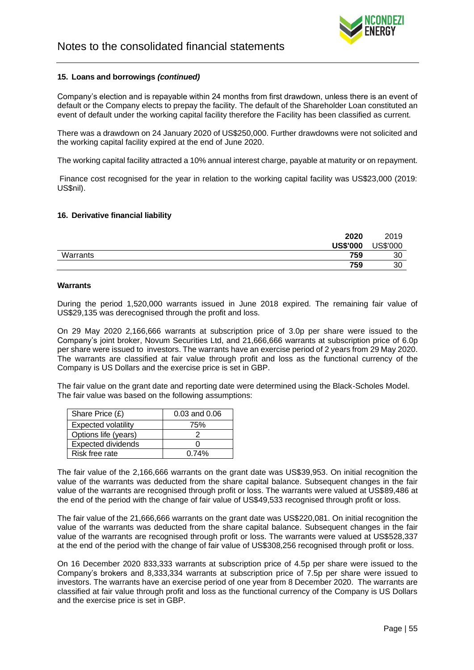

# **15. Loans and borrowings** *(continued)*

Company's election and is repayable within 24 months from first drawdown, unless there is an event of default or the Company elects to prepay the facility. The default of the Shareholder Loan constituted an event of default under the working capital facility therefore the Facility has been classified as current.

There was a drawdown on 24 January 2020 of US\$250,000. Further drawdowns were not solicited and the working capital facility expired at the end of June 2020.

The working capital facility attracted a 10% annual interest charge, payable at maturity or on repayment.

Finance cost recognised for the year in relation to the working capital facility was US\$23,000 (2019: US\$nil).

#### **16. Derivative financial liability**

|          | 2020<br><b>US\$'000</b> | 2019<br><b>US\$'000</b> |
|----------|-------------------------|-------------------------|
| Warrants | 759                     | 30                      |
|          | 759                     | 30                      |

#### **Warrants**

During the period 1,520,000 warrants issued in June 2018 expired. The remaining fair value of US\$29,135 was derecognised through the profit and loss.

On 29 May 2020 2,166,666 warrants at subscription price of 3.0p per share were issued to the Company's joint broker, Novum Securities Ltd, and 21,666,666 warrants at subscription price of 6.0p per share were issued to investors. The warrants have an exercise period of 2 years from 29 May 2020. The warrants are classified at fair value through profit and loss as the functional currency of the Company is US Dollars and the exercise price is set in GBP.

The fair value on the grant date and reporting date were determined using the Black-Scholes Model. The fair value was based on the following assumptions:

| Share Price $(E)$          | $0.03$ and $0.06$ |
|----------------------------|-------------------|
| <b>Expected volatility</b> | 75%               |
| Options life (years)       |                   |
| <b>Expected dividends</b>  |                   |
| Risk free rate             | በ 74%             |

The fair value of the 2,166,666 warrants on the grant date was US\$39,953. On initial recognition the value of the warrants was deducted from the share capital balance. Subsequent changes in the fair value of the warrants are recognised through profit or loss. The warrants were valued at US\$89,486 at the end of the period with the change of fair value of US\$49,533 recognised through profit or loss.

The fair value of the 21,666,666 warrants on the grant date was US\$220,081. On initial recognition the value of the warrants was deducted from the share capital balance. Subsequent changes in the fair value of the warrants are recognised through profit or loss. The warrants were valued at US\$528,337 at the end of the period with the change of fair value of US\$308,256 recognised through profit or loss.

On 16 December 2020 833,333 warrants at subscription price of 4.5p per share were issued to the Company's brokers and 8,333,334 warrants at subscription price of 7.5p per share were issued to investors. The warrants have an exercise period of one year from 8 December 2020. The warrants are classified at fair value through profit and loss as the functional currency of the Company is US Dollars and the exercise price is set in GBP.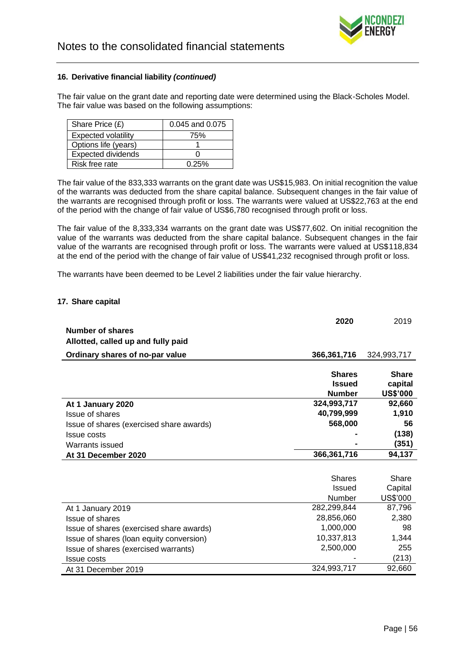

#### **16. Derivative financial liability** *(continued)*

The fair value on the grant date and reporting date were determined using the Black-Scholes Model. The fair value was based on the following assumptions:

| Share Price $(E)$          | 0.045 and 0.075 |
|----------------------------|-----------------|
| <b>Expected volatility</b> | 75%             |
| Options life (years)       |                 |
| <b>Expected dividends</b>  |                 |
| Risk free rate             | በ 25%           |

The fair value of the 833,333 warrants on the grant date was US\$15,983. On initial recognition the value of the warrants was deducted from the share capital balance. Subsequent changes in the fair value of the warrants are recognised through profit or loss. The warrants were valued at US\$22,763 at the end of the period with the change of fair value of US\$6,780 recognised through profit or loss.

The fair value of the 8,333,334 warrants on the grant date was US\$77,602. On initial recognition the value of the warrants was deducted from the share capital balance. Subsequent changes in the fair value of the warrants are recognised through profit or loss. The warrants were valued at US\$118,834 at the end of the period with the change of fair value of US\$41,232 recognised through profit or loss.

The warrants have been deemed to be Level 2 liabilities under the fair value hierarchy.

# **17. Share capital**

|                                          | 2020          | 2019            |
|------------------------------------------|---------------|-----------------|
| Number of shares                         |               |                 |
| Allotted, called up and fully paid       |               |                 |
| Ordinary shares of no-par value          | 366,361,716   | 324,993,717     |
|                                          | <b>Shares</b> | <b>Share</b>    |
|                                          | <b>Issued</b> | capital         |
|                                          | <b>Number</b> | <b>US\$'000</b> |
| At 1 January 2020                        | 324,993,717   | 92,660          |
| Issue of shares                          | 40,799,999    | 1,910           |
| Issue of shares (exercised share awards) | 568,000       | 56              |
| <b>Issue costs</b>                       |               | (138)           |
| Warrants issued                          |               | (351)           |
| At 31 December 2020                      | 366,361,716   | 94,137          |
|                                          |               |                 |
|                                          | <b>Shares</b> | Share           |
|                                          | Issued        | Capital         |
|                                          | <b>Number</b> | US\$'000        |
| At 1 January 2019                        | 282,299,844   | 87,796          |
| Issue of shares                          | 28,856,060    | 2,380           |
| Issue of shares (exercised share awards) | 1,000,000     | 98              |
| Issue of shares (loan equity conversion) | 10,337,813    | 1.344           |
| Issue of shares (exercised warrants)     | 2,500,000     | 255             |
| <b>Issue costs</b>                       |               | (213)           |
| At 31 December 2019                      | 324,993,717   | 92,660          |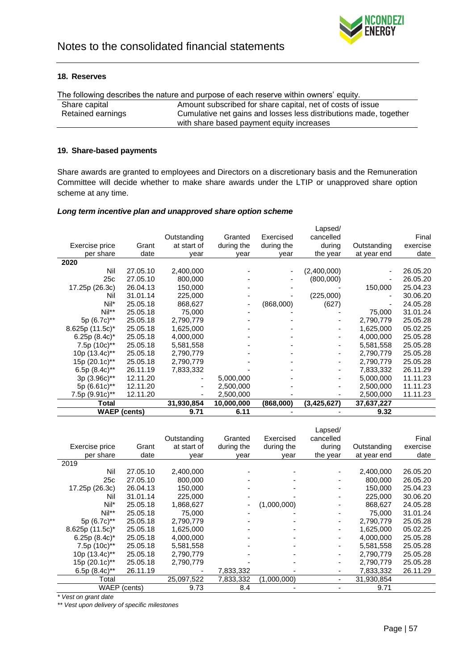

# **18. Reserves**

The following describes the nature and purpose of each reserve within owners' equity.

| Share capital     | Amount subscribed for share capital, net of costs of issue        |
|-------------------|-------------------------------------------------------------------|
| Retained earnings | Cumulative net gains and losses less distributions made, together |
|                   | with share based payment equity increases                         |

#### **19. Share-based payments**

Share awards are granted to employees and Directors on a discretionary basis and the Remuneration Committee will decide whether to make share awards under the LTIP or unapproved share option scheme at any time.

# *Long term incentive plan and unapproved share option scheme*

|                  | <b>WAEP</b> (cents) | 9.71                     | 6.11       |            |               | 9.32        |          |
|------------------|---------------------|--------------------------|------------|------------|---------------|-------------|----------|
| Total            |                     | 31,930,854               | 10,000,000 | (868,000)  | (3, 425, 627) | 37,637,227  |          |
| 7.5p (9.91c)**   | 12.11.20            |                          | 2,500,000  |            |               | 2,500,000   | 11.11.23 |
| 5p (6.61c)**     | 12.11.20            | $\overline{\phantom{a}}$ | 2,500,000  |            |               | 2,500,000   | 11.11.23 |
| 3p (3.96c)**     | 12.11.20            |                          | 5,000,000  |            |               | 5,000,000   | 11.11.23 |
| 6.5p $(8.4c)$ ** | 26.11.19            | 7,833,332                |            |            |               | 7,833,332   | 26.11.29 |
| 15p (20.1c)**    | 25.05.18            | 2,790,779                |            |            |               | 2,790,779   | 25.05.28 |
| 10p (13.4c)**    | 25.05.18            | 2,790,779                |            |            |               | 2,790,779   | 25.05.28 |
| $7.5p(10c)**$    | 25.05.18            | 5,581,558                |            |            |               | 5,581,558   | 25.05.28 |
| 6.25p $(8.4c)^*$ | 25.05.18            | 4,000,000                |            |            |               | 4,000,000   | 25.05.28 |
| 8.625p (11.5c)*  | 25.05.18            | 1,625,000                |            |            |               | 1,625,000   | 05.02.25 |
| 5p (6.7c)**      | 25.05.18            | 2,790,779                |            |            |               | 2,790,779   | 25.05.28 |
| Nil**            | 25.05.18            | 75,000                   |            |            |               | 75,000      | 31.01.24 |
| Nil*             | 25.05.18            | 868,627                  |            | (868,000)  | (627)         |             | 24.05.28 |
| Nil              | 31.01.14            | 225,000                  |            |            | (225,000)     |             | 30.06.20 |
| 17.25p (26.3c)   | 26.04.13            | 150,000                  |            |            |               | 150,000     | 25.04.23 |
| 25c              | 27.05.10            | 800,000                  |            |            | (800,000)     |             | 26.05.20 |
| Nil              | 27.05.10            | 2,400,000                |            |            | (2,400,000)   |             | 26.05.20 |
| 2020             |                     |                          |            |            |               |             |          |
| per share        | date                | year                     | year       | year       | the year      | at year end | date     |
| Exercise price   | Grant               | at start of              | during the | during the | during        | Outstanding | exercise |
|                  |                     | Outstanding              | Granted    | Exercised  | cancelled     |             | Final    |
|                  |                     |                          |            |            | Lapsed/       |             |          |

|                  |          |             |            |             | Lapsed/   |             |          |
|------------------|----------|-------------|------------|-------------|-----------|-------------|----------|
|                  |          | Outstanding | Granted    | Exercised   | cancelled |             | Final    |
| Exercise price   | Grant    | at start of | during the | during the  | during    | Outstanding | exercise |
| per share        | date     | vear        | vear       | vear        | the year  | at year end | date     |
| 2019             |          |             |            |             |           |             |          |
| Nil              | 27.05.10 | 2,400,000   |            |             |           | 2,400,000   | 26.05.20 |
| 25c              | 27.05.10 | 800.000     |            |             |           | 800.000     | 26.05.20 |
| 17.25p (26.3c)   | 26.04.13 | 150,000     |            |             |           | 150,000     | 25.04.23 |
| Nil              | 31.01.14 | 225.000     |            |             |           | 225.000     | 30.06.20 |
| Nil*             | 25.05.18 | 1,868,627   |            | (1,000,000) |           | 868,627     | 24.05.28 |
| Nil**            | 25.05.18 | 75,000      |            |             |           | 75,000      | 31.01.24 |
| 5p (6.7c)**      | 25.05.18 | 2,790,779   |            |             |           | 2,790,779   | 25.05.28 |
| 8.625p (11.5c)*  | 25.05.18 | 1,625,000   |            |             |           | 1,625,000   | 05.02.25 |
| 6.25p $(8.4c)^*$ | 25.05.18 | 4.000.000   |            |             |           | 4,000,000   | 25.05.28 |
| 7.5p (10c)**     | 25.05.18 | 5,581,558   |            |             |           | 5,581,558   | 25.05.28 |
| $10p (13.4c)$ ** | 25.05.18 | 2,790,779   |            |             |           | 2,790,779   | 25.05.28 |
| 15p (20.1c)**    | 25.05.18 | 2,790,779   |            |             |           | 2,790,779   | 25.05.28 |
| 6.5p $(8.4c)$ ** | 26.11.19 |             | 7,833,332  |             |           | 7,833,332   | 26.11.29 |
| Total            |          | 25,097,522  | 7,833,332  | (1,000,000) |           | 31,930,854  |          |
| WAEP             | (cents)  | 9.73        | 8.4        |             |           | 9.71        |          |

*\* Vest on grant date*

*\*\* Vest upon delivery of specific milestones*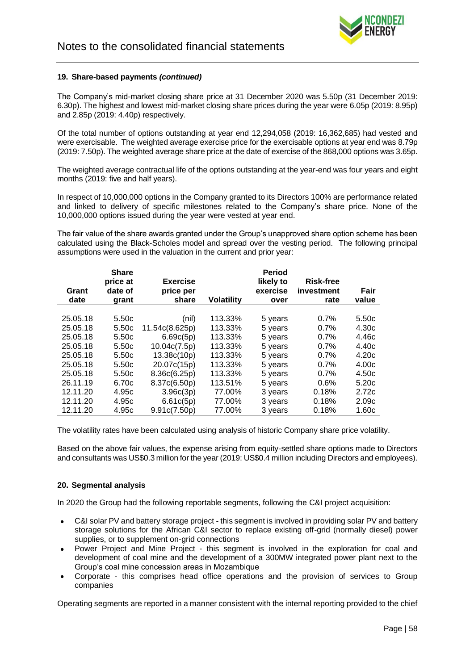

#### **19. Share-based payments** *(continued)*

The Company's mid-market closing share price at 31 December 2020 was 5.50p (31 December 2019: 6.30p). The highest and lowest mid-market closing share prices during the year were 6.05p (2019: 8.95p) and 2.85p (2019: 4.40p) respectively.

Of the total number of options outstanding at year end 12,294,058 (2019: 16,362,685) had vested and were exercisable. The weighted average exercise price for the exercisable options at year end was 8.79p (2019: 7.50p). The weighted average share price at the date of exercise of the 868,000 options was 3.65p.

The weighted average contractual life of the options outstanding at the year-end was four years and eight months (2019: five and half years).

In respect of 10,000,000 options in the Company granted to its Directors 100% are performance related and linked to delivery of specific milestones related to the Company's share price. None of the 10,000,000 options issued during the year were vested at year end.

The fair value of the share awards granted under the Group's unapproved share option scheme has been calculated using the Black-Scholes model and spread over the vesting period. The following principal assumptions were used in the valuation in the current and prior year:

| Grant    | <b>Share</b><br>price at<br>date of | <b>Exercise</b><br>price per |            | <b>Period</b><br>likely to<br>exercise | Risk-free<br>investment | Fair              |
|----------|-------------------------------------|------------------------------|------------|----------------------------------------|-------------------------|-------------------|
| date     | grant                               | share                        | Volatilitv | over                                   | rate                    | value             |
| 25.05.18 | 5.50c                               | (nil)                        | 113.33%    | 5 years                                | 0.7%                    | 5.50c             |
| 25.05.18 | 5.50c                               | 11.54c(8.625p)               | 113.33%    | 5 years                                | 0.7%                    | 4.30c             |
| 25.05.18 | 5.50c                               | 6.69c(5p)                    | 113.33%    | 5 years                                | 0.7%                    | 4.46c             |
| 25.05.18 | 5.50c                               | 10.04c(7.5p)                 | 113.33%    | 5 years                                | 0.7%                    | 4.40c             |
| 25.05.18 | 5.50c                               | 13.38c(10p)                  | 113.33%    | 5 years                                | 0.7%                    | 4.20c             |
| 25.05.18 | 5.50c                               | 20.07c(15p)                  | 113.33%    | 5 years                                | 0.7%                    | 4.00c             |
| 25.05.18 | 5.50c                               | 8.36c(6.25p)                 | 113.33%    | 5 years                                | 0.7%                    | 4.50c             |
| 26.11.19 | 6.70c                               | 8.37c(6.50p)                 | 113.51%    | 5 years                                | 0.6%                    | 5.20 <sub>c</sub> |
| 12.11.20 | 4.95c                               | 3.96c(3p)                    | 77.00%     | 3 years                                | 0.18%                   | 2.72c             |
| 12.11.20 | 4.95c                               | 6.61c(5p)                    | 77.00%     | 3 years                                | 0.18%                   | 2.09c             |
| 12.11.20 | 4.95c                               | 9.91c(7.50p)                 | 77.00%     | 3 years                                | 0.18%                   | 1.60c             |

The volatility rates have been calculated using analysis of historic Company share price volatility.

Based on the above fair values, the expense arising from equity-settled share options made to Directors and consultants was US\$0.3 million for the year (2019: US\$0.4 million including Directors and employees).

# **20. Segmental analysis**

In 2020 the Group had the following reportable segments, following the C&I project acquisition:

- C&I solar PV and battery storage project this segment is involved in providing solar PV and battery storage solutions for the African C&I sector to replace existing off-grid (normally diesel) power supplies, or to supplement on-grid connections
- Power Project and Mine Project this segment is involved in the exploration for coal and development of coal mine and the development of a 300MW integrated power plant next to the Group's coal mine concession areas in Mozambique
- Corporate this comprises head office operations and the provision of services to Group companies

Operating segments are reported in a manner consistent with the internal reporting provided to the chief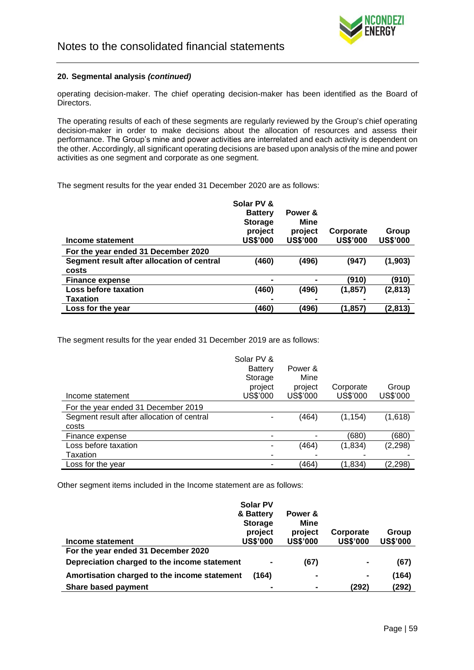

# **20. Segmental analysis** *(continued)*

operating decision-maker. The chief operating decision-maker has been identified as the Board of Directors.

The operating results of each of these segments are regularly reviewed by the Group's chief operating decision-maker in order to make decisions about the allocation of resources and assess their performance. The Group's mine and power activities are interrelated and each activity is dependent on the other. Accordingly, all significant operating decisions are based upon analysis of the mine and power activities as one segment and corporate as one segment.

The segment results for the year ended 31 December 2020 are as follows:

| Income statement                                    | Solar PV &<br><b>Battery</b><br><b>Storage</b><br>project<br><b>US\$'000</b> | Power &<br><b>Mine</b><br>project<br><b>US\$'000</b> | Corporate<br><b>US\$'000</b> | Group<br><b>US\$'000</b> |
|-----------------------------------------------------|------------------------------------------------------------------------------|------------------------------------------------------|------------------------------|--------------------------|
| For the year ended 31 December 2020                 |                                                                              |                                                      |                              |                          |
| Segment result after allocation of central<br>costs | (460)                                                                        | (496)                                                | (947)                        | (1, 903)                 |
| <b>Finance expense</b>                              | $\blacksquare$                                                               |                                                      | (910)                        | (910)                    |
| Loss before taxation                                | (460)                                                                        | (496)                                                | (1, 857)                     | (2, 813)                 |
| <b>Taxation</b>                                     |                                                                              |                                                      |                              |                          |
| Loss for the year                                   | (460)                                                                        | (496)                                                | (1,857)                      | (2,813)                  |

The segment results for the year ended 31 December 2019 are as follows:

|                                            | Solar PV & |          |           |          |
|--------------------------------------------|------------|----------|-----------|----------|
|                                            | Battery    | Power &  |           |          |
|                                            | Storage    | Mine     |           |          |
|                                            | project    | project  | Corporate | Group    |
| Income statement                           | US\$'000   | US\$'000 | US\$'000  | US\$'000 |
| For the year ended 31 December 2019        |            |          |           |          |
| Segment result after allocation of central |            | (464)    | (1, 154)  | (1,618)  |
| costs                                      |            |          |           |          |
| Finance expense                            |            |          | (680)     | (680)    |
| Loss before taxation                       |            | (464)    | (1,834)   | (2,298)  |
| Taxation                                   |            |          |           |          |
| Loss for the year                          |            | (464)    | (1,834)   | (2,298)  |

Other segment items included in the Income statement are as follows:

|                                              | <b>Solar PV</b><br>& Battery<br><b>Storage</b><br>project | Power &<br>Mine<br>project | Corporate       | Group           |
|----------------------------------------------|-----------------------------------------------------------|----------------------------|-----------------|-----------------|
| Income statement                             | <b>US\$'000</b>                                           | <b>US\$'000</b>            | <b>US\$'000</b> | <b>US\$'000</b> |
| For the year ended 31 December 2020          |                                                           |                            |                 |                 |
| Depreciation charged to the income statement | ٠                                                         | (67)                       | $\blacksquare$  | (67)            |
| Amortisation charged to the income statement | (164)                                                     | $\blacksquare$             | $\blacksquare$  | (164)           |
| <b>Share based payment</b>                   | $\blacksquare$                                            |                            | (292)           | (292)           |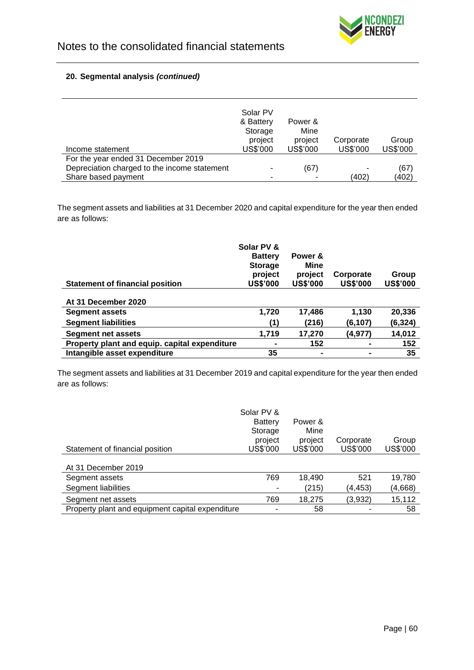

# **20. Segmental analysis** *(continued)*

|                                              | Solar PV<br>& Battery<br>Storage | Power &<br>Mine |           |          |
|----------------------------------------------|----------------------------------|-----------------|-----------|----------|
|                                              | project                          | project         | Corporate | Group    |
| Income statement                             | US\$'000                         | US\$'000        | US\$'000  | US\$'000 |
| For the year ended 31 December 2019          |                                  |                 |           |          |
| Depreciation charged to the income statement |                                  | (67)            |           | (67)     |
| Share based payment                          |                                  |                 | (402)     | (402)    |

The segment assets and liabilities at 31 December 2020 and capital expenditure for the year then ended are as follows:

| <b>Statement of financial position</b>        | Solar PV &<br><b>Battery</b><br><b>Storage</b><br>project<br><b>US\$'000</b> | Power &<br><b>Mine</b><br>project<br><b>US\$'000</b> | Corporate<br><b>US\$'000</b> | Group<br><b>US\$'000</b> |
|-----------------------------------------------|------------------------------------------------------------------------------|------------------------------------------------------|------------------------------|--------------------------|
| At 31 December 2020                           |                                                                              |                                                      |                              |                          |
| <b>Segment assets</b>                         | 1,720                                                                        | 17,486                                               | 1.130                        | 20,336                   |
| <b>Segment liabilities</b>                    | (1)                                                                          | (216)                                                | (6, 107)                     | (6, 324)                 |
| Segment net assets                            | 1.719                                                                        | 17.270                                               | (4,977)                      | 14,012                   |
| Property plant and equip. capital expenditure | $\blacksquare$                                                               | 152                                                  | ۰                            | 152                      |
| Intangible asset expenditure                  | 35                                                                           | $\blacksquare$                                       | ۰                            | 35                       |

The segment assets and liabilities at 31 December 2019 and capital expenditure for the year then ended are as follows:

|                                                  | Solar PV &     |          |           |          |
|--------------------------------------------------|----------------|----------|-----------|----------|
|                                                  | <b>Battery</b> | Power &  |           |          |
|                                                  | Storage        | Mine     |           |          |
|                                                  | project        | project  | Corporate | Group    |
| Statement of financial position                  | US\$'000       | US\$'000 | US\$'000  | US\$'000 |
|                                                  |                |          |           |          |
| At 31 December 2019                              |                |          |           |          |
| Segment assets                                   | 769            | 18.490   | 521       | 19,780   |
| Segment liabilities                              |                | (215)    | (4,453)   | (4,668)  |
| Segment net assets                               | 769            | 18.275   | (3,932)   | 15,112   |
| Property plant and equipment capital expenditure |                | 58       |           | 58       |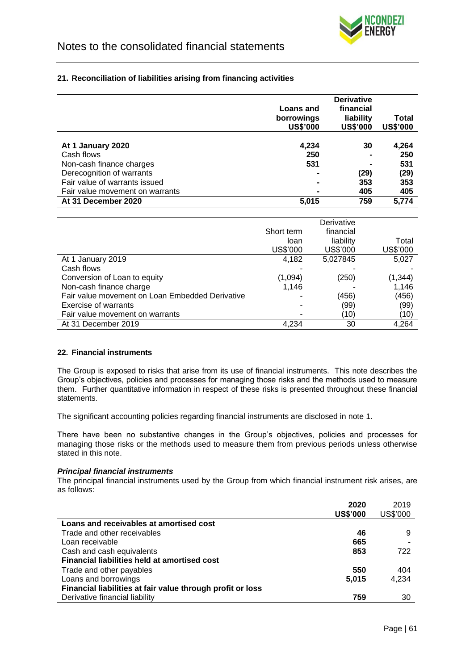# **21. Reconciliation of liabilities arising from financing activities**

|                                 | Loans and<br>borrowings<br><b>US\$'000</b> | <b>Derivative</b><br>financial<br>liability<br><b>US\$'000</b> | Total<br><b>US\$'000</b> |
|---------------------------------|--------------------------------------------|----------------------------------------------------------------|--------------------------|
|                                 |                                            |                                                                |                          |
| At 1 January 2020               | 4,234                                      | 30                                                             | 4,264                    |
| Cash flows                      | 250                                        |                                                                | 250                      |
| Non-cash finance charges        | 531                                        |                                                                | 531                      |
| Derecognition of warrants       |                                            | (29)                                                           | (29)                     |
| Fair value of warrants issued   |                                            | 353                                                            | 353                      |
| Fair value movement on warrants |                                            | 405                                                            | 405                      |
| At 31 December 2020             | 5,015                                      | 759                                                            | 5,774                    |

|                                                 | Short term | Derivative<br>financial |          |
|-------------------------------------------------|------------|-------------------------|----------|
|                                                 |            |                         |          |
|                                                 | loan       | liability               | Total    |
|                                                 | US\$'000   | US\$'000                | US\$'000 |
| At 1 January 2019                               | 4,182      | 5,027845                | 5,027    |
| Cash flows                                      |            |                         |          |
| Conversion of Loan to equity                    | (1,094)    | (250)                   | (1, 344) |
| Non-cash finance charge                         | 1.146      |                         | 1,146    |
| Fair value movement on Loan Embedded Derivative |            | (456)                   | (456)    |
| Exercise of warrants                            |            | (99)                    | (99)     |
| Fair value movement on warrants                 |            | (10)                    | (10)     |
| At 31 December 2019                             | 4,234      | 30                      | 4.264    |

# **22. Financial instruments**

The Group is exposed to risks that arise from its use of financial instruments. This note describes the Group's objectives, policies and processes for managing those risks and the methods used to measure them. Further quantitative information in respect of these risks is presented throughout these financial statements.

The significant accounting policies regarding financial instruments are disclosed in note 1.

There have been no substantive changes in the Group's objectives, policies and processes for managing those risks or the methods used to measure them from previous periods unless otherwise stated in this note.

#### *Principal financial instruments*

The principal financial instruments used by the Group from which financial instrument risk arises, are as follows:

|                                                            | 2020            | 2019     |
|------------------------------------------------------------|-----------------|----------|
|                                                            | <b>US\$'000</b> | US\$'000 |
| Loans and receivables at amortised cost                    |                 |          |
| Trade and other receivables                                | 46              | 9        |
| Loan receivable                                            | 665             |          |
| Cash and cash equivalents                                  | 853             | 722      |
| <b>Financial liabilities held at amortised cost</b>        |                 |          |
| Trade and other payables                                   | 550             | 404      |
| Loans and borrowings                                       | 5.015           | 4,234    |
| Financial liabilities at fair value through profit or loss |                 |          |
| Derivative financial liability                             | 759             | 30       |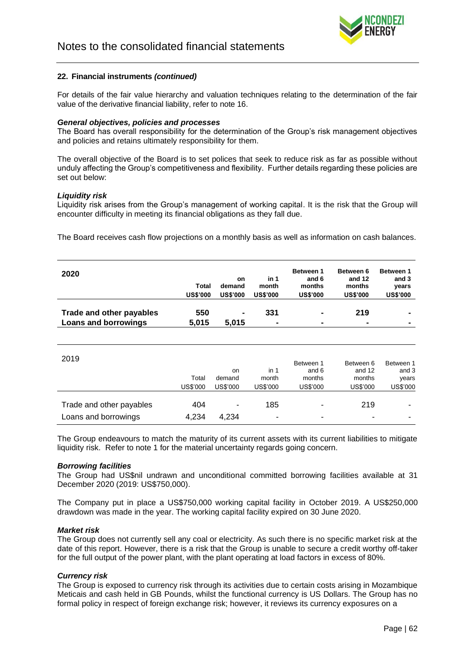

#### **22. Financial instruments** *(continued)*

For details of the fair value hierarchy and valuation techniques relating to the determination of the fair value of the derivative financial liability, refer to note 16.

#### *General objectives, policies and processes*

The Board has overall responsibility for the determination of the Group's risk management objectives and policies and retains ultimately responsibility for them.

The overall objective of the Board is to set polices that seek to reduce risk as far as possible without unduly affecting the Group's competitiveness and flexibility. Further details regarding these policies are set out below:

#### *Liquidity risk*

Liquidity risk arises from the Group's management of working capital. It is the risk that the Group will encounter difficulty in meeting its financial obligations as they fall due.

The Board receives cash flow projections on a monthly basis as well as information on cash balances.

| 2020                     | Total<br><b>US\$'000</b> | <b>on</b><br>demand<br><b>US\$'000</b> | in 1<br>month<br><b>US\$'000</b> | <b>Between 1</b><br>and 6<br>months<br><b>US\$'000</b> | Between 6<br>and 12<br>months<br><b>US\$'000</b> | <b>Between 1</b><br>and 3<br>years<br><b>US\$'000</b> |
|--------------------------|--------------------------|----------------------------------------|----------------------------------|--------------------------------------------------------|--------------------------------------------------|-------------------------------------------------------|
| Trade and other payables | 550                      | $\blacksquare$                         | 331                              | $\blacksquare$                                         | 219                                              | $\blacksquare$                                        |
| Loans and borrowings     | 5.015                    | 5.015                                  | $\blacksquare$                   | $\blacksquare$                                         | $\blacksquare$                                   | $\blacksquare$                                        |

| 2019                     |          | on       | in 1           | Between 1<br>and 6 | Between 6<br>and 12 | Between 1<br>and 3 |
|--------------------------|----------|----------|----------------|--------------------|---------------------|--------------------|
|                          | Total    | demand   | month          | months             | months              | years              |
|                          | US\$'000 | US\$'000 | US\$'000       | US\$'000           | US\$'000            | US\$'000           |
|                          |          |          |                |                    |                     |                    |
| Trade and other payables | 404      | ۰        | 185            | -                  | 219                 | ۰.                 |
| Loans and borrowings     | 4.234    | 4.234    | $\blacksquare$ | -                  | -                   | -                  |

The Group endeavours to match the maturity of its current assets with its current liabilities to mitigate liquidity risk. Refer to note 1 for the material uncertainty regards going concern.

#### *Borrowing facilities*

The Group had US\$nil undrawn and unconditional committed borrowing facilities available at 31 December 2020 (2019: US\$750,000).

The Company put in place a US\$750,000 working capital facility in October 2019. A US\$250,000 drawdown was made in the year. The working capital facility expired on 30 June 2020.

#### *Market risk*

The Group does not currently sell any coal or electricity. As such there is no specific market risk at the date of this report. However, there is a risk that the Group is unable to secure a credit worthy off-taker for the full output of the power plant, with the plant operating at load factors in excess of 80%.

#### *Currency risk*

The Group is exposed to currency risk through its activities due to certain costs arising in Mozambique Meticais and cash held in GB Pounds, whilst the functional currency is US Dollars. The Group has no formal policy in respect of foreign exchange risk; however, it reviews its currency exposures on a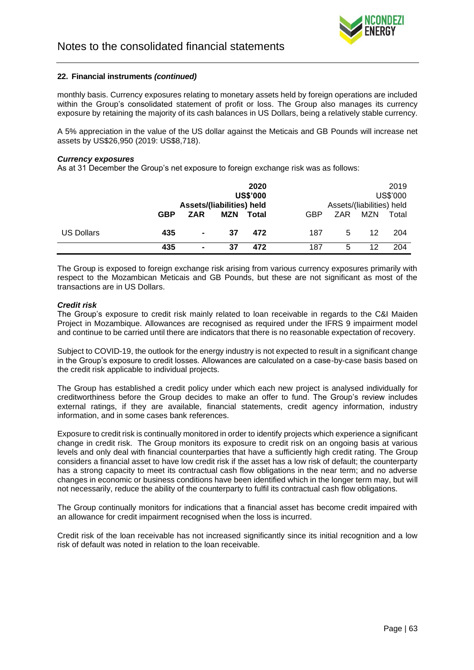

#### **22. Financial instruments** *(continued)*

monthly basis. Currency exposures relating to monetary assets held by foreign operations are included within the Group's consolidated statement of profit or loss. The Group also manages its currency exposure by retaining the majority of its cash balances in US Dollars, being a relatively stable currency.

A 5% appreciation in the value of the US dollar against the Meticais and GB Pounds will increase net assets by US\$26,950 (2019: US\$8,718).

#### *Currency exposures*

As at 31 December the Group's net exposure to foreign exchange risk was as follows:

|                   |            | 2020<br><b>US\$'000</b><br>Assets/(liabilities) held |            |       |            | 2019<br>US\$'000<br>Assets/(liabilities) held |            |       |
|-------------------|------------|------------------------------------------------------|------------|-------|------------|-----------------------------------------------|------------|-------|
|                   | <b>GBP</b> | <b>ZAR</b>                                           | <b>MZN</b> | Total | <b>GBP</b> | ZAR                                           | <b>MZN</b> | Total |
| <b>US Dollars</b> | 435        | $\blacksquare$                                       | 37         | 472   | 187        | 5                                             | 12         | 204   |
|                   | 435        | $\blacksquare$                                       | 37         | 472   | 187        | 5                                             | 12         | 204   |

The Group is exposed to foreign exchange risk arising from various currency exposures primarily with respect to the Mozambican Meticais and GB Pounds, but these are not significant as most of the transactions are in US Dollars.

# *Credit risk*

The Group's exposure to credit risk mainly related to loan receivable in regards to the C&I Maiden Project in Mozambique. Allowances are recognised as required under the IFRS 9 impairment model and continue to be carried until there are indicators that there is no reasonable expectation of recovery.

Subject to COVID-19, the outlook for the energy industry is not expected to result in a significant change in the Group's exposure to credit losses. Allowances are calculated on a case-by-case basis based on the credit risk applicable to individual projects.

The Group has established a credit policy under which each new project is analysed individually for creditworthiness before the Group decides to make an offer to fund. The Group's review includes external ratings, if they are available, financial statements, credit agency information, industry information, and in some cases bank references.

Exposure to credit risk is continually monitored in order to identify projects which experience a significant change in credit risk. The Group monitors its exposure to credit risk on an ongoing basis at various levels and only deal with financial counterparties that have a sufficiently high credit rating. The Group considers a financial asset to have low credit risk if the asset has a low risk of default; the counterparty has a strong capacity to meet its contractual cash flow obligations in the near term; and no adverse changes in economic or business conditions have been identified which in the longer term may, but will not necessarily, reduce the ability of the counterparty to fulfil its contractual cash flow obligations.

The Group continually monitors for indications that a financial asset has become credit impaired with an allowance for credit impairment recognised when the loss is incurred.

Credit risk of the loan receivable has not increased significantly since its initial recognition and a low risk of default was noted in relation to the loan receivable.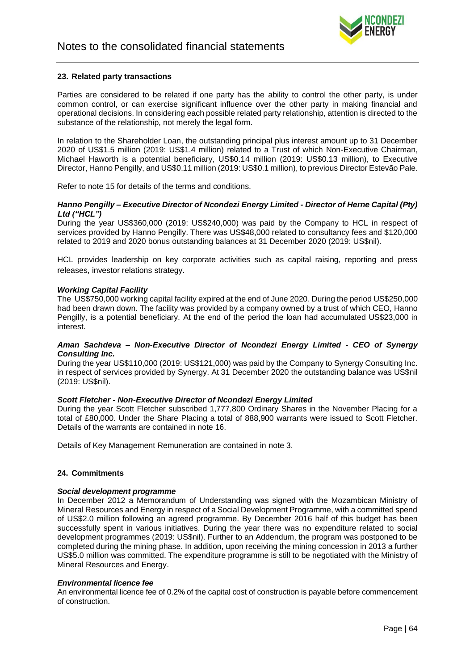

# **23. Related party transactions**

Parties are considered to be related if one party has the ability to control the other party, is under common control, or can exercise significant influence over the other party in making financial and operational decisions. In considering each possible related party relationship, attention is directed to the substance of the relationship, not merely the legal form.

In relation to the Shareholder Loan, the outstanding principal plus interest amount up to 31 December 2020 of US\$1.5 million (2019: US\$1.4 million) related to a Trust of which Non-Executive Chairman, Michael Haworth is a potential beneficiary, US\$0.14 million (2019: US\$0.13 million), to Executive Director, Hanno Pengilly, and US\$0.11 million(2019: US\$0.1 million), to previous Director Estevão Pale.

Refer to note 15 for details of the terms and conditions.

# *Hanno Pengilly – Executive Director of Ncondezi Energy Limited - Director of Herne Capital (Pty) Ltd ("HCL")*

During the year US\$360,000 (2019: US\$240,000) was paid by the Company to HCL in respect of services provided by Hanno Pengilly. There was US\$48,000 related to consultancy fees and \$120,000 related to 2019 and 2020 bonus outstanding balances at 31 December 2020 (2019: US\$nil).

HCL provides leadership on key corporate activities such as capital raising, reporting and press releases, investor relations strategy.

# *Working Capital Facility*

The US\$750,000 working capital facility expired at the end of June 2020. During the period US\$250,000 had been drawn down. The facility was provided by a company owned by a trust of which CEO, Hanno Pengilly, is a potential beneficiary. At the end of the period the loan had accumulated US\$23,000 in interest.

# *Aman Sachdeva – Non-Executive Director of Ncondezi Energy Limited - CEO of Synergy Consulting Inc.*

During the year US\$110,000 (2019: US\$121,000) was paid by the Company to Synergy Consulting Inc. in respect of services provided by Synergy. At 31 December 2020 the outstanding balance was US\$nil (2019: US\$nil).

#### *Scott Fletcher - Non-Executive Director of Ncondezi Energy Limited*

During the year Scott Fletcher subscribed 1,777,800 Ordinary Shares in the November Placing for a total of £80,000. Under the Share Placing a total of 888,900 warrants were issued to Scott Fletcher. Details of the warrants are contained in note 16.

Details of Key Management Remuneration are contained in note 3.

#### **24. Commitments**

#### *Social development programme*

In December 2012 a Memorandum of Understanding was signed with the Mozambican Ministry of Mineral Resources and Energy in respect of a Social Development Programme, with a committed spend of US\$2.0 million following an agreed programme. By December 2016 half of this budget has been successfully spent in various initiatives. During the year there was no expenditure related to social development programmes (2019: US\$nil). Further to an Addendum, the program was postponed to be completed during the mining phase. In addition, upon receiving the mining concession in 2013 a further US\$5.0 million was committed. The expenditure programme is still to be negotiated with the Ministry of Mineral Resources and Energy.

#### *Environmental licence fee*

An environmental licence fee of 0.2% of the capital cost of construction is payable before commencement of construction.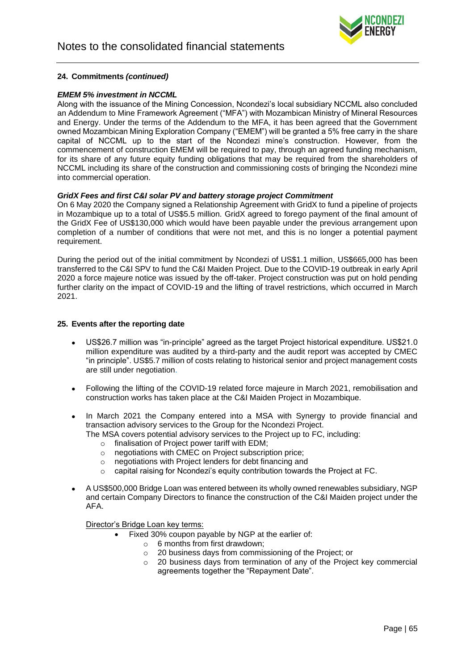

# **24. Commitments** *(continued)*

# *EMEM 5% investment in NCCML*

Along with the issuance of the Mining Concession, Ncondezi's local subsidiary NCCML also concluded an Addendum to Mine Framework Agreement ("MFA") with Mozambican Ministry of Mineral Resources and Energy. Under the terms of the Addendum to the MFA, it has been agreed that the Government owned Mozambican Mining Exploration Company ("EMEM") will be granted a 5% free carry in the share capital of NCCML up to the start of the Ncondezi mine's construction. However, from the commencement of construction EMEM will be required to pay, through an agreed funding mechanism, for its share of any future equity funding obligations that may be required from the shareholders of NCCML including its share of the construction and commissioning costs of bringing the Ncondezi mine into commercial operation.

#### *GridX Fees and first C&I solar PV and battery storage project Commitment*

On 6 May 2020 the Company signed a Relationship Agreement with GridX to fund a pipeline of projects in Mozambique up to a total of US\$5.5 million. GridX agreed to forego payment of the final amount of the GridX Fee of US\$130,000 which would have been payable under the previous arrangement upon completion of a number of conditions that were not met, and this is no longer a potential payment requirement.

During the period out of the initial commitment by Ncondezi of US\$1.1 million, US\$665,000 has been transferred to the C&I SPV to fund the C&I Maiden Project. Due to the COVID-19 outbreak in early April 2020 a force majeure notice was issued by the off-taker. Project construction was put on hold pending further clarity on the impact of COVID-19 and the lifting of travel restrictions, which occurred in March 2021.

#### **25. Events after the reporting date**

- US\$26.7 million was "in-principle" agreed as the target Project historical expenditure. US\$21.0 million expenditure was audited by a third-party and the audit report was accepted by CMEC "in principle". US\$5.7 million of costs relating to historical senior and project management costs are still under negotiation.
- Following the lifting of the COVID-19 related force majeure in March 2021, remobilisation and construction works has taken place at the C&I Maiden Project in Mozambique.
- In March 2021 the Company entered into a MSA with Synergy to provide financial and transaction advisory services to the Group for the Ncondezi Project.
	- The MSA covers potential advisory services to the Project up to FC, including:
		- o finalisation of Project power tariff with EDM;
		- o negotiations with CMEC on Project subscription price;
		- o negotiations with Project lenders for debt financing and
		- o capital raising for Ncondezi's equity contribution towards the Project at FC.
- A US\$500,000 Bridge Loan was entered between its wholly owned renewables subsidiary, NGP and certain Company Directors to finance the construction of the C&I Maiden project under the AFA.

Director's Bridge Loan key terms:

- Fixed 30% coupon payable by NGP at the earlier of:
	- o 6 months from first drawdown;
	- o 20 business days from commissioning of the Project; or
	- o 20 business days from termination of any of the Project key commercial agreements together the "Repayment Date".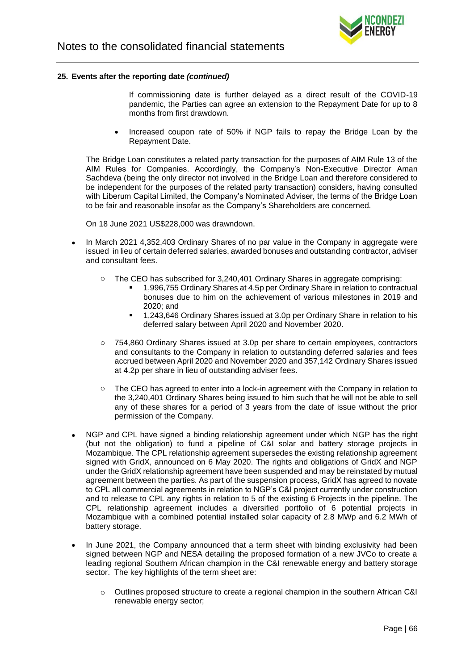

#### **25. Events after the reporting date** *(continued)*

If commissioning date is further delayed as a direct result of the COVID-19 pandemic, the Parties can agree an extension to the Repayment Date for up to 8 months from first drawdown.

• Increased coupon rate of 50% if NGP fails to repay the Bridge Loan by the Repayment Date.

The Bridge Loan constitutes a related party transaction for the purposes of AIM Rule 13 of the AIM Rules for Companies. Accordingly, the Company's Non-Executive Director Aman Sachdeva (being the only director not involved in the Bridge Loan and therefore considered to be independent for the purposes of the related party transaction) considers, having consulted with Liberum Capital Limited, the Company's Nominated Adviser, the terms of the Bridge Loan to be fair and reasonable insofar as the Company's Shareholders are concerned.

On 18 June 2021 US\$228,000 was drawndown.

- In March 2021 4,352,403 Ordinary Shares of no par value in the Company in aggregate were issued in lieu of certain deferred salaries, awarded bonuses and outstanding contractor, adviser and consultant fees.
	- o The CEO has subscribed for 3,240,401 Ordinary Shares in aggregate comprising:
		- 1,996,755 Ordinary Shares at 4.5p per Ordinary Share in relation to contractual bonuses due to him on the achievement of various milestones in 2019 and 2020; and
		- 1,243,646 Ordinary Shares issued at 3.0p per Ordinary Share in relation to his deferred salary between April 2020 and November 2020.
	- o 754,860 Ordinary Shares issued at 3.0p per share to certain employees, contractors and consultants to the Company in relation to outstanding deferred salaries and fees accrued between April 2020 and November 2020 and 357,142 Ordinary Shares issued at 4.2p per share in lieu of outstanding adviser fees.
	- The CEO has agreed to enter into a lock-in agreement with the Company in relation to the 3,240,401 Ordinary Shares being issued to him such that he will not be able to sell any of these shares for a period of 3 years from the date of issue without the prior permission of the Company.
- NGP and CPL have signed a binding relationship agreement under which NGP has the right (but not the obligation) to fund a pipeline of C&I solar and battery storage projects in Mozambique. The CPL relationship agreement supersedes the existing relationship agreement signed with GridX, announced on 6 May 2020. The rights and obligations of GridX and NGP under the GridX relationship agreement have been suspended and may be reinstated by mutual agreement between the parties. As part of the suspension process, GridX has agreed to novate to CPL all commercial agreements in relation to NGP's C&I project currently under construction and to release to CPL any rights in relation to 5 of the existing 6 Projects in the pipeline. The CPL relationship agreement includes a diversified portfolio of 6 potential projects in Mozambique with a combined potential installed solar capacity of 2.8 MWp and 6.2 MWh of battery storage.
- In June 2021, the Company announced that a term sheet with binding exclusivity had been signed between NGP and NESA detailing the proposed formation of a new JVCo to create a leading regional Southern African champion in the C&I renewable energy and battery storage sector. The key highlights of the term sheet are:
	- $\circ$  Outlines proposed structure to create a regional champion in the southern African C&I renewable energy sector;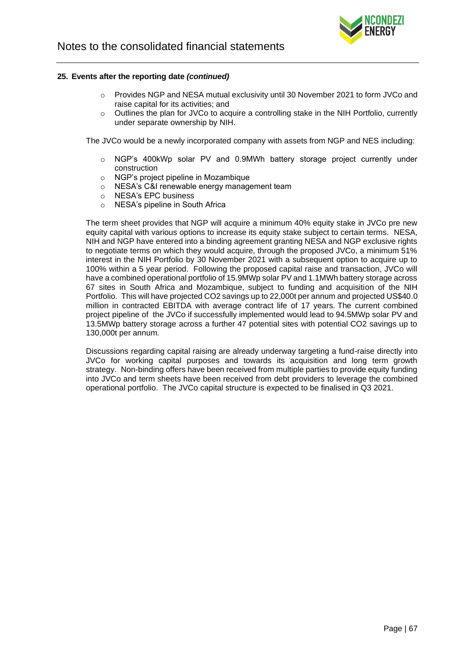

# **25. Events after the reporting date** *(continued)*

- Provides NGP and NESA mutual exclusivity until 30 November 2021 to form JVCo and raise capital for its activities; and
- $\circ$  Outlines the plan for JVCo to acquire a controlling stake in the NIH Portfolio, currently under separate ownership by NIH.

The JVCo would be a newly incorporated company with assets from NGP and NES including:

- o NGP's 400kWp solar PV and 0.9MWh battery storage project currently under construction
- o NGP's project pipeline in Mozambique
- o NESA's C&I renewable energy management team
- o NESA's EPC business
- o NESA's pipeline in South Africa

The term sheet provides that NGP will acquire a minimum 40% equity stake in JVCo pre new equity capital with various options to increase its equity stake subject to certain terms. NESA, NIH and NGP have entered into a binding agreement granting NESA and NGP exclusive rights to negotiate terms on which they would acquire, through the proposed JVCo, a minimum 51% interest in the NIH Portfolio by 30 November 2021 with a subsequent option to acquire up to 100% within a 5 year period. Following the proposed capital raise and transaction, JVCo will have a combined operational portfolio of 15.9MWp solar PV and 1.1MWh battery storage across 67 sites in South Africa and Mozambique, subject to funding and acquisition of the NIH Portfolio. This will have projected CO2 savings up to 22,000t per annum and projected US\$40.0 million in contracted EBITDA with average contract life of 17 years. The current combined project pipeline of the JVCo if successfully implemented would lead to 94.5MWp solar PV and 13.5MWp battery storage across a further 47 potential sites with potential CO2 savings up to 130,000t per annum.

Discussions regarding capital raising are already underway targeting a fund-raise directly into JVCo for working capital purposes and towards its acquisition and long term growth strategy. Non-binding offers have been received from multiple parties to provide equity funding into JVCo and term sheets have been received from debt providers to leverage the combined operational portfolio. The JVCo capital structure is expected to be finalised in Q3 2021.